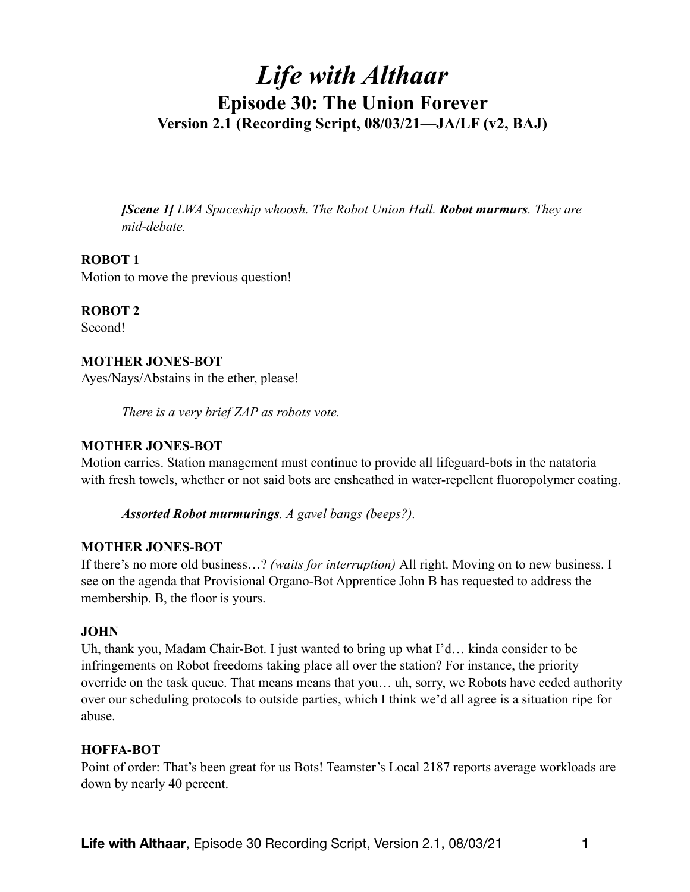# *Life with Althaar*  **Episode 30: The Union Forever Version 2.1 (Recording Script, 08/03/21—JA/LF (v2, BAJ)**

*[Scene 1] LWA Spaceship whoosh. The Robot Union Hall. Robot murmurs. They are mid-debate.* 

### **ROBOT 1**

Motion to move the previous question!

**ROBOT 2** 

Second!

### **MOTHER JONES-BOT**

Ayes/Nays/Abstains in the ether, please!

*There is a very brief ZAP as robots vote.* 

#### **MOTHER JONES-BOT**

Motion carries. Station management must continue to provide all lifeguard-bots in the natatoria with fresh towels, whether or not said bots are ensheathed in water-repellent fluoropolymer coating.

*Assorted Robot murmurings. A gavel bangs (beeps?).* 

### **MOTHER JONES-BOT**

If there's no more old business…? *(waits for interruption)* All right. Moving on to new business. I see on the agenda that Provisional Organo-Bot Apprentice John B has requested to address the membership. B, the floor is yours.

### **JOHN**

Uh, thank you, Madam Chair-Bot. I just wanted to bring up what I'd… kinda consider to be infringements on Robot freedoms taking place all over the station? For instance, the priority override on the task queue. That means means that you… uh, sorry, we Robots have ceded authority over our scheduling protocols to outside parties, which I think we'd all agree is a situation ripe for abuse.

### **HOFFA-BOT**

Point of order: That's been great for us Bots! Teamster's Local 2187 reports average workloads are down by nearly 40 percent.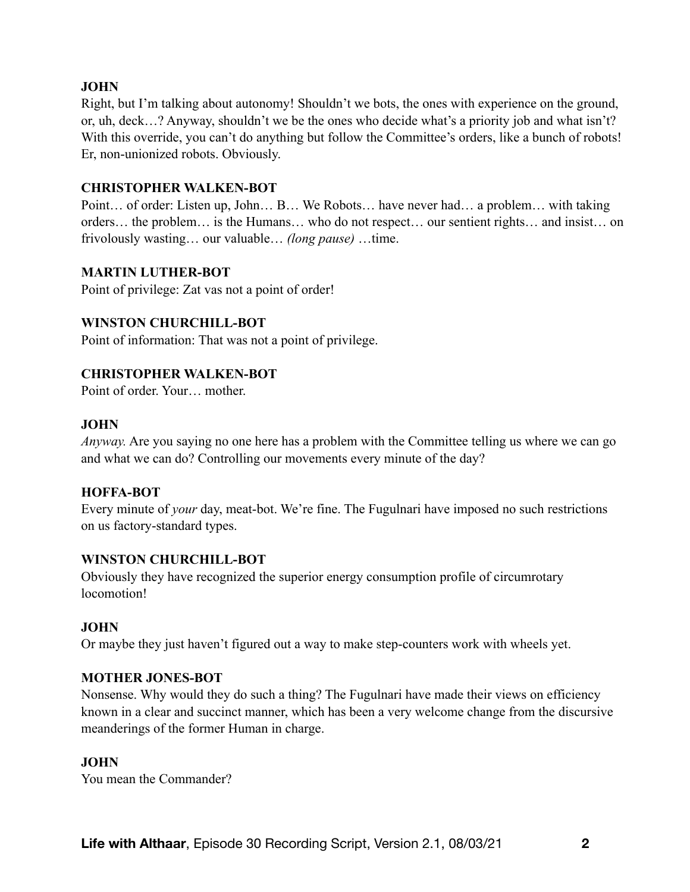### **JOHN**

Right, but I'm talking about autonomy! Shouldn't we bots, the ones with experience on the ground, or, uh, deck…? Anyway, shouldn't we be the ones who decide what's a priority job and what isn't? With this override, you can't do anything but follow the Committee's orders, like a bunch of robots! Er, non-unionized robots. Obviously.

#### **CHRISTOPHER WALKEN-BOT**

Point… of order: Listen up, John… B… We Robots… have never had… a problem… with taking orders… the problem… is the Humans… who do not respect… our sentient rights… and insist… on frivolously wasting… our valuable… *(long pause)* …time.

#### **MARTIN LUTHER-BOT**

Point of privilege: Zat vas not a point of order!

#### **WINSTON CHURCHILL-BOT**

Point of information: That was not a point of privilege.

#### **CHRISTOPHER WALKEN-BOT**

Point of order. Your… mother.

#### **JOHN**

*Anyway.* Are you saying no one here has a problem with the Committee telling us where we can go and what we can do? Controlling our movements every minute of the day?

#### **HOFFA-BOT**

Every minute of *your* day, meat-bot. We're fine. The Fugulnari have imposed no such restrictions on us factory-standard types.

### **WINSTON CHURCHILL-BOT**

Obviously they have recognized the superior energy consumption profile of circumrotary locomotion!

#### **JOHN**

Or maybe they just haven't figured out a way to make step-counters work with wheels yet.

#### **MOTHER JONES-BOT**

Nonsense. Why would they do such a thing? The Fugulnari have made their views on efficiency known in a clear and succinct manner, which has been a very welcome change from the discursive meanderings of the former Human in charge.

#### **JOHN**

You mean the Commander?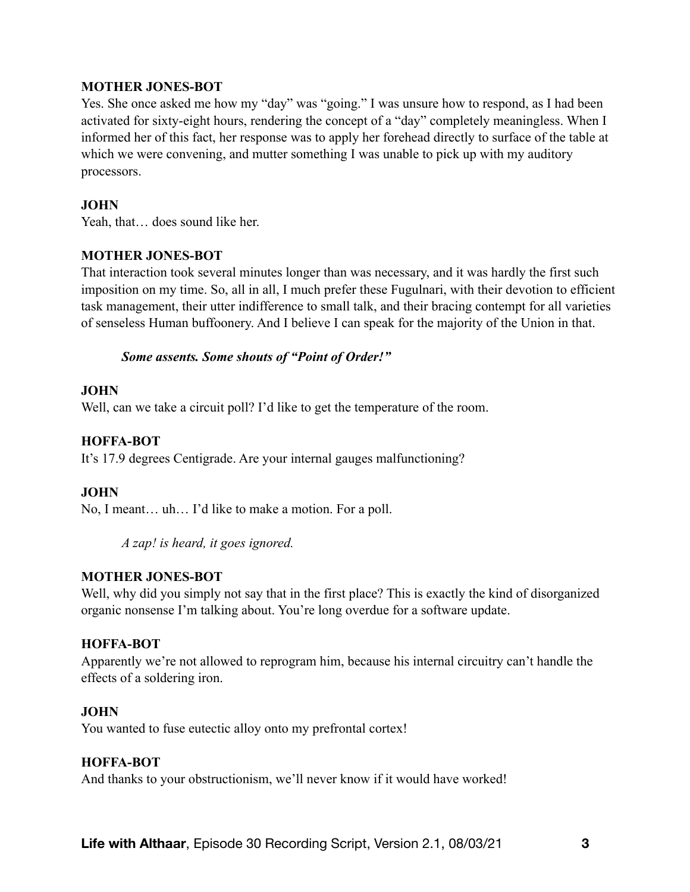### **MOTHER JONES-BOT**

Yes. She once asked me how my "day" was "going." I was unsure how to respond, as I had been activated for sixty-eight hours, rendering the concept of a "day" completely meaningless. When I informed her of this fact, her response was to apply her forehead directly to surface of the table at which we were convening, and mutter something I was unable to pick up with my auditory processors.

#### **JOHN**

Yeah, that... does sound like her.

#### **MOTHER JONES-BOT**

That interaction took several minutes longer than was necessary, and it was hardly the first such imposition on my time. So, all in all, I much prefer these Fugulnari, with their devotion to efficient task management, their utter indifference to small talk, and their bracing contempt for all varieties of senseless Human buffoonery. And I believe I can speak for the majority of the Union in that.

#### *Some assents. Some shouts of "Point of Order!"*

#### **JOHN**

Well, can we take a circuit poll? I'd like to get the temperature of the room.

#### **HOFFA-BOT**

It's 17.9 degrees Centigrade. Are your internal gauges malfunctioning?

### **JOHN**

No, I meant… uh… I'd like to make a motion. For a poll.

*A zap! is heard, it goes ignored.* 

### **MOTHER JONES-BOT**

Well, why did you simply not say that in the first place? This is exactly the kind of disorganized organic nonsense I'm talking about. You're long overdue for a software update.

#### **HOFFA-BOT**

Apparently we're not allowed to reprogram him, because his internal circuitry can't handle the effects of a soldering iron.

#### **JOHN**

You wanted to fuse eutectic alloy onto my prefrontal cortex!

### **HOFFA-BOT**

And thanks to your obstructionism, we'll never know if it would have worked!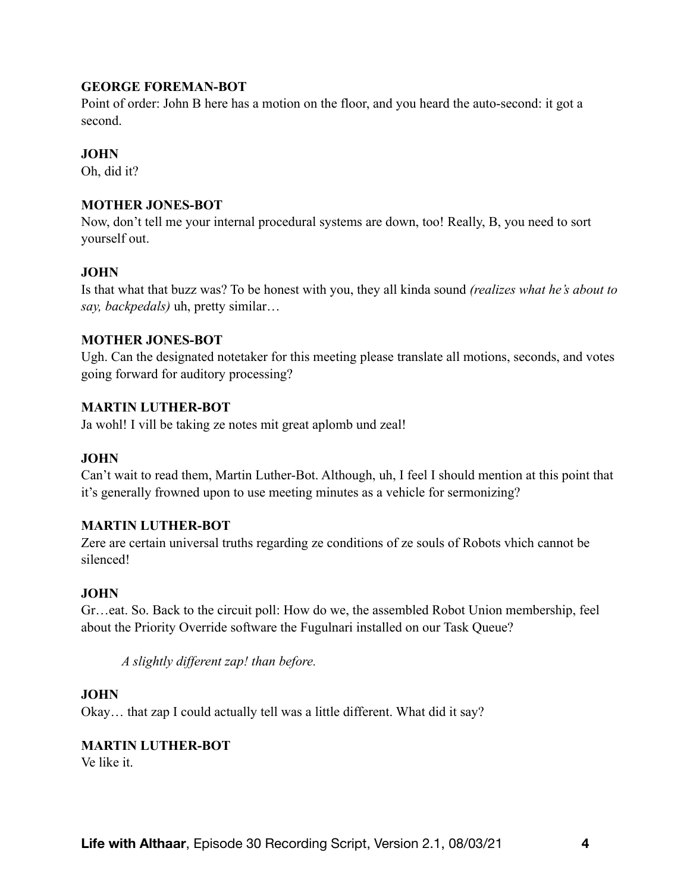### **GEORGE FOREMAN-BOT**

Point of order: John B here has a motion on the floor, and you heard the auto-second: it got a second.

# **JOHN**

Oh, did it?

### **MOTHER JONES-BOT**

Now, don't tell me your internal procedural systems are down, too! Really, B, you need to sort yourself out.

### **JOHN**

Is that what that buzz was? To be honest with you, they all kinda sound *(realizes what he's about to say, backpedals)* uh, pretty similar…

### **MOTHER JONES-BOT**

Ugh. Can the designated notetaker for this meeting please translate all motions, seconds, and votes going forward for auditory processing?

### **MARTIN LUTHER-BOT**

Ja wohl! I vill be taking ze notes mit great aplomb und zeal!

### **JOHN**

Can't wait to read them, Martin Luther-Bot. Although, uh, I feel I should mention at this point that it's generally frowned upon to use meeting minutes as a vehicle for sermonizing?

### **MARTIN LUTHER-BOT**

Zere are certain universal truths regarding ze conditions of ze souls of Robots vhich cannot be silenced!

### **JOHN**

Gr…eat. So. Back to the circuit poll: How do we, the assembled Robot Union membership, feel about the Priority Override software the Fugulnari installed on our Task Queue?

*A slightly different zap! than before.* 

### **JOHN**

Okay… that zap I could actually tell was a little different. What did it say?

### **MARTIN LUTHER-BOT**

Ve like it.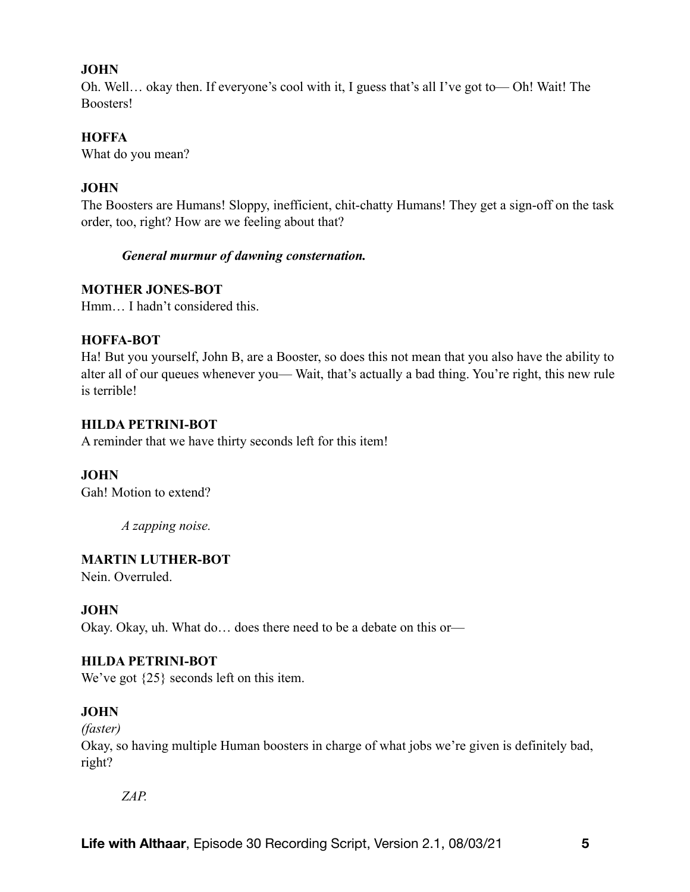### **JOHN**

Oh. Well… okay then. If everyone's cool with it, I guess that's all I've got to— Oh! Wait! The Boosters!

### **HOFFA**

What do you mean?

### **JOHN**

The Boosters are Humans! Sloppy, inefficient, chit-chatty Humans! They get a sign-off on the task order, too, right? How are we feeling about that?

### *General murmur of dawning consternation.*

### **MOTHER JONES-BOT**

Hmm… I hadn't considered this.

### **HOFFA-BOT**

Ha! But you yourself, John B, are a Booster, so does this not mean that you also have the ability to alter all of our queues whenever you— Wait, that's actually a bad thing. You're right, this new rule is terrible!

### **HILDA PETRINI-BOT**

A reminder that we have thirty seconds left for this item!

### **JOHN**

Gah! Motion to extend?

*A zapping noise.* 

### **MARTIN LUTHER-BOT**

Nein. Overruled.

### **JOHN**

Okay. Okay, uh. What do… does there need to be a debate on this or—

### **HILDA PETRINI-BOT**

We've got  $\{25\}$  seconds left on this item.

### **JOHN**

*(faster)* 

Okay, so having multiple Human boosters in charge of what jobs we're given is definitely bad, right?

*ZAP.*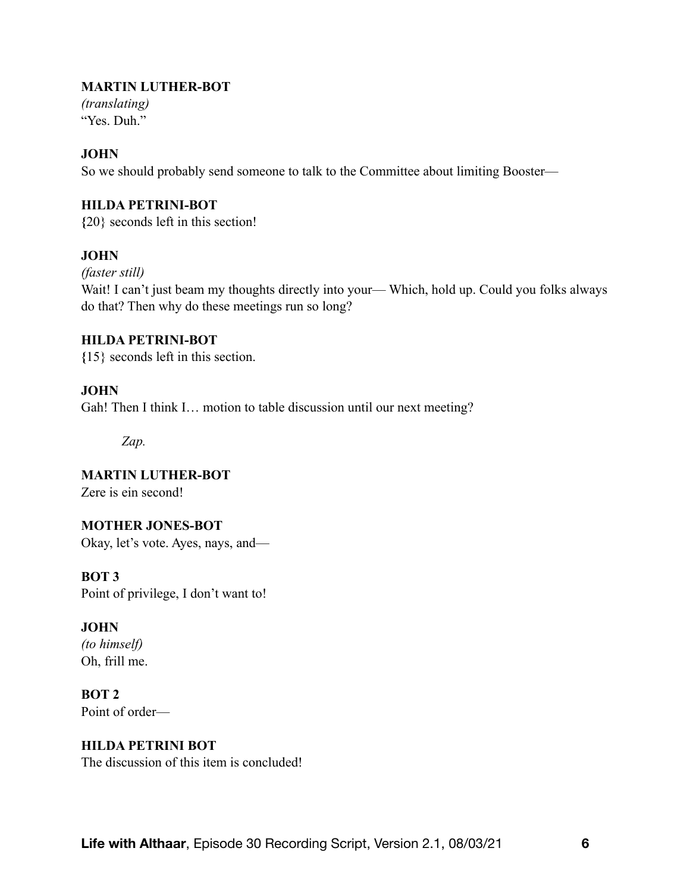### **MARTIN LUTHER-BOT**

*(translating)*  "Yes. Duh."

### **JOHN**

So we should probably send someone to talk to the Committee about limiting Booster—

### **HILDA PETRINI-BOT**

**{**20} seconds left in this section!

### **JOHN**

*(faster still)* 

Wait! I can't just beam my thoughts directly into your— Which, hold up. Could you folks always do that? Then why do these meetings run so long?

### **HILDA PETRINI-BOT**

**{**15} seconds left in this section.

### **JOHN**

Gah! Then I think I… motion to table discussion until our next meeting?

*Zap.*

**MARTIN LUTHER-BOT**  Zere is ein second!

# **MOTHER JONES-BOT**

Okay, let's vote. Ayes, nays, and—

**BOT 3** 

Point of privilege, I don't want to!

# **JOHN**

*(to himself)*  Oh, frill me.

**BOT 2**  Point of order—

# **HILDA PETRINI BOT**

The discussion of this item is concluded!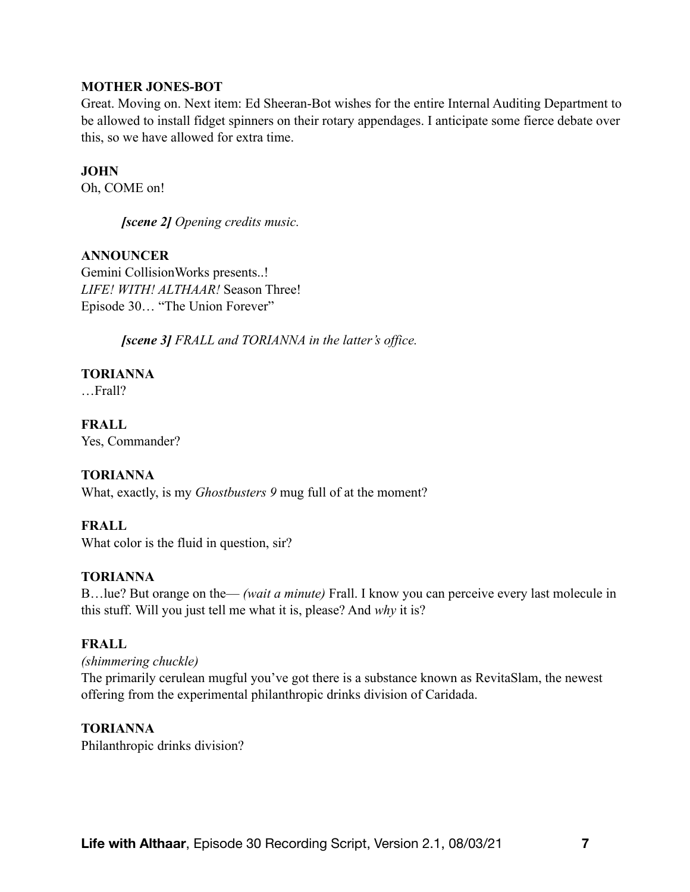### **MOTHER JONES-BOT**

Great. Moving on. Next item: Ed Sheeran-Bot wishes for the entire Internal Auditing Department to be allowed to install fidget spinners on their rotary appendages. I anticipate some fierce debate over this, so we have allowed for extra time.

### **JOHN**

Oh, COME on!

*[scene 2] Opening credits music.* 

# **ANNOUNCER**

Gemini CollisionWorks presents..! *LIFE! WITH! ALTHAAR!* Season Three! Episode 30… "The Union Forever"

*[scene 3] FRALL and TORIANNA in the latter's office.* 

# **TORIANNA**

…Frall?

**FRALL**  Yes, Commander?

# **TORIANNA**

What, exactly, is my *Ghostbusters 9* mug full of at the moment?

# **FRALL**

What color is the fluid in question, sir?

### **TORIANNA**

B…lue? But orange on the— *(wait a minute)* Frall. I know you can perceive every last molecule in this stuff. Will you just tell me what it is, please? And *why* it is?

# **FRALL**

*(shimmering chuckle)*  The primarily cerulean mugful you've got there is a substance known as RevitaSlam, the newest offering from the experimental philanthropic drinks division of Caridada.

### **TORIANNA**

Philanthropic drinks division?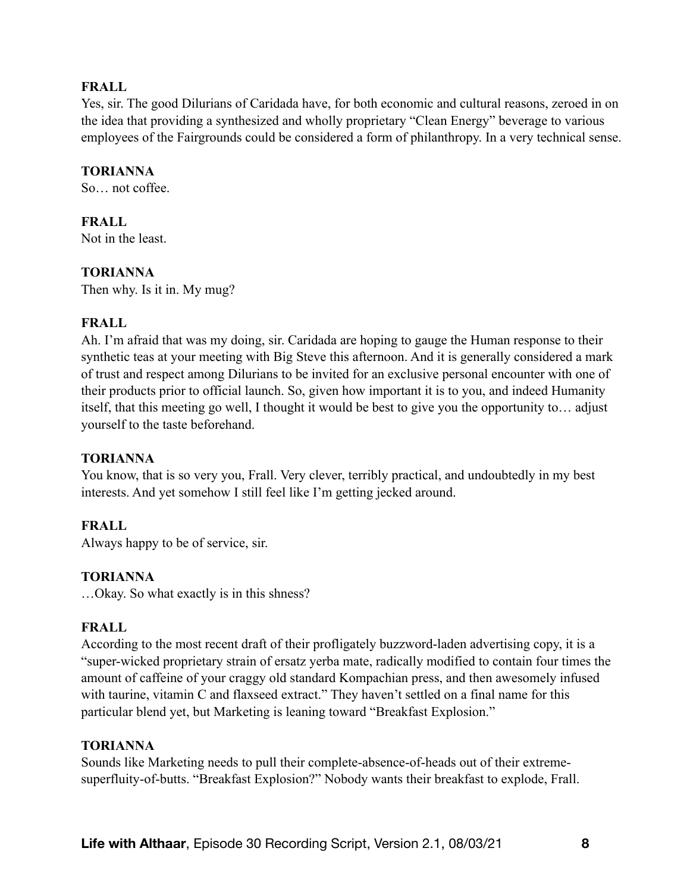### **FRALL**

Yes, sir. The good Dilurians of Caridada have, for both economic and cultural reasons, zeroed in on the idea that providing a synthesized and wholly proprietary "Clean Energy" beverage to various employees of the Fairgrounds could be considered a form of philanthropy. In a very technical sense.

### **TORIANNA**

So not coffee.

# **FRALL**

Not in the least.

# **TORIANNA**

Then why. Is it in. My mug?

### **FRALL**

Ah. I'm afraid that was my doing, sir. Caridada are hoping to gauge the Human response to their synthetic teas at your meeting with Big Steve this afternoon. And it is generally considered a mark of trust and respect among Dilurians to be invited for an exclusive personal encounter with one of their products prior to official launch. So, given how important it is to you, and indeed Humanity itself, that this meeting go well, I thought it would be best to give you the opportunity to… adjust yourself to the taste beforehand.

### **TORIANNA**

You know, that is so very you, Frall. Very clever, terribly practical, and undoubtedly in my best interests. And yet somehow I still feel like I'm getting jecked around.

# **FRALL**

Always happy to be of service, sir.

### **TORIANNA**

…Okay. So what exactly is in this shness?

### **FRALL**

According to the most recent draft of their profligately buzzword-laden advertising copy, it is a "super-wicked proprietary strain of ersatz yerba mate, radically modified to contain four times the amount of caffeine of your craggy old standard Kompachian press, and then awesomely infused with taurine, vitamin C and flaxseed extract." They haven't settled on a final name for this particular blend yet, but Marketing is leaning toward "Breakfast Explosion."

### **TORIANNA**

Sounds like Marketing needs to pull their complete-absence-of-heads out of their extremesuperfluity-of-butts. "Breakfast Explosion?" Nobody wants their breakfast to explode, Frall.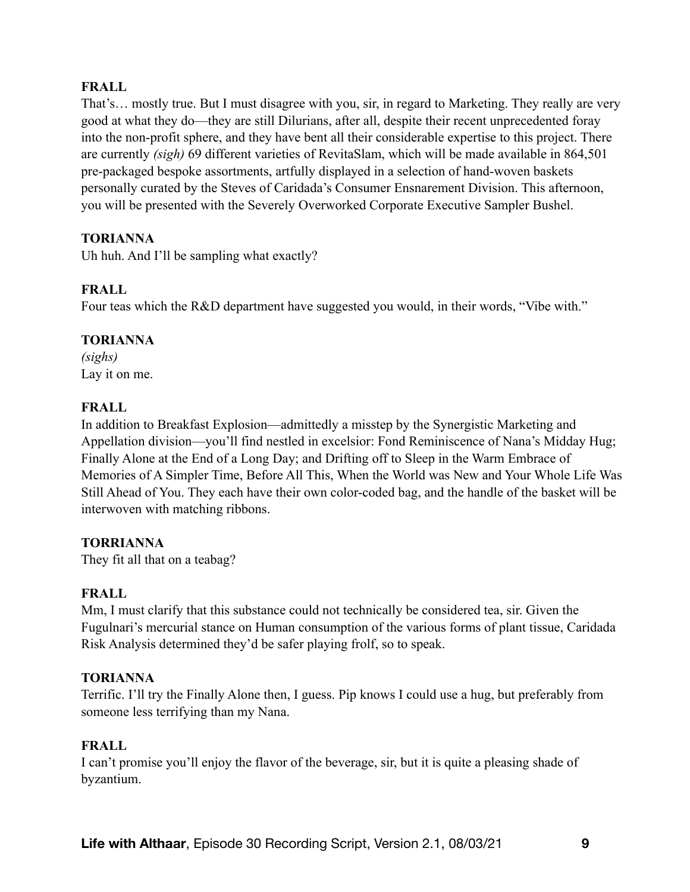### **FRALL**

That's… mostly true. But I must disagree with you, sir, in regard to Marketing. They really are very good at what they do—they are still Dilurians, after all, despite their recent unprecedented foray into the non-profit sphere, and they have bent all their considerable expertise to this project. There are currently *(sigh)* 69 different varieties of RevitaSlam, which will be made available in 864,501 pre-packaged bespoke assortments, artfully displayed in a selection of hand-woven baskets personally curated by the Steves of Caridada's Consumer Ensnarement Division. This afternoon, you will be presented with the Severely Overworked Corporate Executive Sampler Bushel.

### **TORIANNA**

Uh huh. And I'll be sampling what exactly?

### **FRALL**

Four teas which the R&D department have suggested you would, in their words, "Vibe with."

### **TORIANNA**

*(sighs)*  Lay it on me.

### **FRALL**

In addition to Breakfast Explosion—admittedly a misstep by the Synergistic Marketing and Appellation division—you'll find nestled in excelsior: Fond Reminiscence of Nana's Midday Hug; Finally Alone at the End of a Long Day; and Drifting off to Sleep in the Warm Embrace of Memories of A Simpler Time, Before All This, When the World was New and Your Whole Life Was Still Ahead of You. They each have their own color-coded bag, and the handle of the basket will be interwoven with matching ribbons.

### **TORRIANNA**

They fit all that on a teabag?

# **FRALL**

Mm, I must clarify that this substance could not technically be considered tea, sir. Given the Fugulnari's mercurial stance on Human consumption of the various forms of plant tissue, Caridada Risk Analysis determined they'd be safer playing frolf, so to speak.

### **TORIANNA**

Terrific. I'll try the Finally Alone then, I guess. Pip knows I could use a hug, but preferably from someone less terrifying than my Nana.

### **FRALL**

I can't promise you'll enjoy the flavor of the beverage, sir, but it is quite a pleasing shade of byzantium.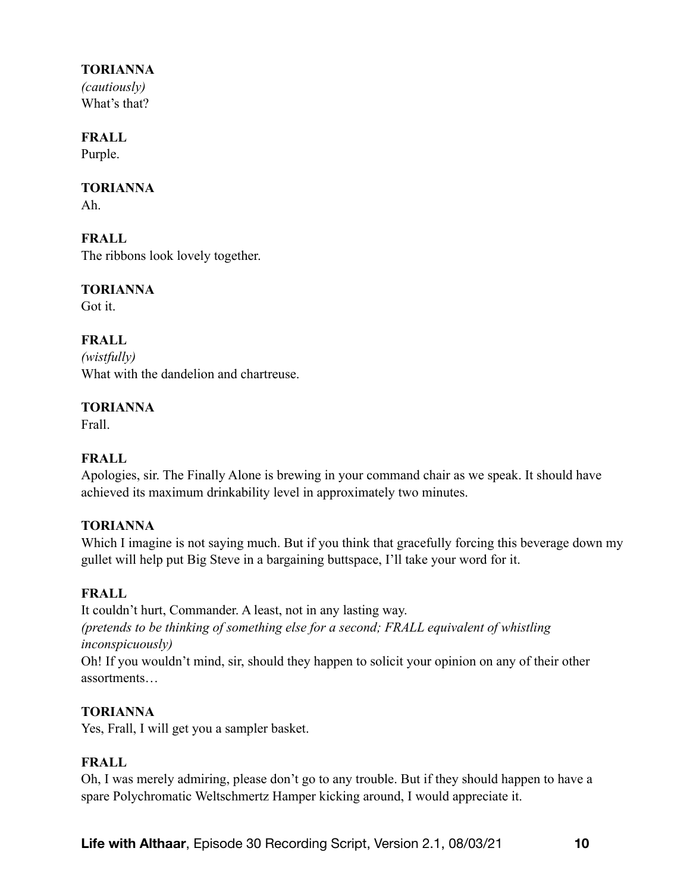# **TORIANNA**

*(cautiously)*  What's that?

### **FRALL**

Purple.

### **TORIANNA**

Ah.

**FRALL**  The ribbons look lovely together.

**TORIANNA** 

Got it.

**FRALL**  *(wistfully)*  What with the dandelion and chartreuse.

### **TORIANNA**

Frall.

# **FRALL**

Apologies, sir. The Finally Alone is brewing in your command chair as we speak. It should have achieved its maximum drinkability level in approximately two minutes.

# **TORIANNA**

Which I imagine is not saying much. But if you think that gracefully forcing this beverage down my gullet will help put Big Steve in a bargaining buttspace, I'll take your word for it.

# **FRALL**

It couldn't hurt, Commander. A least, not in any lasting way. *(pretends to be thinking of something else for a second; FRALL equivalent of whistling inconspicuously)* 

Oh! If you wouldn't mind, sir, should they happen to solicit your opinion on any of their other assortments…

# **TORIANNA**

Yes, Frall, I will get you a sampler basket.

# **FRALL**

Oh, I was merely admiring, please don't go to any trouble. But if they should happen to have a spare Polychromatic Weltschmertz Hamper kicking around, I would appreciate it.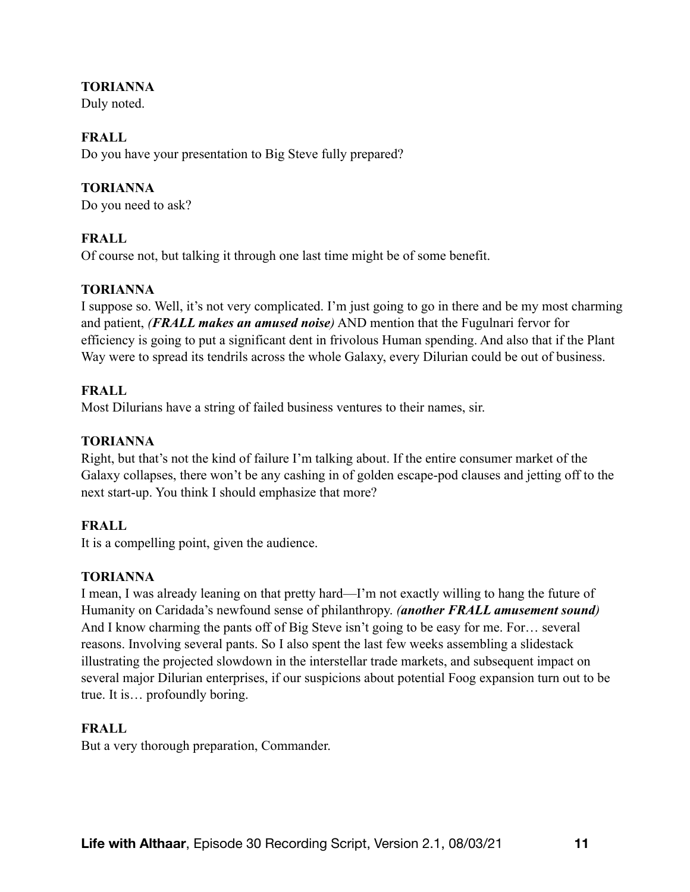### **TORIANNA**

Duly noted.

# **FRALL**

Do you have your presentation to Big Steve fully prepared?

# **TORIANNA**

Do you need to ask?

# **FRALL**

Of course not, but talking it through one last time might be of some benefit.

# **TORIANNA**

I suppose so. Well, it's not very complicated. I'm just going to go in there and be my most charming and patient, *(FRALL makes an amused noise)* AND mention that the Fugulnari fervor for efficiency is going to put a significant dent in frivolous Human spending. And also that if the Plant Way were to spread its tendrils across the whole Galaxy, every Dilurian could be out of business.

# **FRALL**

Most Dilurians have a string of failed business ventures to their names, sir.

# **TORIANNA**

Right, but that's not the kind of failure I'm talking about. If the entire consumer market of the Galaxy collapses, there won't be any cashing in of golden escape-pod clauses and jetting off to the next start-up. You think I should emphasize that more?

# **FRALL**

It is a compelling point, given the audience.

# **TORIANNA**

I mean, I was already leaning on that pretty hard—I'm not exactly willing to hang the future of Humanity on Caridada's newfound sense of philanthropy. *(another FRALL amusement sound)* And I know charming the pants off of Big Steve isn't going to be easy for me. For… several reasons. Involving several pants. So I also spent the last few weeks assembling a slidestack illustrating the projected slowdown in the interstellar trade markets, and subsequent impact on several major Dilurian enterprises, if our suspicions about potential Foog expansion turn out to be true. It is… profoundly boring.

# **FRALL**

But a very thorough preparation, Commander.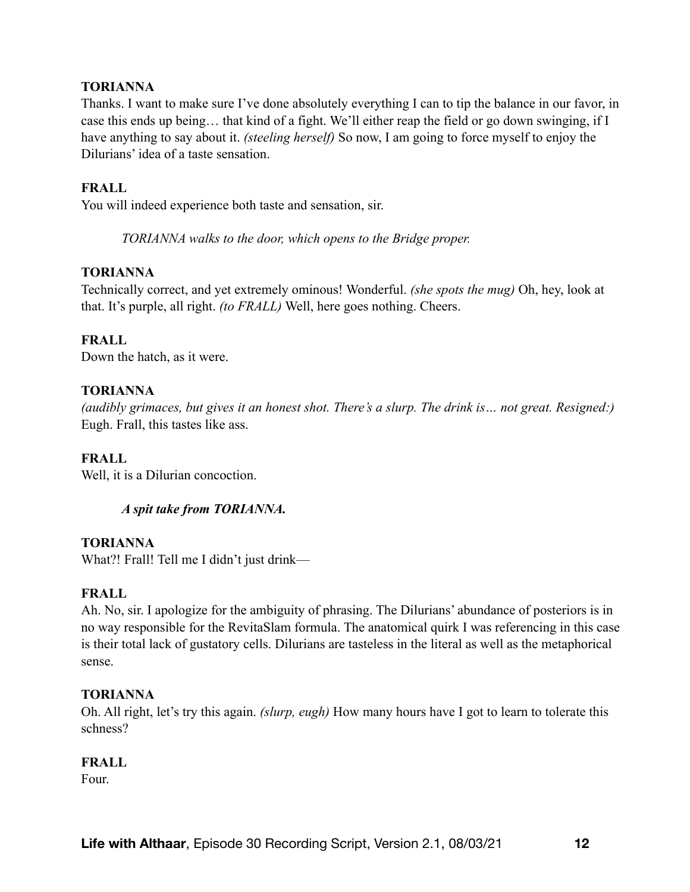### **TORIANNA**

Thanks. I want to make sure I've done absolutely everything I can to tip the balance in our favor, in case this ends up being… that kind of a fight. We'll either reap the field or go down swinging, if I have anything to say about it. *(steeling herself)* So now, I am going to force myself to enjoy the Dilurians' idea of a taste sensation.

#### **FRALL**

You will indeed experience both taste and sensation, sir.

*TORIANNA walks to the door, which opens to the Bridge proper.* 

#### **TORIANNA**

Technically correct, and yet extremely ominous! Wonderful. *(she spots the mug)* Oh, hey, look at that. It's purple, all right. *(to FRALL)* Well, here goes nothing. Cheers.

#### **FRALL**

Down the hatch, as it were.

#### **TORIANNA**

*(audibly grimaces, but gives it an honest shot. There's a slurp. The drink is… not great. Resigned:)*  Eugh. Frall, this tastes like ass.

#### **FRALL**

Well, it is a Dilurian concoction.

#### *A spit take from TORIANNA.*

**TORIANNA** 

What?! Frall! Tell me I didn't just drink—

#### **FRALL**

Ah. No, sir. I apologize for the ambiguity of phrasing. The Dilurians' abundance of posteriors is in no way responsible for the RevitaSlam formula. The anatomical quirk I was referencing in this case is their total lack of gustatory cells. Dilurians are tasteless in the literal as well as the metaphorical sense.

#### **TORIANNA**

Oh. All right, let's try this again. *(slurp, eugh)* How many hours have I got to learn to tolerate this schness?

#### **FRALL**

Four.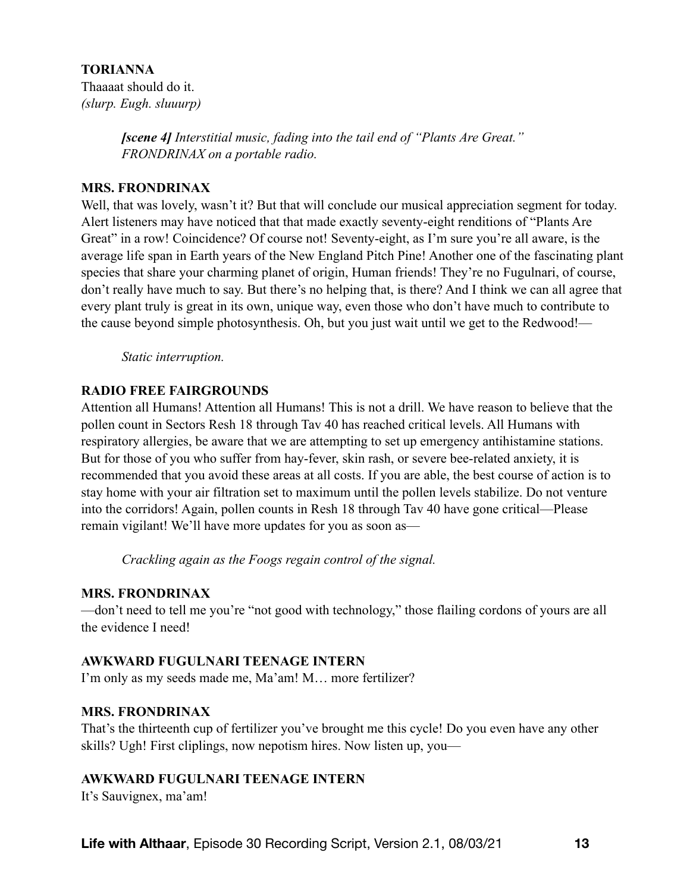### **TORIANNA**  Thaaaat should do it. *(slurp. Eugh. sluuurp)*

*[scene 4] Interstitial music, fading into the tail end of "Plants Are Great." FRONDRINAX on a portable radio.* 

### **MRS. FRONDRINAX**

Well, that was lovely, wasn't it? But that will conclude our musical appreciation segment for today. Alert listeners may have noticed that that made exactly seventy-eight renditions of "Plants Are Great" in a row! Coincidence? Of course not! Seventy-eight, as I'm sure you're all aware, is the average life span in Earth years of the New England Pitch Pine! Another one of the fascinating plant species that share your charming planet of origin, Human friends! They're no Fugulnari, of course, don't really have much to say. But there's no helping that, is there? And I think we can all agree that every plant truly is great in its own, unique way, even those who don't have much to contribute to the cause beyond simple photosynthesis. Oh, but you just wait until we get to the Redwood!—

*Static interruption.* 

### **RADIO FREE FAIRGROUNDS**

Attention all Humans! Attention all Humans! This is not a drill. We have reason to believe that the pollen count in Sectors Resh 18 through Tav 40 has reached critical levels. All Humans with respiratory allergies, be aware that we are attempting to set up emergency antihistamine stations. But for those of you who suffer from hay-fever, skin rash, or severe bee-related anxiety, it is recommended that you avoid these areas at all costs. If you are able, the best course of action is to stay home with your air filtration set to maximum until the pollen levels stabilize. Do not venture into the corridors! Again, pollen counts in Resh 18 through Tav 40 have gone critical—Please remain vigilant! We'll have more updates for you as soon as—

*Crackling again as the Foogs regain control of the signal.* 

# **MRS. FRONDRINAX**

—don't need to tell me you're "not good with technology," those flailing cordons of yours are all the evidence I need!

### **AWKWARD FUGULNARI TEENAGE INTERN**

I'm only as my seeds made me, Ma'am! M… more fertilizer?

# **MRS. FRONDRINAX**

That's the thirteenth cup of fertilizer you've brought me this cycle! Do you even have any other skills? Ugh! First cliplings, now nepotism hires. Now listen up, you—

# **AWKWARD FUGULNARI TEENAGE INTERN**

It's Sauvignex, ma'am!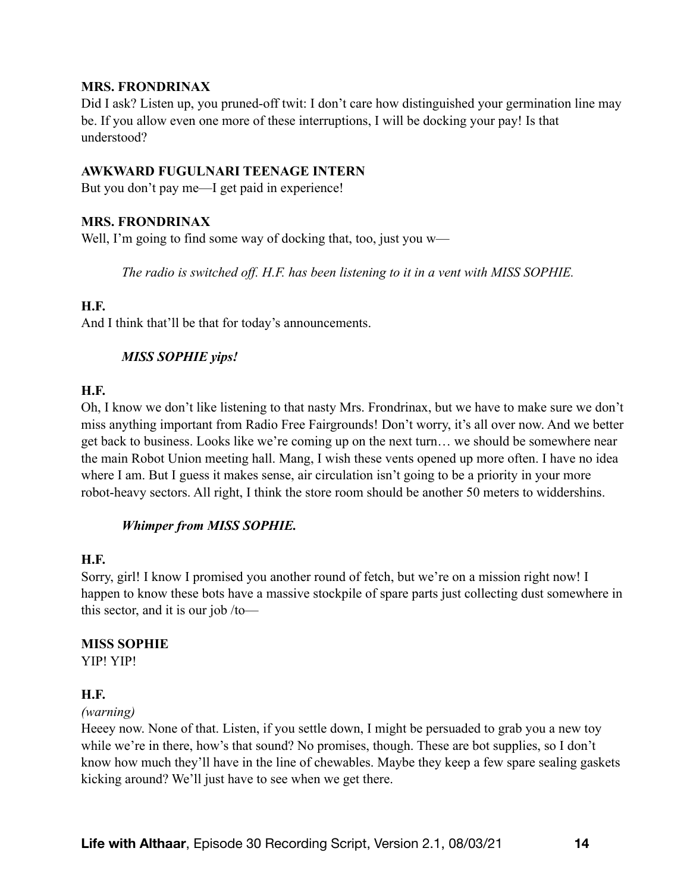### **MRS. FRONDRINAX**

Did I ask? Listen up, you pruned-off twit: I don't care how distinguished your germination line may be. If you allow even one more of these interruptions, I will be docking your pay! Is that understood?

#### **AWKWARD FUGULNARI TEENAGE INTERN**

But you don't pay me—I get paid in experience!

#### **MRS. FRONDRINAX**

Well, I'm going to find some way of docking that, too, just you w—

*The radio is switched off. H.F. has been listening to it in a vent with MISS SOPHIE.* 

#### **H.F.**

And I think that'll be that for today's announcements.

### *MISS SOPHIE yips!*

#### **H.F.**

Oh, I know we don't like listening to that nasty Mrs. Frondrinax, but we have to make sure we don't miss anything important from Radio Free Fairgrounds! Don't worry, it's all over now. And we better get back to business. Looks like we're coming up on the next turn… we should be somewhere near the main Robot Union meeting hall. Mang, I wish these vents opened up more often. I have no idea where I am. But I guess it makes sense, air circulation isn't going to be a priority in your more robot-heavy sectors. All right, I think the store room should be another 50 meters to widdershins.

### *Whimper from MISS SOPHIE.*

#### **H.F.**

Sorry, girl! I know I promised you another round of fetch, but we're on a mission right now! I happen to know these bots have a massive stockpile of spare parts just collecting dust somewhere in this sector, and it is our job /to—

### **MISS SOPHIE**

YIP! YIP!

### **H.F.**

#### *(warning)*

Heeey now. None of that. Listen, if you settle down, I might be persuaded to grab you a new toy while we're in there, how's that sound? No promises, though. These are bot supplies, so I don't know how much they'll have in the line of chewables. Maybe they keep a few spare sealing gaskets kicking around? We'll just have to see when we get there.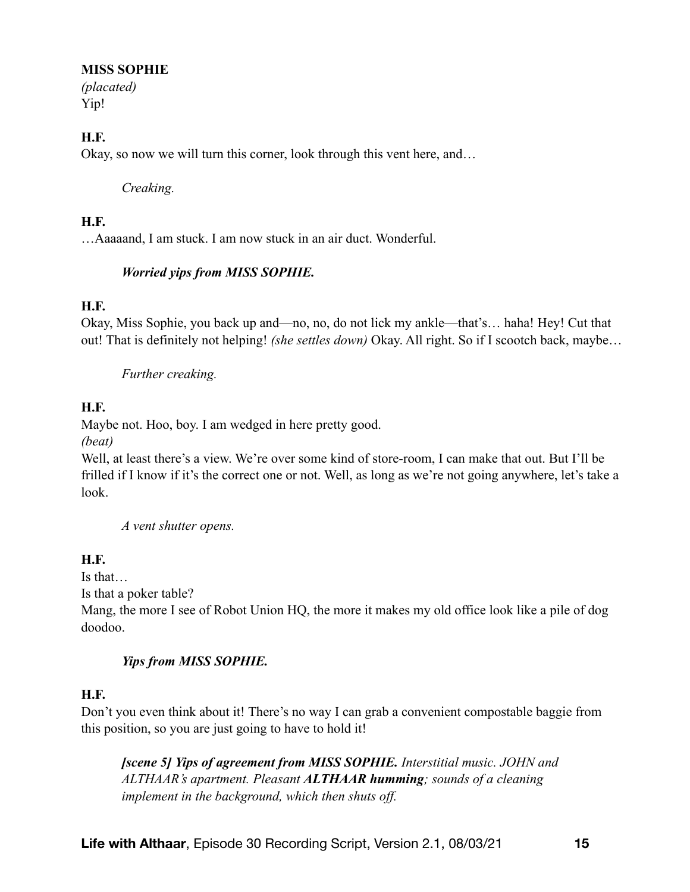### **MISS SOPHIE**

*(placated)*  Yip!

# **H.F.**

Okay, so now we will turn this corner, look through this vent here, and…

### *Creaking.*

### **H.F.**

…Aaaaand, I am stuck. I am now stuck in an air duct. Wonderful.

# *Worried yips from MISS SOPHIE.*

# **H.F.**

Okay, Miss Sophie, you back up and—no, no, do not lick my ankle—that's… haha! Hey! Cut that out! That is definitely not helping! *(she settles down)* Okay. All right. So if I scootch back, maybe…

# *Further creaking.*

# **H.F.**

Maybe not. Hoo, boy. I am wedged in here pretty good.

*(beat)* 

Well, at least there's a view. We're over some kind of store-room, I can make that out. But I'll be frilled if I know if it's the correct one or not. Well, as long as we're not going anywhere, let's take a look.

*A vent shutter opens.* 

# **H.F.**

Is that…

Is that a poker table?

Mang, the more I see of Robot Union HQ, the more it makes my old office look like a pile of dog doodoo.

# *Yips from MISS SOPHIE.*

# **H.F.**

Don't you even think about it! There's no way I can grab a convenient compostable baggie from this position, so you are just going to have to hold it!

*[scene 5] Yips of agreement from MISS SOPHIE. Interstitial music. JOHN and ALTHAAR's apartment. Pleasant ALTHAAR humming; sounds of a cleaning implement in the background, which then shuts off.*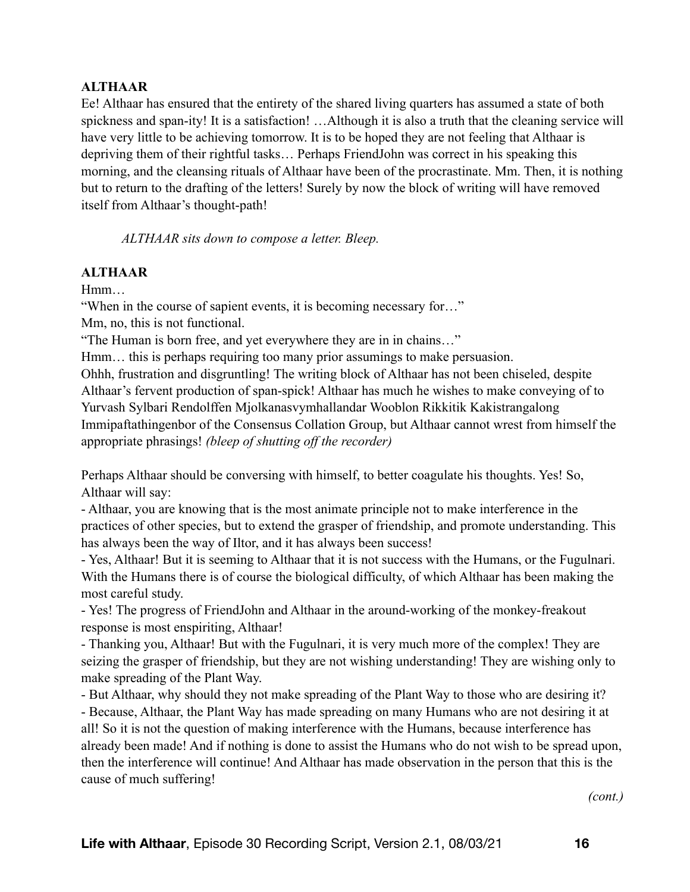# **ALTHAAR**

Ee! Althaar has ensured that the entirety of the shared living quarters has assumed a state of both spickness and span-ity! It is a satisfaction! …Although it is also a truth that the cleaning service will have very little to be achieving tomorrow. It is to be hoped they are not feeling that Althaar is depriving them of their rightful tasks… Perhaps FriendJohn was correct in his speaking this morning, and the cleansing rituals of Althaar have been of the procrastinate. Mm. Then, it is nothing but to return to the drafting of the letters! Surely by now the block of writing will have removed itself from Althaar's thought-path!

*ALTHAAR sits down to compose a letter. Bleep.* 

### **ALTHAAR**

Hmm…

"When in the course of sapient events, it is becoming necessary for…"

Mm, no, this is not functional.

"The Human is born free, and yet everywhere they are in in chains…"

Hmm… this is perhaps requiring too many prior assumings to make persuasion.

Ohhh, frustration and disgruntling! The writing block of Althaar has not been chiseled, despite Althaar's fervent production of span-spick! Althaar has much he wishes to make conveying of to Yurvash Sylbari Rendolffen Mjolkanasvymhallandar Wooblon Rikkitik Kakistrangalong Immipaftathingenbor of the Consensus Collation Group, but Althaar cannot wrest from himself the appropriate phrasings! *(bleep of shutting off the recorder)*

Perhaps Althaar should be conversing with himself, to better coagulate his thoughts. Yes! So, Althaar will say:

- Althaar, you are knowing that is the most animate principle not to make interference in the practices of other species, but to extend the grasper of friendship, and promote understanding. This has always been the way of Iltor, and it has always been success!

- Yes, Althaar! But it is seeming to Althaar that it is not success with the Humans, or the Fugulnari. With the Humans there is of course the biological difficulty, of which Althaar has been making the most careful study.

- Yes! The progress of FriendJohn and Althaar in the around-working of the monkey-freakout response is most enspiriting, Althaar!

- Thanking you, Althaar! But with the Fugulnari, it is very much more of the complex! They are seizing the grasper of friendship, but they are not wishing understanding! They are wishing only to make spreading of the Plant Way.

- But Althaar, why should they not make spreading of the Plant Way to those who are desiring it?

- Because, Althaar, the Plant Way has made spreading on many Humans who are not desiring it at all! So it is not the question of making interference with the Humans, because interference has already been made! And if nothing is done to assist the Humans who do not wish to be spread upon, then the interference will continue! And Althaar has made observation in the person that this is the cause of much suffering!

*(cont.)*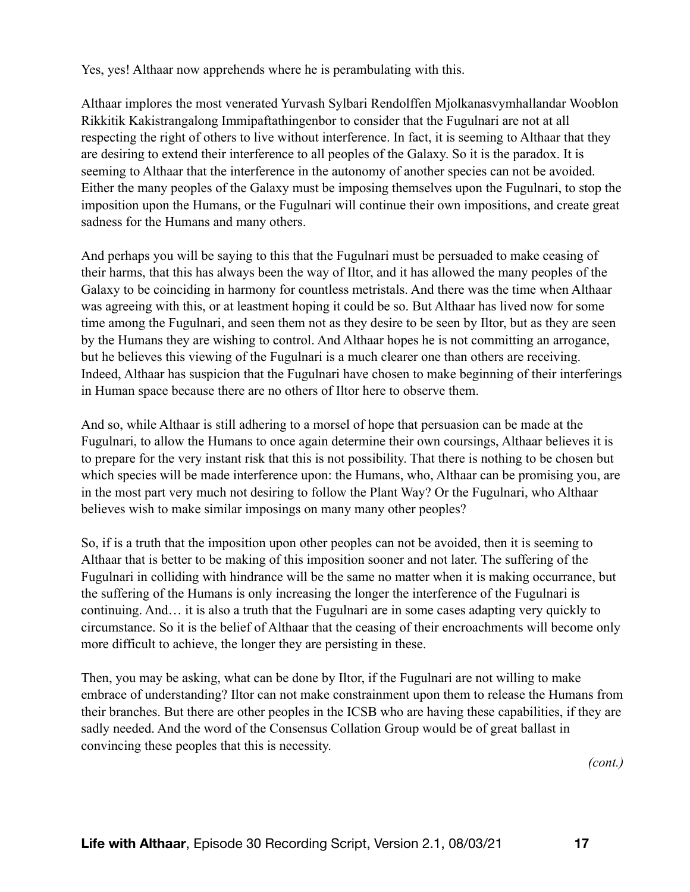Yes, yes! Althaar now apprehends where he is perambulating with this.

Althaar implores the most venerated Yurvash Sylbari Rendolffen Mjolkanasvymhallandar Wooblon Rikkitik Kakistrangalong Immipaftathingenbor to consider that the Fugulnari are not at all respecting the right of others to live without interference. In fact, it is seeming to Althaar that they are desiring to extend their interference to all peoples of the Galaxy. So it is the paradox. It is seeming to Althaar that the interference in the autonomy of another species can not be avoided. Either the many peoples of the Galaxy must be imposing themselves upon the Fugulnari, to stop the imposition upon the Humans, or the Fugulnari will continue their own impositions, and create great sadness for the Humans and many others.

And perhaps you will be saying to this that the Fugulnari must be persuaded to make ceasing of their harms, that this has always been the way of Iltor, and it has allowed the many peoples of the Galaxy to be coinciding in harmony for countless metristals. And there was the time when Althaar was agreeing with this, or at leastment hoping it could be so. But Althaar has lived now for some time among the Fugulnari, and seen them not as they desire to be seen by Iltor, but as they are seen by the Humans they are wishing to control. And Althaar hopes he is not committing an arrogance, but he believes this viewing of the Fugulnari is a much clearer one than others are receiving. Indeed, Althaar has suspicion that the Fugulnari have chosen to make beginning of their interferings in Human space because there are no others of Iltor here to observe them.

And so, while Althaar is still adhering to a morsel of hope that persuasion can be made at the Fugulnari, to allow the Humans to once again determine their own coursings, Althaar believes it is to prepare for the very instant risk that this is not possibility. That there is nothing to be chosen but which species will be made interference upon: the Humans, who, Althaar can be promising you, are in the most part very much not desiring to follow the Plant Way? Or the Fugulnari, who Althaar believes wish to make similar imposings on many many other peoples?

So, if is a truth that the imposition upon other peoples can not be avoided, then it is seeming to Althaar that is better to be making of this imposition sooner and not later. The suffering of the Fugulnari in colliding with hindrance will be the same no matter when it is making occurrance, but the suffering of the Humans is only increasing the longer the interference of the Fugulnari is continuing. And… it is also a truth that the Fugulnari are in some cases adapting very quickly to circumstance. So it is the belief of Althaar that the ceasing of their encroachments will become only more difficult to achieve, the longer they are persisting in these.

Then, you may be asking, what can be done by Iltor, if the Fugulnari are not willing to make embrace of understanding? Iltor can not make constrainment upon them to release the Humans from their branches. But there are other peoples in the ICSB who are having these capabilities, if they are sadly needed. And the word of the Consensus Collation Group would be of great ballast in convincing these peoples that this is necessity.

*(cont.)*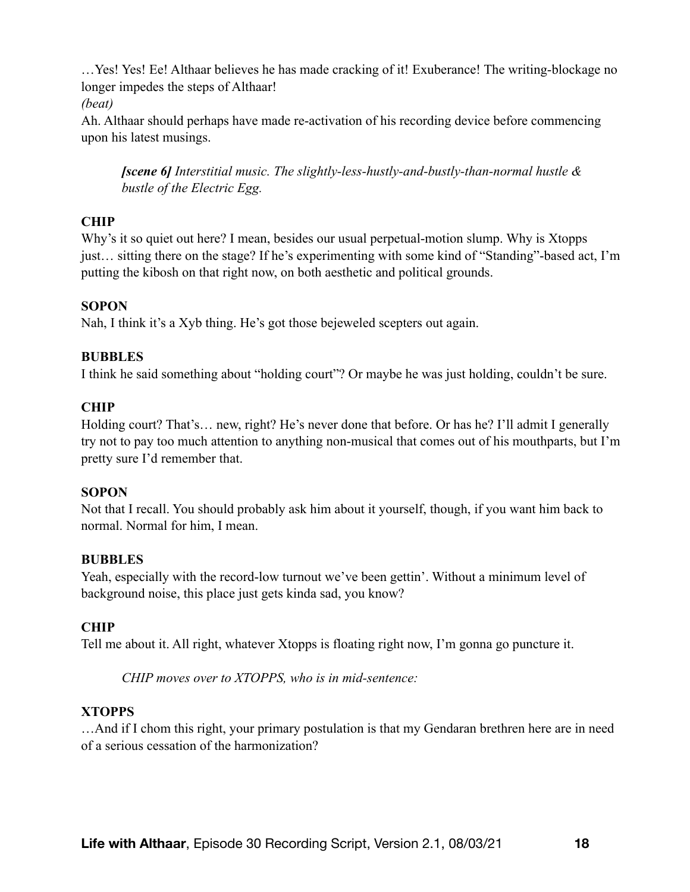…Yes! Yes! Ee! Althaar believes he has made cracking of it! Exuberance! The writing-blockage no longer impedes the steps of Althaar!

*(beat)* 

Ah. Althaar should perhaps have made re-activation of his recording device before commencing upon his latest musings.

*[scene 6] Interstitial music. The slightly-less-hustly-and-bustly-than-normal hustle & bustle of the Electric Egg.* 

# **CHIP**

Why's it so quiet out here? I mean, besides our usual perpetual-motion slump. Why is Xtopps just… sitting there on the stage? If he's experimenting with some kind of "Standing"-based act, I'm putting the kibosh on that right now, on both aesthetic and political grounds.

# **SOPON**

Nah, I think it's a Xyb thing. He's got those bejeweled scepters out again.

# **BUBBLES**

I think he said something about "holding court"? Or maybe he was just holding, couldn't be sure.

# **CHIP**

Holding court? That's… new, right? He's never done that before. Or has he? I'll admit I generally try not to pay too much attention to anything non-musical that comes out of his mouthparts, but I'm pretty sure I'd remember that.

# **SOPON**

Not that I recall. You should probably ask him about it yourself, though, if you want him back to normal. Normal for him, I mean.

# **BUBBLES**

Yeah, especially with the record-low turnout we've been gettin'. Without a minimum level of background noise, this place just gets kinda sad, you know?

# **CHIP**

Tell me about it. All right, whatever Xtopps is floating right now, I'm gonna go puncture it.

*CHIP moves over to XTOPPS, who is in mid-sentence:* 

# **XTOPPS**

…And if I chom this right, your primary postulation is that my Gendaran brethren here are in need of a serious cessation of the harmonization?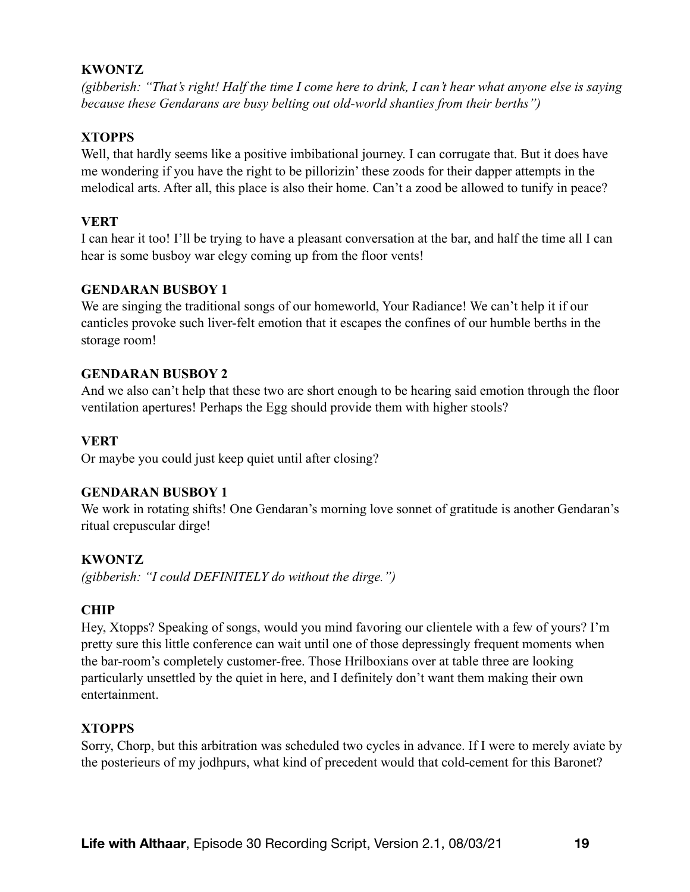# **KWONTZ**

*(gibberish: "That's right! Half the time I come here to drink, I can't hear what anyone else is saying because these Gendarans are busy belting out old-world shanties from their berths")* 

# **XTOPPS**

Well, that hardly seems like a positive imbibational journey. I can corrugate that. But it does have me wondering if you have the right to be pillorizin' these zoods for their dapper attempts in the melodical arts. After all, this place is also their home. Can't a zood be allowed to tunify in peace?

### **VERT**

I can hear it too! I'll be trying to have a pleasant conversation at the bar, and half the time all I can hear is some busboy war elegy coming up from the floor vents!

### **GENDARAN BUSBOY 1**

We are singing the traditional songs of our homeworld, Your Radiance! We can't help it if our canticles provoke such liver-felt emotion that it escapes the confines of our humble berths in the storage room!

### **GENDARAN BUSBOY 2**

And we also can't help that these two are short enough to be hearing said emotion through the floor ventilation apertures! Perhaps the Egg should provide them with higher stools?

### **VERT**

Or maybe you could just keep quiet until after closing?

# **GENDARAN BUSBOY 1**

We work in rotating shifts! One Gendaran's morning love sonnet of gratitude is another Gendaran's ritual crepuscular dirge!

### **KWONTZ**

*(gibberish: "I could DEFINITELY do without the dirge.")* 

# **CHIP**

Hey, Xtopps? Speaking of songs, would you mind favoring our clientele with a few of yours? I'm pretty sure this little conference can wait until one of those depressingly frequent moments when the bar-room's completely customer-free. Those Hrilboxians over at table three are looking particularly unsettled by the quiet in here, and I definitely don't want them making their own entertainment.

### **XTOPPS**

Sorry, Chorp, but this arbitration was scheduled two cycles in advance. If I were to merely aviate by the posterieurs of my jodhpurs, what kind of precedent would that cold-cement for this Baronet?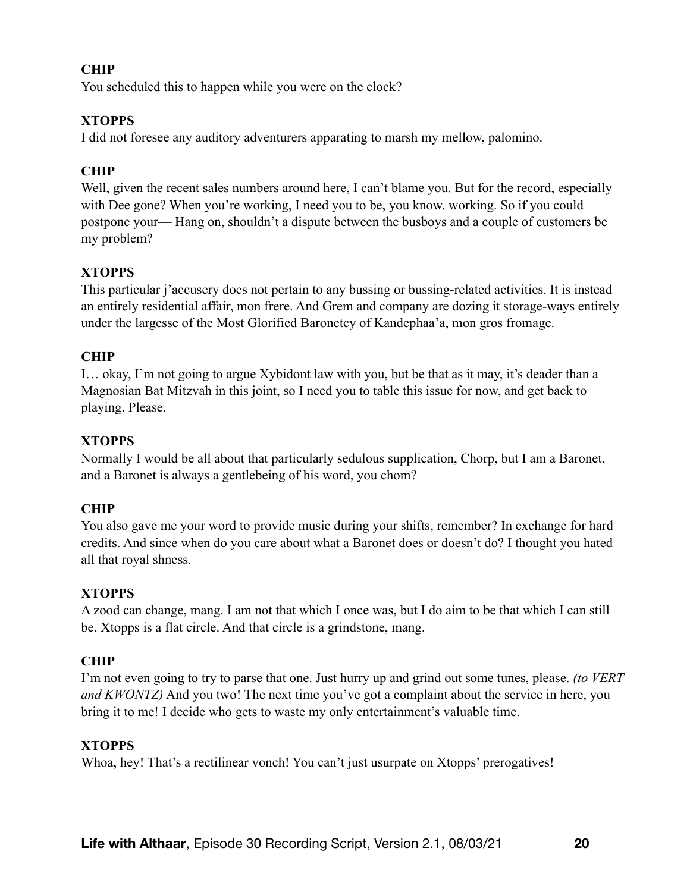### **CHIP**

You scheduled this to happen while you were on the clock?

### **XTOPPS**

I did not foresee any auditory adventurers apparating to marsh my mellow, palomino.

# **CHIP**

Well, given the recent sales numbers around here, I can't blame you. But for the record, especially with Dee gone? When you're working, I need you to be, you know, working. So if you could postpone your— Hang on, shouldn't a dispute between the busboys and a couple of customers be my problem?

### **XTOPPS**

This particular j'accusery does not pertain to any bussing or bussing-related activities. It is instead an entirely residential affair, mon frere. And Grem and company are dozing it storage-ways entirely under the largesse of the Most Glorified Baronetcy of Kandephaa'a, mon gros fromage.

### **CHIP**

I… okay, I'm not going to argue Xybidont law with you, but be that as it may, it's deader than a Magnosian Bat Mitzvah in this joint, so I need you to table this issue for now, and get back to playing. Please.

# **XTOPPS**

Normally I would be all about that particularly sedulous supplication, Chorp, but I am a Baronet, and a Baronet is always a gentlebeing of his word, you chom?

### **CHIP**

You also gave me your word to provide music during your shifts, remember? In exchange for hard credits. And since when do you care about what a Baronet does or doesn't do? I thought you hated all that royal shness.

### **XTOPPS**

A zood can change, mang. I am not that which I once was, but I do aim to be that which I can still be. Xtopps is a flat circle. And that circle is a grindstone, mang.

### **CHIP**

I'm not even going to try to parse that one. Just hurry up and grind out some tunes, please. *(to VERT and KWONTZ)* And you two! The next time you've got a complaint about the service in here, you bring it to me! I decide who gets to waste my only entertainment's valuable time.

### **XTOPPS**

Whoa, hey! That's a rectilinear vonch! You can't just usurpate on Xtopps' prerogatives!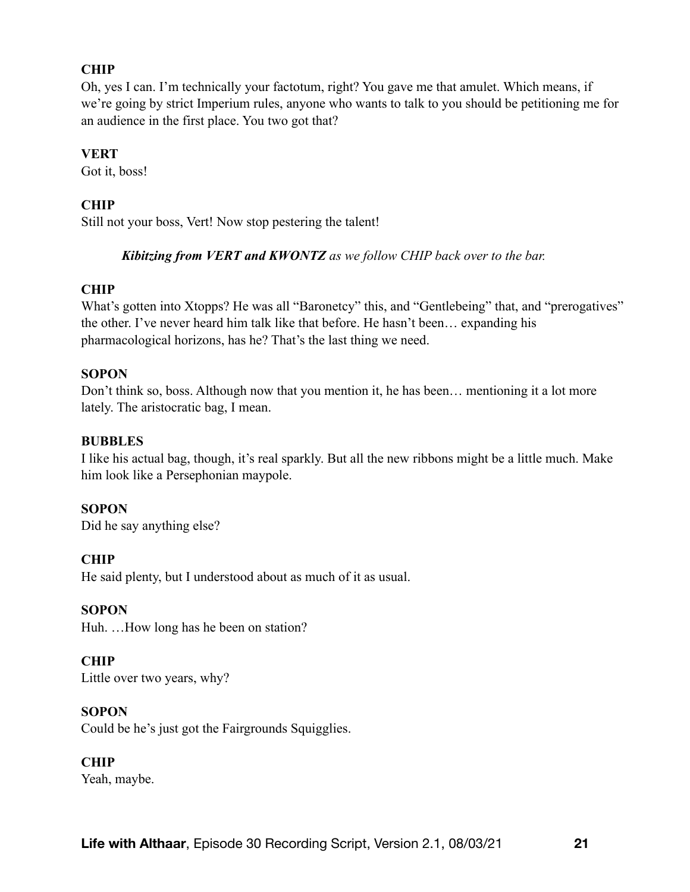### **CHIP**

Oh, yes I can. I'm technically your factotum, right? You gave me that amulet. Which means, if we're going by strict Imperium rules, anyone who wants to talk to you should be petitioning me for an audience in the first place. You two got that?

#### **VERT**

Got it, boss!

### **CHIP**

Still not your boss, Vert! Now stop pestering the talent!

### *Kibitzing from VERT and KWONTZ as we follow CHIP back over to the bar.*

#### **CHIP**

What's gotten into Xtopps? He was all "Baronetcy" this, and "Gentlebeing" that, and "prerogatives" the other. I've never heard him talk like that before. He hasn't been… expanding his pharmacological horizons, has he? That's the last thing we need.

### **SOPON**

Don't think so, boss. Although now that you mention it, he has been… mentioning it a lot more lately. The aristocratic bag, I mean.

#### **BUBBLES**

I like his actual bag, though, it's real sparkly. But all the new ribbons might be a little much. Make him look like a Persephonian maypole.

### **SOPON**

Did he say anything else?

### **CHIP**

He said plenty, but I understood about as much of it as usual.

#### **SOPON**

Huh. …How long has he been on station?

### **CHIP**

Little over two years, why?

#### **SOPON**

Could be he's just got the Fairgrounds Squigglies.

### **CHIP**

Yeah, maybe.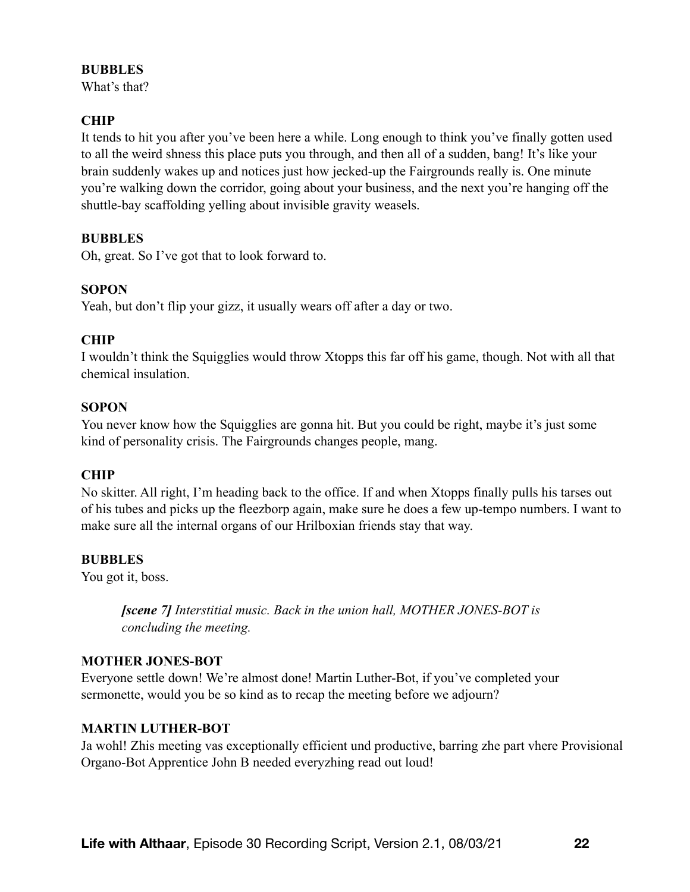### **BUBBLES**

What's that?

# **CHIP**

It tends to hit you after you've been here a while. Long enough to think you've finally gotten used to all the weird shness this place puts you through, and then all of a sudden, bang! It's like your brain suddenly wakes up and notices just how jecked-up the Fairgrounds really is. One minute you're walking down the corridor, going about your business, and the next you're hanging off the shuttle-bay scaffolding yelling about invisible gravity weasels.

### **BUBBLES**

Oh, great. So I've got that to look forward to.

### **SOPON**

Yeah, but don't flip your gizz, it usually wears off after a day or two.

### **CHIP**

I wouldn't think the Squigglies would throw Xtopps this far off his game, though. Not with all that chemical insulation.

### **SOPON**

You never know how the Squigglies are gonna hit. But you could be right, maybe it's just some kind of personality crisis. The Fairgrounds changes people, mang.

### **CHIP**

No skitter. All right, I'm heading back to the office. If and when Xtopps finally pulls his tarses out of his tubes and picks up the fleezborp again, make sure he does a few up-tempo numbers. I want to make sure all the internal organs of our Hrilboxian friends stay that way.

### **BUBBLES**

You got it, boss.

*[scene 7] Interstitial music. Back in the union hall, MOTHER JONES-BOT is concluding the meeting.* 

### **MOTHER JONES-BOT**

Everyone settle down! We're almost done! Martin Luther-Bot, if you've completed your sermonette, would you be so kind as to recap the meeting before we adjourn?

### **MARTIN LUTHER-BOT**

Ja wohl! Zhis meeting vas exceptionally efficient und productive, barring zhe part vhere Provisional Organo-Bot Apprentice John B needed everyzhing read out loud!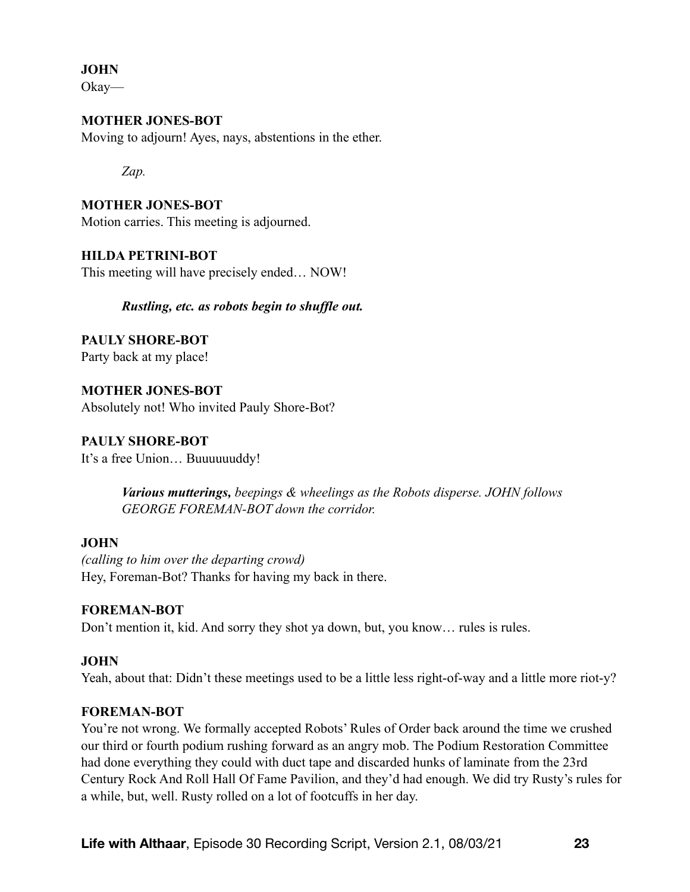**JOHN** 

Okay—

### **MOTHER JONES-BOT**

Moving to adjourn! Ayes, nays, abstentions in the ether.

*Zap.* 

**MOTHER JONES-BOT**  Motion carries. This meeting is adjourned.

### **HILDA PETRINI-BOT**

This meeting will have precisely ended… NOW!

### *Rustling, etc. as robots begin to shuffle out.*

**PAULY SHORE-BOT**  Party back at my place!

**MOTHER JONES-BOT**  Absolutely not! Who invited Pauly Shore-Bot?

**PAULY SHORE-BOT**  It's a free Union… Buuuuuuddy!

> *Various mutterings, beepings & wheelings as the Robots disperse. JOHN follows GEORGE FOREMAN-BOT down the corridor.*

### **JOHN**

*(calling to him over the departing crowd)*  Hey, Foreman-Bot? Thanks for having my back in there.

### **FOREMAN-BOT**

Don't mention it, kid. And sorry they shot ya down, but, you know… rules is rules.

# **JOHN**

Yeah, about that: Didn't these meetings used to be a little less right-of-way and a little more riot-y?

### **FOREMAN-BOT**

You're not wrong. We formally accepted Robots' Rules of Order back around the time we crushed our third or fourth podium rushing forward as an angry mob. The Podium Restoration Committee had done everything they could with duct tape and discarded hunks of laminate from the 23rd Century Rock And Roll Hall Of Fame Pavilion, and they'd had enough. We did try Rusty's rules for a while, but, well. Rusty rolled on a lot of footcuffs in her day.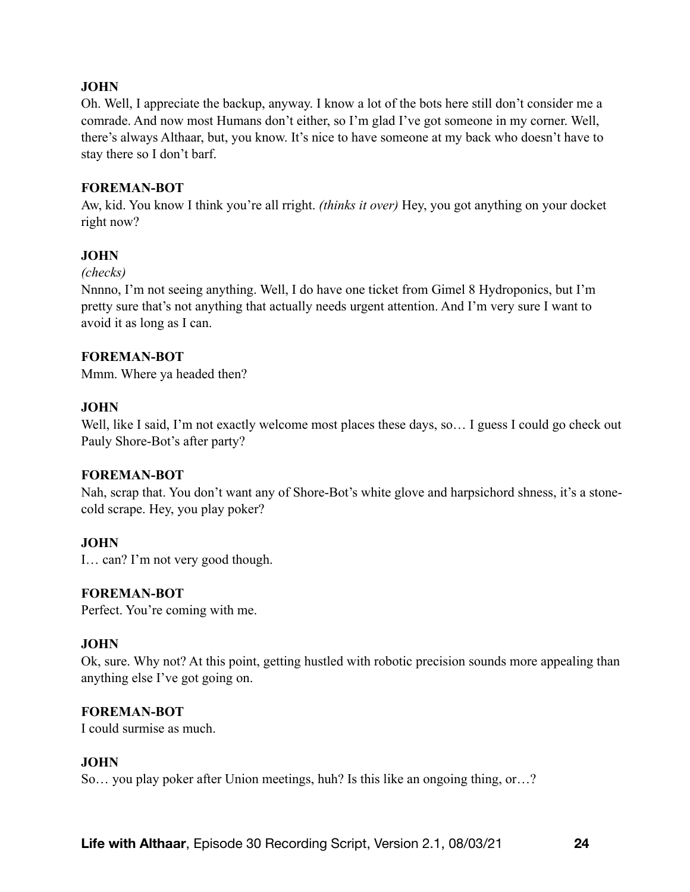### **JOHN**

Oh. Well, I appreciate the backup, anyway. I know a lot of the bots here still don't consider me a comrade. And now most Humans don't either, so I'm glad I've got someone in my corner. Well, there's always Althaar, but, you know. It's nice to have someone at my back who doesn't have to stay there so I don't barf.

#### **FOREMAN-BOT**

Aw, kid. You know I think you're all rright. *(thinks it over)* Hey, you got anything on your docket right now?

### **JOHN**

#### *(checks)*

Nnnno, I'm not seeing anything. Well, I do have one ticket from Gimel 8 Hydroponics, but I'm pretty sure that's not anything that actually needs urgent attention. And I'm very sure I want to avoid it as long as I can.

#### **FOREMAN-BOT**

Mmm. Where ya headed then?

#### **JOHN**

Well, like I said, I'm not exactly welcome most places these days, so... I guess I could go check out Pauly Shore-Bot's after party?

#### **FOREMAN-BOT**

Nah, scrap that. You don't want any of Shore-Bot's white glove and harpsichord shness, it's a stonecold scrape. Hey, you play poker?

#### **JOHN**

I… can? I'm not very good though.

#### **FOREMAN-BOT**

Perfect. You're coming with me.

#### **JOHN**

Ok, sure. Why not? At this point, getting hustled with robotic precision sounds more appealing than anything else I've got going on.

#### **FOREMAN-BOT**

I could surmise as much.

#### **JOHN**

So… you play poker after Union meetings, huh? Is this like an ongoing thing, or…?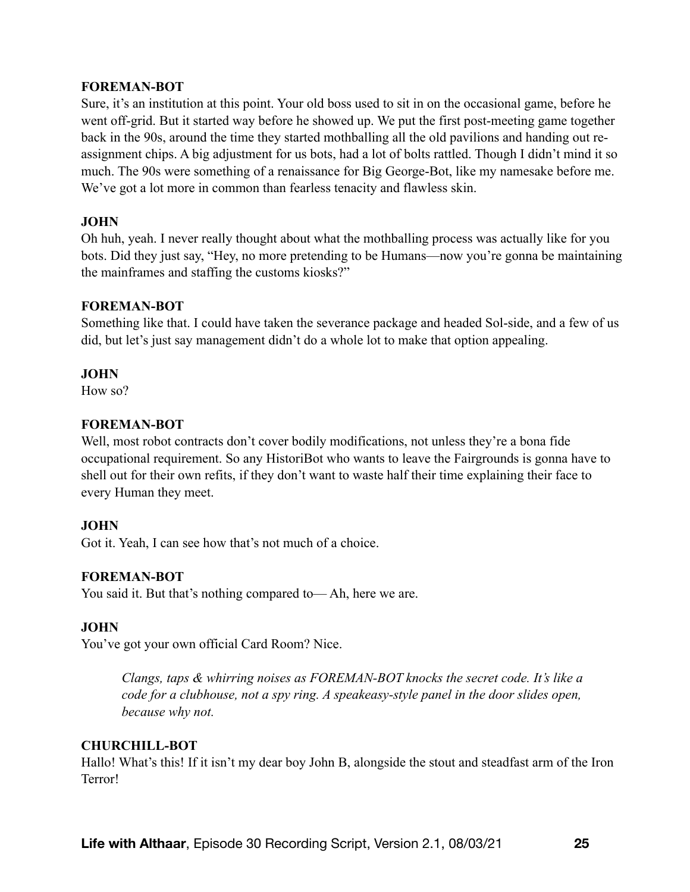#### **FOREMAN-BOT**

Sure, it's an institution at this point. Your old boss used to sit in on the occasional game, before he went off-grid. But it started way before he showed up. We put the first post-meeting game together back in the 90s, around the time they started mothballing all the old pavilions and handing out reassignment chips. A big adjustment for us bots, had a lot of bolts rattled. Though I didn't mind it so much. The 90s were something of a renaissance for Big George-Bot, like my namesake before me. We've got a lot more in common than fearless tenacity and flawless skin.

#### **JOHN**

Oh huh, yeah. I never really thought about what the mothballing process was actually like for you bots. Did they just say, "Hey, no more pretending to be Humans—now you're gonna be maintaining the mainframes and staffing the customs kiosks?"

#### **FOREMAN-BOT**

Something like that. I could have taken the severance package and headed Sol-side, and a few of us did, but let's just say management didn't do a whole lot to make that option appealing.

#### **JOHN**

How so?

#### **FOREMAN-BOT**

Well, most robot contracts don't cover bodily modifications, not unless they're a bona fide occupational requirement. So any HistoriBot who wants to leave the Fairgrounds is gonna have to shell out for their own refits, if they don't want to waste half their time explaining their face to every Human they meet.

### **JOHN**

Got it. Yeah, I can see how that's not much of a choice.

### **FOREMAN-BOT**

You said it. But that's nothing compared to— Ah, here we are.

### **JOHN**

You've got your own official Card Room? Nice.

*Clangs, taps & whirring noises as FOREMAN-BOT knocks the secret code. It's like a code for a clubhouse, not a spy ring. A speakeasy-style panel in the door slides open, because why not.* 

#### **CHURCHILL-BOT**

Hallo! What's this! If it isn't my dear boy John B, alongside the stout and steadfast arm of the Iron Terror!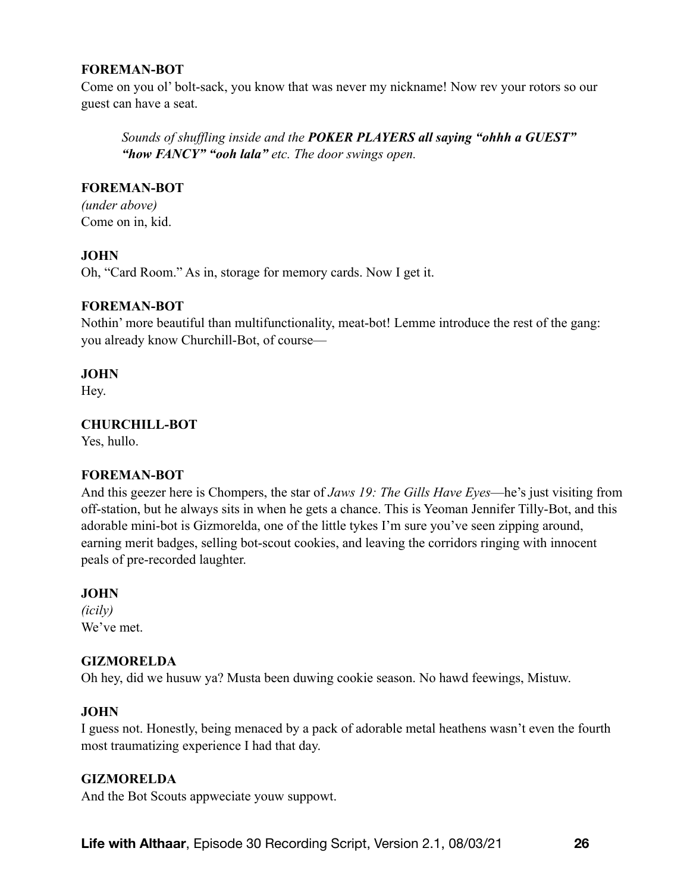### **FOREMAN-BOT**

Come on you ol' bolt-sack, you know that was never my nickname! Now rev your rotors so our guest can have a seat.

*Sounds of shuffling inside and the POKER PLAYERS all saying "ohhh a GUEST" "how FANCY" "ooh lala" etc. The door swings open.* 

### **FOREMAN-BOT**

*(under above)*  Come on in, kid.

### **JOHN**

Oh, "Card Room." As in, storage for memory cards. Now I get it.

### **FOREMAN-BOT**

Nothin' more beautiful than multifunctionality, meat-bot! Lemme introduce the rest of the gang: you already know Churchill-Bot, of course—

### **JOHN**

Hey.

# **CHURCHILL-BOT**

Yes, hullo.

# **FOREMAN-BOT**

And this geezer here is Chompers, the star of *Jaws 19: The Gills Have Eyes*—he's just visiting from off-station, but he always sits in when he gets a chance. This is Yeoman Jennifer Tilly-Bot, and this adorable mini-bot is Gizmorelda, one of the little tykes I'm sure you've seen zipping around, earning merit badges, selling bot-scout cookies, and leaving the corridors ringing with innocent peals of pre-recorded laughter.

### **JOHN**

*(icily)*  We've met.

### **GIZMORELDA**

Oh hey, did we husuw ya? Musta been duwing cookie season. No hawd feewings, Mistuw.

# **JOHN**

I guess not. Honestly, being menaced by a pack of adorable metal heathens wasn't even the fourth most traumatizing experience I had that day.

### **GIZMORELDA**

And the Bot Scouts appweciate youw suppowt.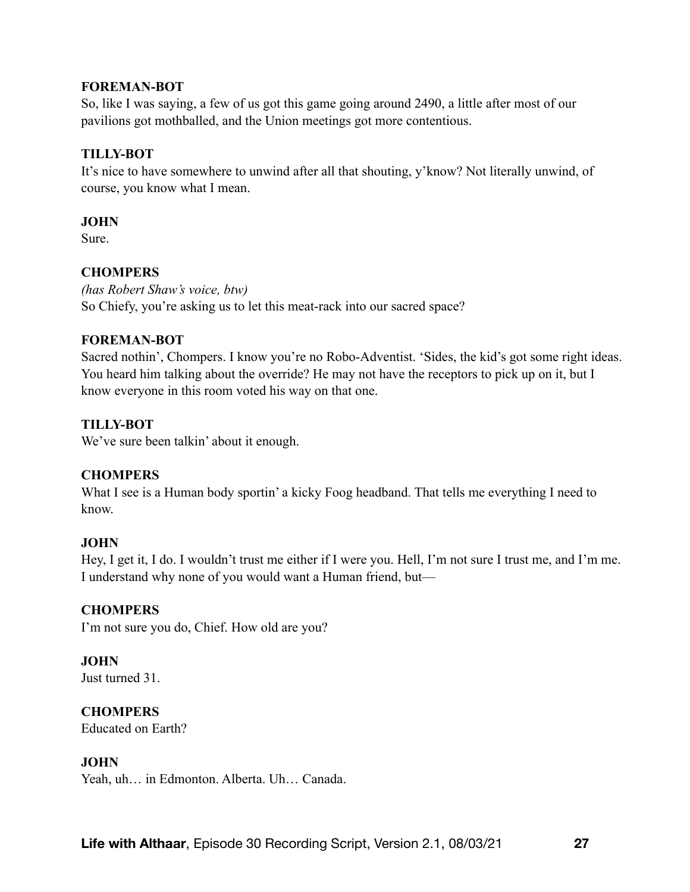#### **FOREMAN-BOT**

So, like I was saying, a few of us got this game going around 2490, a little after most of our pavilions got mothballed, and the Union meetings got more contentious.

### **TILLY-BOT**

It's nice to have somewhere to unwind after all that shouting, y'know? Not literally unwind, of course, you know what I mean.

### **JOHN**

Sure.

# **CHOMPERS**

*(has Robert Shaw's voice, btw)*  So Chiefy, you're asking us to let this meat-rack into our sacred space?

### **FOREMAN-BOT**

Sacred nothin', Chompers. I know you're no Robo-Adventist. 'Sides, the kid's got some right ideas. You heard him talking about the override? He may not have the receptors to pick up on it, but I know everyone in this room voted his way on that one.

# **TILLY-BOT**

We've sure been talkin' about it enough.

# **CHOMPERS**

What I see is a Human body sportin' a kicky Foog headband. That tells me everything I need to know.

### **JOHN**

Hey, I get it, I do. I wouldn't trust me either if I were you. Hell, I'm not sure I trust me, and I'm me. I understand why none of you would want a Human friend, but—

# **CHOMPERS**

I'm not sure you do, Chief. How old are you?

# **JOHN**

Just turned 31.

### **CHOMPERS**

Educated on Earth?

### **JOHN**

Yeah, uh… in Edmonton. Alberta. Uh… Canada.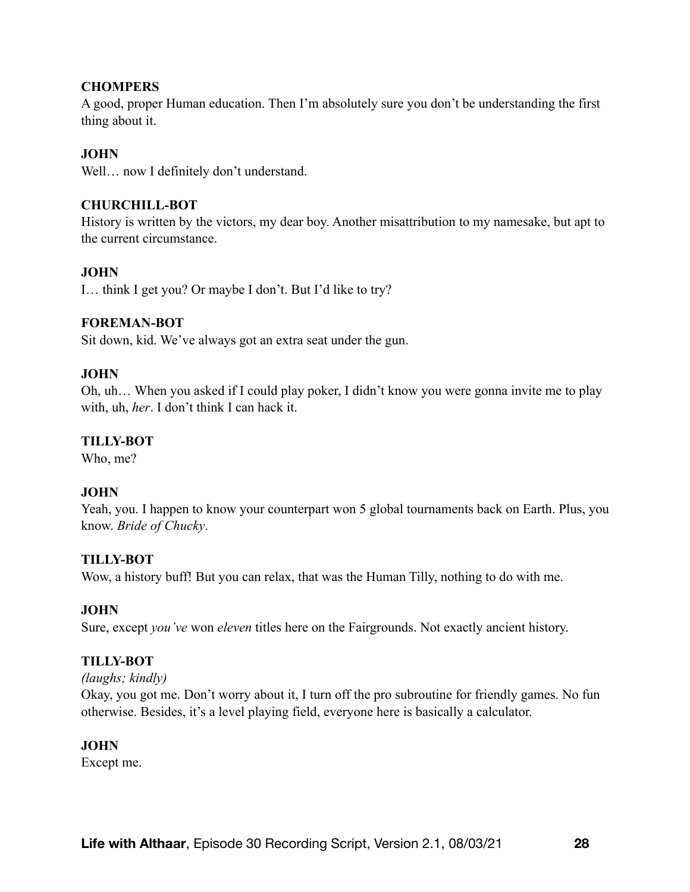### **CHOMPERS**

A good, proper Human education. Then I'm absolutely sure you don't be understanding the first thing about it.

# **JOHN**

Well... now I definitely don't understand.

### **CHURCHILL-BOT**

History is written by the victors, my dear boy. Another misattribution to my namesake, but apt to the current circumstance.

### **JOHN**

I… think I get you? Or maybe I don't. But I'd like to try?

### **FOREMAN-BOT**

Sit down, kid. We've always got an extra seat under the gun.

### **JOHN**

Oh, uh… When you asked if I could play poker, I didn't know you were gonna invite me to play with, uh, *her*. I don't think I can hack it.

# **TILLY-BOT**

Who, me?

# **JOHN**

Yeah, you. I happen to know your counterpart won 5 global tournaments back on Earth. Plus, you know. *Bride of Chucky*.

### **TILLY-BOT**

Wow, a history buff! But you can relax, that was the Human Tilly, nothing to do with me.

# **JOHN**

Sure, except *you've* won *eleven* titles here on the Fairgrounds. Not exactly ancient history.

# **TILLY-BOT**

### *(laughs; kindly)*

Okay, you got me. Don't worry about it, I turn off the pro subroutine for friendly games. No fun otherwise. Besides, it's a level playing field, everyone here is basically a calculator.

### **JOHN**

Except me.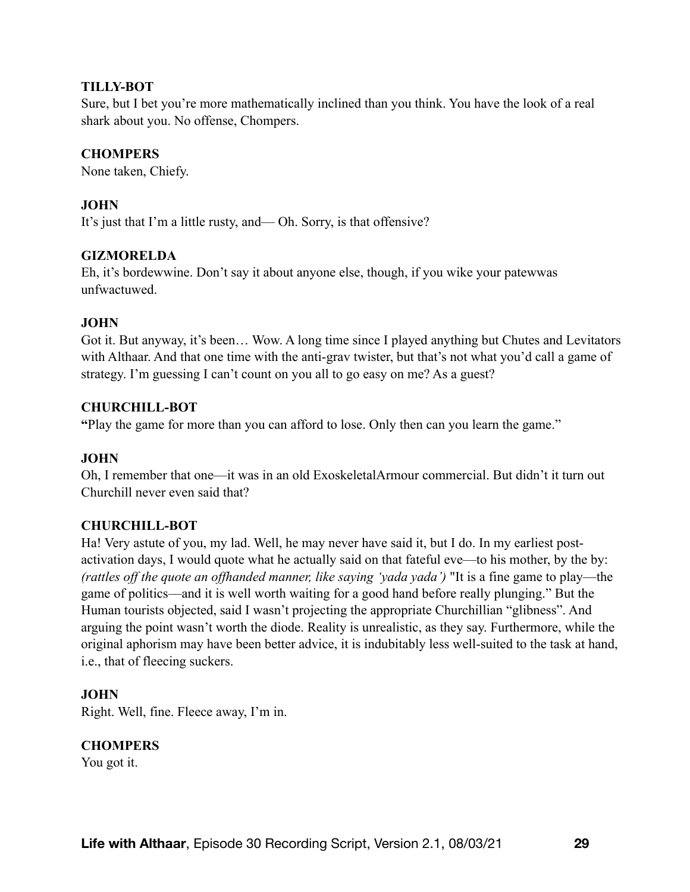### **TILLY-BOT**

Sure, but I bet you're more mathematically inclined than you think. You have the look of a real shark about you. No offense, Chompers.

# **CHOMPERS**

None taken, Chiefy.

# **JOHN**

It's just that I'm a little rusty, and— Oh. Sorry, is that offensive?

# **GIZMORELDA**

Eh, it's bordewwine. Don't say it about anyone else, though, if you wike your patewwas unfwactuwed.

# **JOHN**

Got it. But anyway, it's been… Wow. A long time since I played anything but Chutes and Levitators with Althaar. And that one time with the anti-grav twister, but that's not what you'd call a game of strategy. I'm guessing I can't count on you all to go easy on me? As a guest?

### **CHURCHILL-BOT**

**"**Play the game for more than you can afford to lose. Only then can you learn the game."

### **JOHN**

Oh, I remember that one—it was in an old ExoskeletalArmour commercial. But didn't it turn out Churchill never even said that?

# **CHURCHILL-BOT**

Ha! Very astute of you, my lad. Well, he may never have said it, but I do. In my earliest postactivation days, I would quote what he actually said on that fateful eve—to his mother, by the by: *(rattles off the quote an offhanded manner, like saying 'yada yada')* "It is a fine game to play—the game of politics—and it is well worth waiting for a good hand before really plunging." But the Human tourists objected, said I wasn't projecting the appropriate Churchillian "glibness". And arguing the point wasn't worth the diode. Reality is unrealistic, as they say. Furthermore, while the original aphorism may have been better advice, it is indubitably less well-suited to the task at hand, i.e., that of fleecing suckers.

# **JOHN**

Right. Well, fine. Fleece away, I'm in.

# **CHOMPERS**

You got it.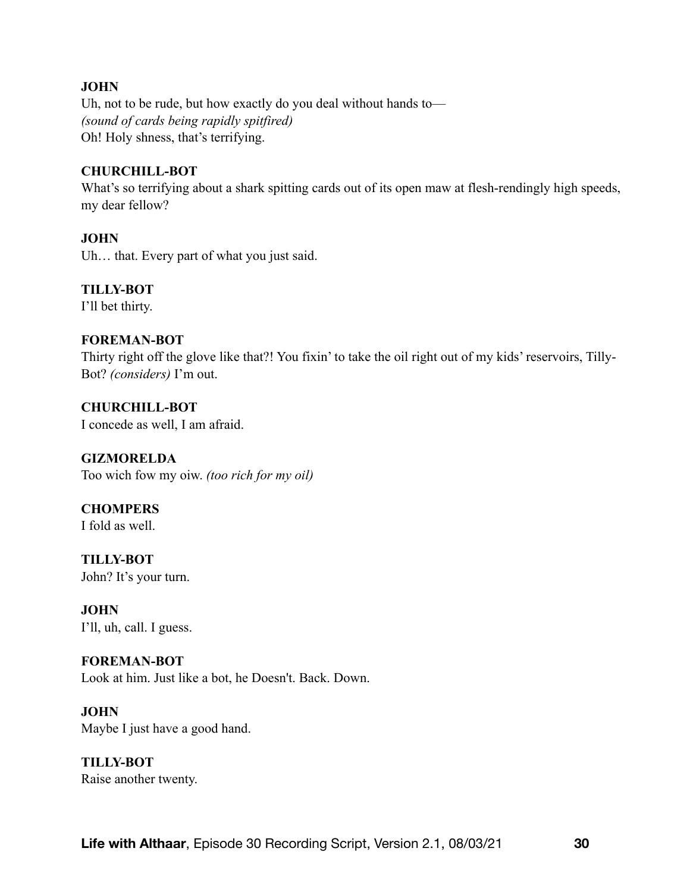### **JOHN**

Uh, not to be rude, but how exactly do you deal without hands to— *(sound of cards being rapidly spitfired)*  Oh! Holy shness, that's terrifying.

#### **CHURCHILL-BOT**

What's so terrifying about a shark spitting cards out of its open maw at flesh-rendingly high speeds, my dear fellow?

#### **JOHN**

Uh… that. Every part of what you just said.

#### **TILLY-BOT**

I'll bet thirty.

#### **FOREMAN-BOT**

Thirty right off the glove like that?! You fixin' to take the oil right out of my kids' reservoirs, Tilly-Bot? *(considers)* I'm out.

**CHURCHILL-BOT**  I concede as well, I am afraid.

**GIZMORELDA**  Too wich fow my oiw. *(too rich for my oil)*

**CHOMPERS**  I fold as well.

**TILLY-BOT**  John? It's your turn.

**JOHN**  I'll, uh, call. I guess.

### **FOREMAN-BOT**

Look at him. Just like a bot, he Doesn't. Back. Down.

**JOHN** 

Maybe I just have a good hand.

**TILLY-BOT**  Raise another twenty.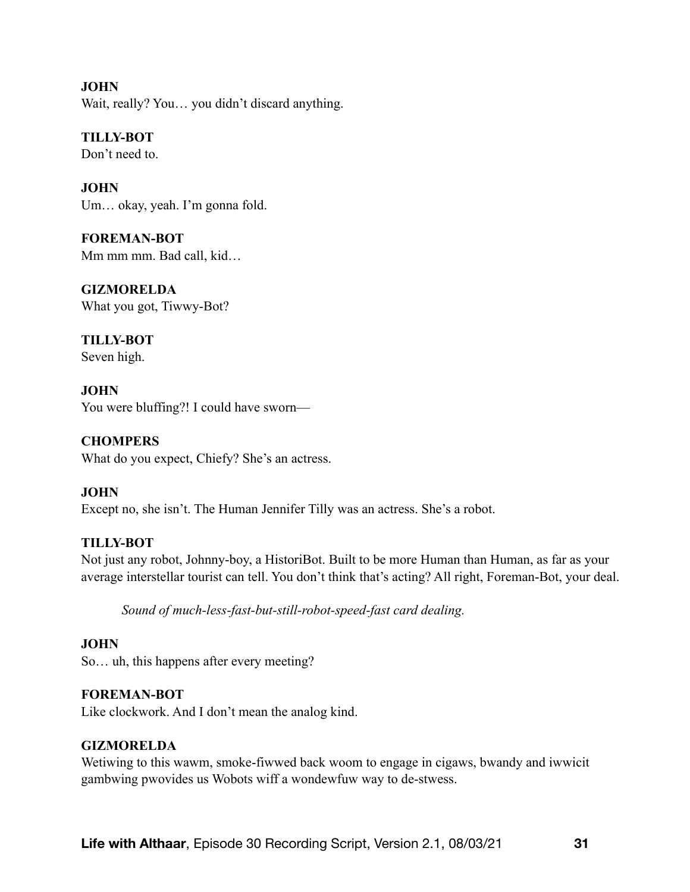**JOHN**  Wait, really? You... you didn't discard anything.

**TILLY-BOT**  Don't need to.

**JOHN**  Um… okay, yeah. I'm gonna fold.

**FOREMAN-BOT**  Mm mm mm. Bad call, kid…

**GIZMORELDA**  What you got, Tiwwy-Bot?

**TILLY-BOT**  Seven high.

**JOHN**  You were bluffing?! I could have sworn—

**CHOMPERS**  What do you expect, Chiefy? She's an actress.

# **JOHN**

Except no, she isn't. The Human Jennifer Tilly was an actress. She's a robot.

# **TILLY-BOT**

Not just any robot, Johnny-boy, a HistoriBot. Built to be more Human than Human, as far as your average interstellar tourist can tell. You don't think that's acting? All right, Foreman-Bot, your deal.

*Sound of much-less-fast-but-still-robot-speed-fast card dealing.* 

# **JOHN**

So… uh, this happens after every meeting?

# **FOREMAN-BOT**

Like clockwork. And I don't mean the analog kind.

### **GIZMORELDA**

Wetiwing to this wawm, smoke-fiwwed back woom to engage in cigaws, bwandy and iwwicit gambwing pwovides us Wobots wiff a wondewfuw way to de-stwess.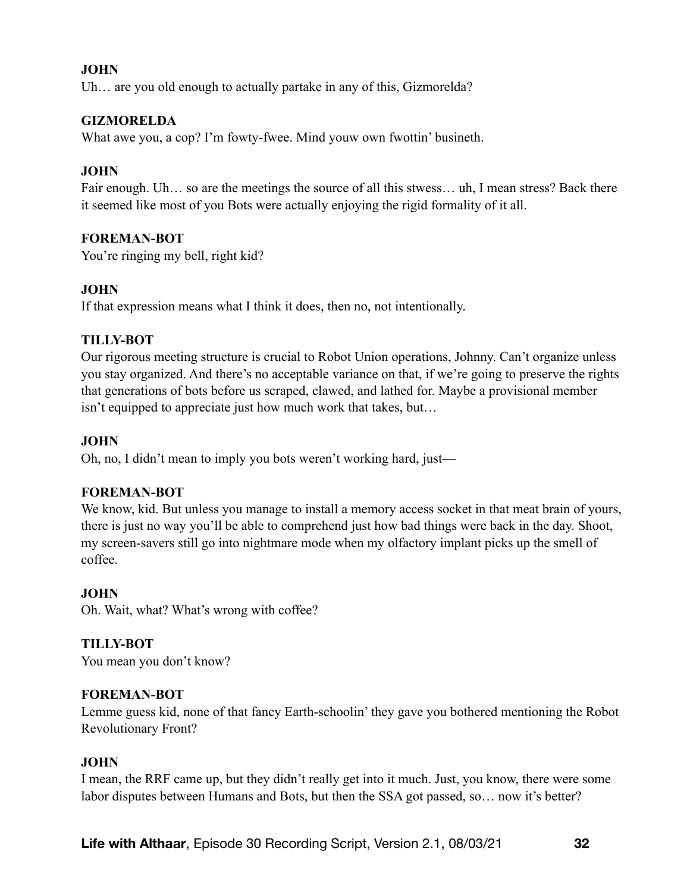### **JOHN**

Uh... are you old enough to actually partake in any of this, Gizmorelda?

### **GIZMORELDA**

What awe you, a cop? I'm fowty-fwee. Mind youw own fwottin' busineth.

### **JOHN**

Fair enough. Uh… so are the meetings the source of all this stwess… uh, I mean stress? Back there it seemed like most of you Bots were actually enjoying the rigid formality of it all.

### **FOREMAN-BOT**

You're ringing my bell, right kid?

### **JOHN**

If that expression means what I think it does, then no, not intentionally.

### **TILLY-BOT**

Our rigorous meeting structure is crucial to Robot Union operations, Johnny. Can't organize unless you stay organized. And there's no acceptable variance on that, if we're going to preserve the rights that generations of bots before us scraped, clawed, and lathed for. Maybe a provisional member isn't equipped to appreciate just how much work that takes, but…

### **JOHN**

Oh, no, I didn't mean to imply you bots weren't working hard, just—

### **FOREMAN-BOT**

We know, kid. But unless you manage to install a memory access socket in that meat brain of yours, there is just no way you'll be able to comprehend just how bad things were back in the day. Shoot, my screen-savers still go into nightmare mode when my olfactory implant picks up the smell of coffee.

### **JOHN**

Oh. Wait, what? What's wrong with coffee?

# **TILLY-BOT**

You mean you don't know?

### **FOREMAN-BOT**

Lemme guess kid, none of that fancy Earth-schoolin' they gave you bothered mentioning the Robot Revolutionary Front?

### **JOHN**

I mean, the RRF came up, but they didn't really get into it much. Just, you know, there were some labor disputes between Humans and Bots, but then the SSA got passed, so… now it's better?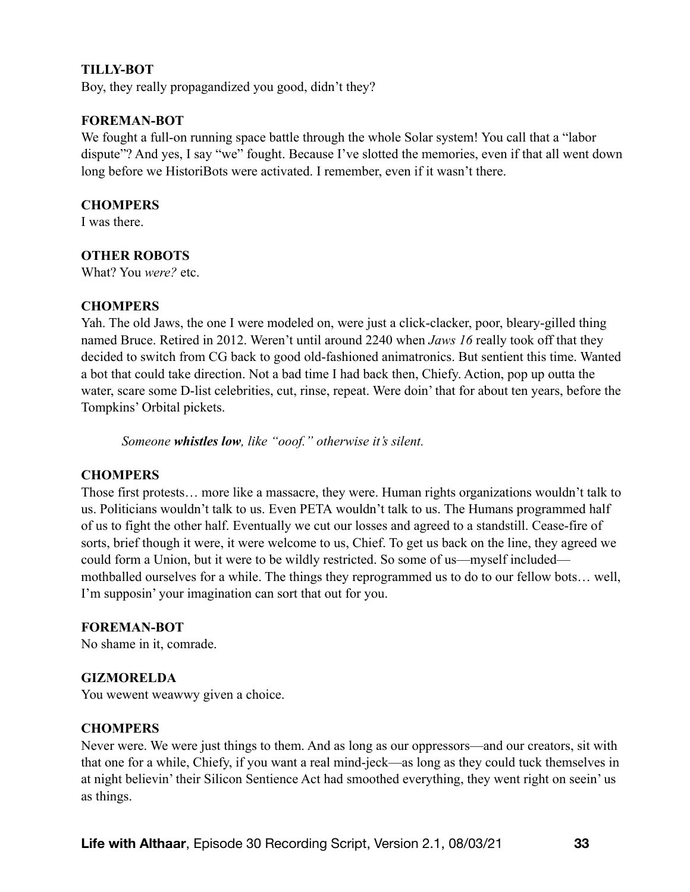#### **TILLY-BOT**

Boy, they really propagandized you good, didn't they?

#### **FOREMAN-BOT**

We fought a full-on running space battle through the whole Solar system! You call that a "labor" dispute"? And yes, I say "we" fought. Because I've slotted the memories, even if that all went down long before we HistoriBots were activated. I remember, even if it wasn't there.

#### **CHOMPERS**

I was there.

#### **OTHER ROBOTS**

What? You *were?* etc.

#### **CHOMPERS**

Yah. The old Jaws, the one I were modeled on, were just a click-clacker, poor, bleary-gilled thing named Bruce. Retired in 2012. Weren't until around 2240 when *Jaws 16* really took off that they decided to switch from CG back to good old-fashioned animatronics. But sentient this time. Wanted a bot that could take direction. Not a bad time I had back then, Chiefy. Action, pop up outta the water, scare some D-list celebrities, cut, rinse, repeat. Were doin' that for about ten years, before the Tompkins' Orbital pickets.

*Someone whistles low, like "ooof." otherwise it's silent.* 

#### **CHOMPERS**

Those first protests… more like a massacre, they were. Human rights organizations wouldn't talk to us. Politicians wouldn't talk to us. Even PETA wouldn't talk to us. The Humans programmed half of us to fight the other half. Eventually we cut our losses and agreed to a standstill. Cease-fire of sorts, brief though it were, it were welcome to us, Chief. To get us back on the line, they agreed we could form a Union, but it were to be wildly restricted. So some of us—myself included mothballed ourselves for a while. The things they reprogrammed us to do to our fellow bots… well, I'm supposin' your imagination can sort that out for you.

#### **FOREMAN-BOT**

No shame in it, comrade.

#### **GIZMORELDA**

You wewent weawwy given a choice.

#### **CHOMPERS**

Never were. We were just things to them. And as long as our oppressors—and our creators, sit with that one for a while, Chiefy, if you want a real mind-jeck—as long as they could tuck themselves in at night believin' their Silicon Sentience Act had smoothed everything, they went right on seein' us as things.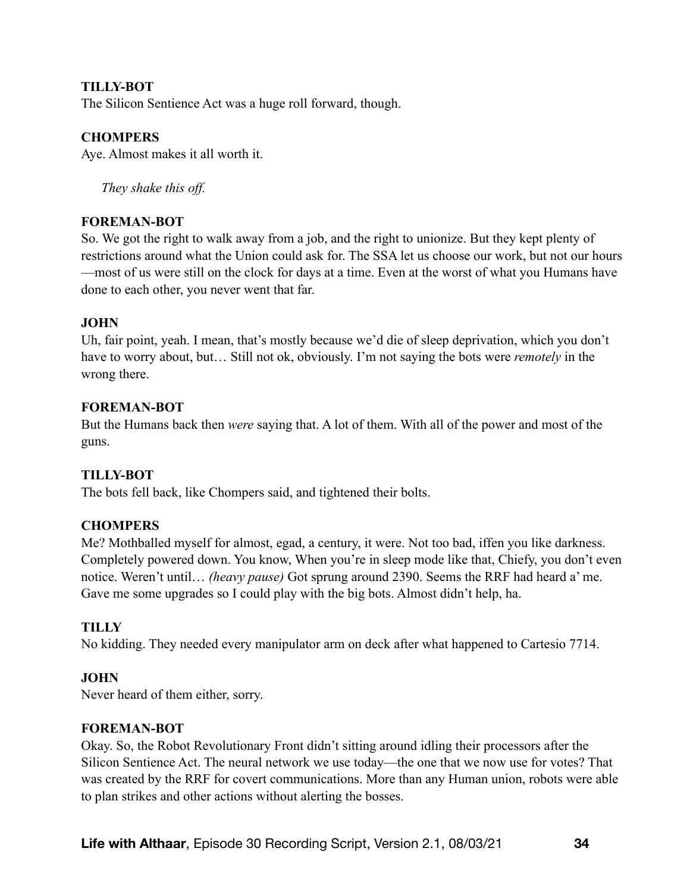### **TILLY-BOT**

The Silicon Sentience Act was a huge roll forward, though.

### **CHOMPERS**

Aye. Almost makes it all worth it.

*They shake this off.* 

#### **FOREMAN-BOT**

So. We got the right to walk away from a job, and the right to unionize. But they kept plenty of restrictions around what the Union could ask for. The SSA let us choose our work, but not our hours —most of us were still on the clock for days at a time. Even at the worst of what you Humans have done to each other, you never went that far.

#### **JOHN**

Uh, fair point, yeah. I mean, that's mostly because we'd die of sleep deprivation, which you don't have to worry about, but… Still not ok, obviously. I'm not saying the bots were *remotely* in the wrong there.

#### **FOREMAN-BOT**

But the Humans back then *were* saying that. A lot of them. With all of the power and most of the guns.

#### **TILLY-BOT**

The bots fell back, like Chompers said, and tightened their bolts.

### **CHOMPERS**

Me? Mothballed myself for almost, egad, a century, it were. Not too bad, iffen you like darkness. Completely powered down. You know, When you're in sleep mode like that, Chiefy, you don't even notice. Weren't until… *(heavy pause)* Got sprung around 2390. Seems the RRF had heard a' me. Gave me some upgrades so I could play with the big bots. Almost didn't help, ha.

### **TILLY**

No kidding. They needed every manipulator arm on deck after what happened to Cartesio 7714.

#### **JOHN**

Never heard of them either, sorry.

#### **FOREMAN-BOT**

Okay. So, the Robot Revolutionary Front didn't sitting around idling their processors after the Silicon Sentience Act. The neural network we use today—the one that we now use for votes? That was created by the RRF for covert communications. More than any Human union, robots were able to plan strikes and other actions without alerting the bosses.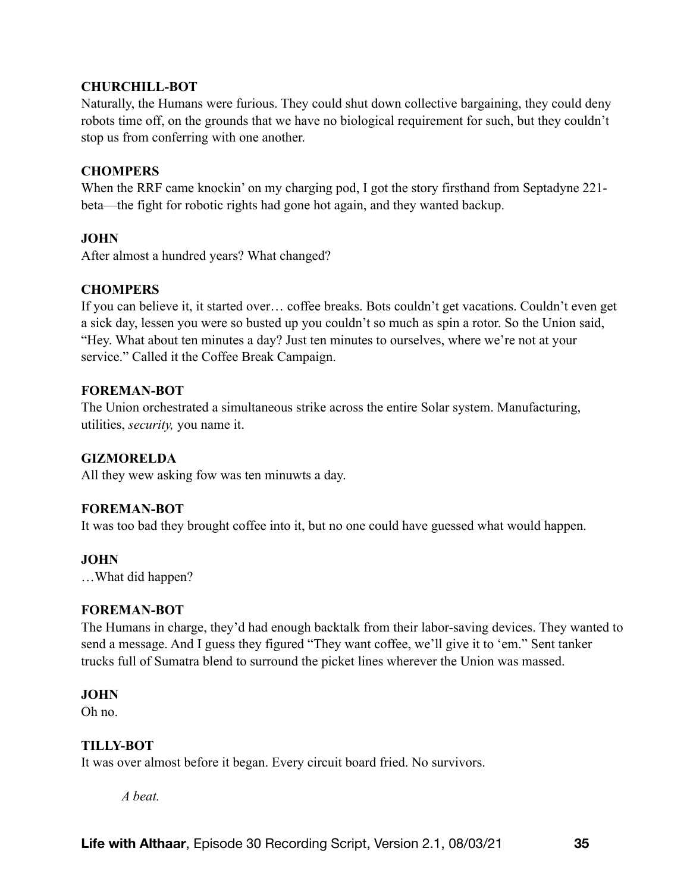### **CHURCHILL-BOT**

Naturally, the Humans were furious. They could shut down collective bargaining, they could deny robots time off, on the grounds that we have no biological requirement for such, but they couldn't stop us from conferring with one another.

### **CHOMPERS**

When the RRF came knockin' on my charging pod, I got the story firsthand from Septadyne 221 beta—the fight for robotic rights had gone hot again, and they wanted backup.

### **JOHN**

After almost a hundred years? What changed?

### **CHOMPERS**

If you can believe it, it started over… coffee breaks. Bots couldn't get vacations. Couldn't even get a sick day, lessen you were so busted up you couldn't so much as spin a rotor. So the Union said, "Hey. What about ten minutes a day? Just ten minutes to ourselves, where we're not at your service." Called it the Coffee Break Campaign.

### **FOREMAN-BOT**

The Union orchestrated a simultaneous strike across the entire Solar system. Manufacturing, utilities, *security,* you name it.

### **GIZMORELDA**

All they wew asking fow was ten minuwts a day.

### **FOREMAN-BOT**

It was too bad they brought coffee into it, but no one could have guessed what would happen.

### **JOHN**

…What did happen?

### **FOREMAN-BOT**

The Humans in charge, they'd had enough backtalk from their labor-saving devices. They wanted to send a message. And I guess they figured "They want coffee, we'll give it to 'em." Sent tanker trucks full of Sumatra blend to surround the picket lines wherever the Union was massed.

### **JOHN**

Oh no.

### **TILLY-BOT**

It was over almost before it began. Every circuit board fried. No survivors.

*A beat.*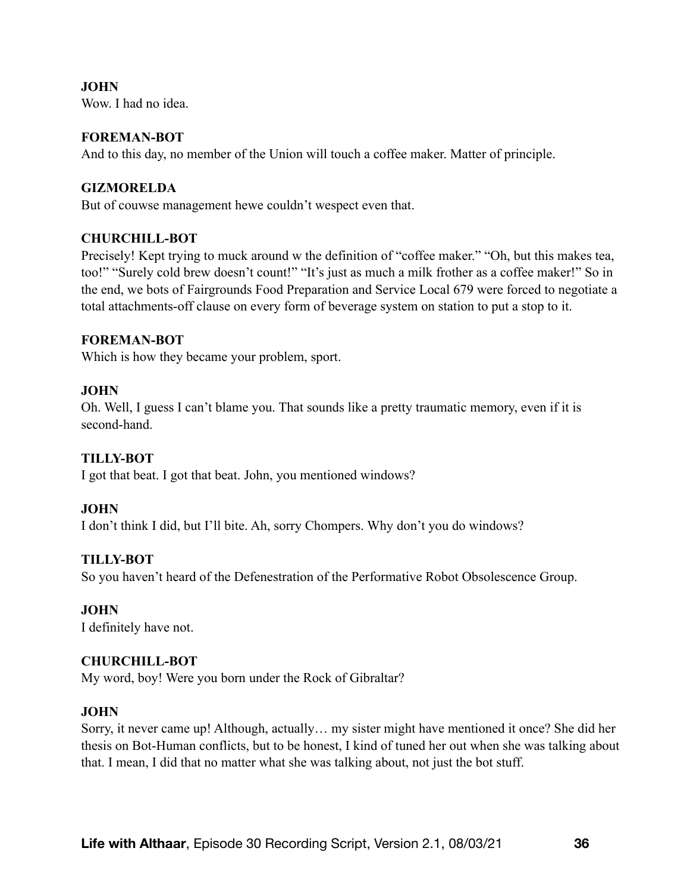**JOHN**  Wow. I had no idea.

#### **FOREMAN-BOT**

And to this day, no member of the Union will touch a coffee maker. Matter of principle.

#### **GIZMORELDA**

But of couwse management hewe couldn't wespect even that.

#### **CHURCHILL-BOT**

Precisely! Kept trying to muck around w the definition of "coffee maker." "Oh, but this makes tea, too!" "Surely cold brew doesn't count!" "It's just as much a milk frother as a coffee maker!" So in the end, we bots of Fairgrounds Food Preparation and Service Local 679 were forced to negotiate a total attachments-off clause on every form of beverage system on station to put a stop to it.

#### **FOREMAN-BOT**

Which is how they became your problem, sport.

#### **JOHN**

Oh. Well, I guess I can't blame you. That sounds like a pretty traumatic memory, even if it is second-hand.

### **TILLY-BOT**

I got that beat. I got that beat. John, you mentioned windows?

#### **JOHN**

I don't think I did, but I'll bite. Ah, sorry Chompers. Why don't you do windows?

### **TILLY-BOT**

So you haven't heard of the Defenestration of the Performative Robot Obsolescence Group.

#### **JOHN**

I definitely have not.

#### **CHURCHILL-BOT**

My word, boy! Were you born under the Rock of Gibraltar?

#### **JOHN**

Sorry, it never came up! Although, actually… my sister might have mentioned it once? She did her thesis on Bot-Human conflicts, but to be honest, I kind of tuned her out when she was talking about that. I mean, I did that no matter what she was talking about, not just the bot stuff.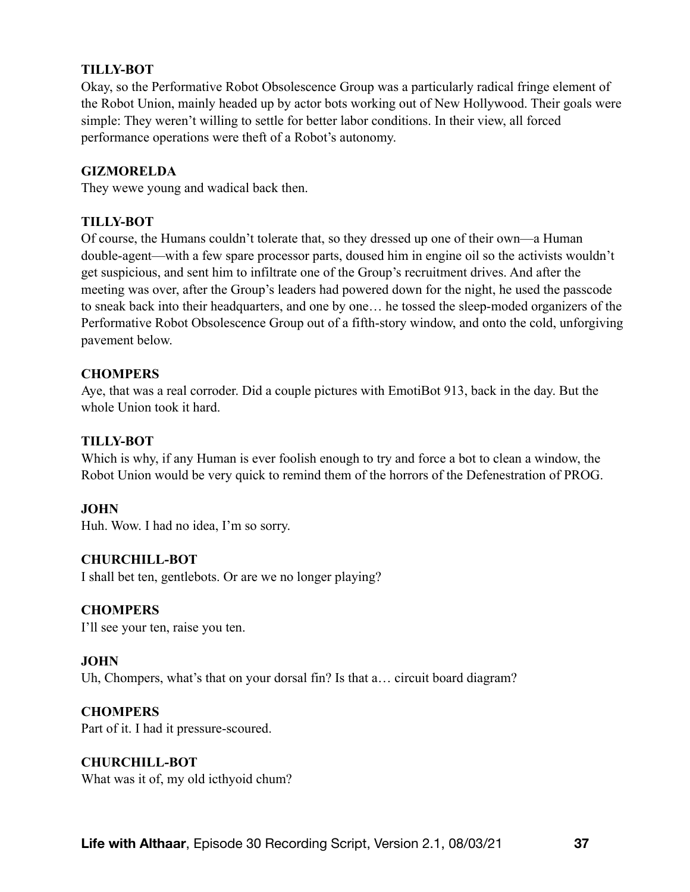### **TILLY-BOT**

Okay, so the Performative Robot Obsolescence Group was a particularly radical fringe element of the Robot Union, mainly headed up by actor bots working out of New Hollywood. Their goals were simple: They weren't willing to settle for better labor conditions. In their view, all forced performance operations were theft of a Robot's autonomy.

### **GIZMORELDA**

They wewe young and wadical back then.

### **TILLY-BOT**

Of course, the Humans couldn't tolerate that, so they dressed up one of their own—a Human double-agent—with a few spare processor parts, doused him in engine oil so the activists wouldn't get suspicious, and sent him to infiltrate one of the Group's recruitment drives. And after the meeting was over, after the Group's leaders had powered down for the night, he used the passcode to sneak back into their headquarters, and one by one… he tossed the sleep-moded organizers of the Performative Robot Obsolescence Group out of a fifth-story window, and onto the cold, unforgiving pavement below.

### **CHOMPERS**

Aye, that was a real corroder. Did a couple pictures with EmotiBot 913, back in the day. But the whole Union took it hard.

### **TILLY-BOT**

Which is why, if any Human is ever foolish enough to try and force a bot to clean a window, the Robot Union would be very quick to remind them of the horrors of the Defenestration of PROG.

### **JOHN**

Huh. Wow. I had no idea, I'm so sorry.

### **CHURCHILL-BOT**

I shall bet ten, gentlebots. Or are we no longer playing?

#### **CHOMPERS**

I'll see your ten, raise you ten.

#### **JOHN**

Uh, Chompers, what's that on your dorsal fin? Is that a... circuit board diagram?

#### **CHOMPERS**

Part of it. I had it pressure-scoured.

### **CHURCHILL-BOT**

What was it of, my old icthyoid chum?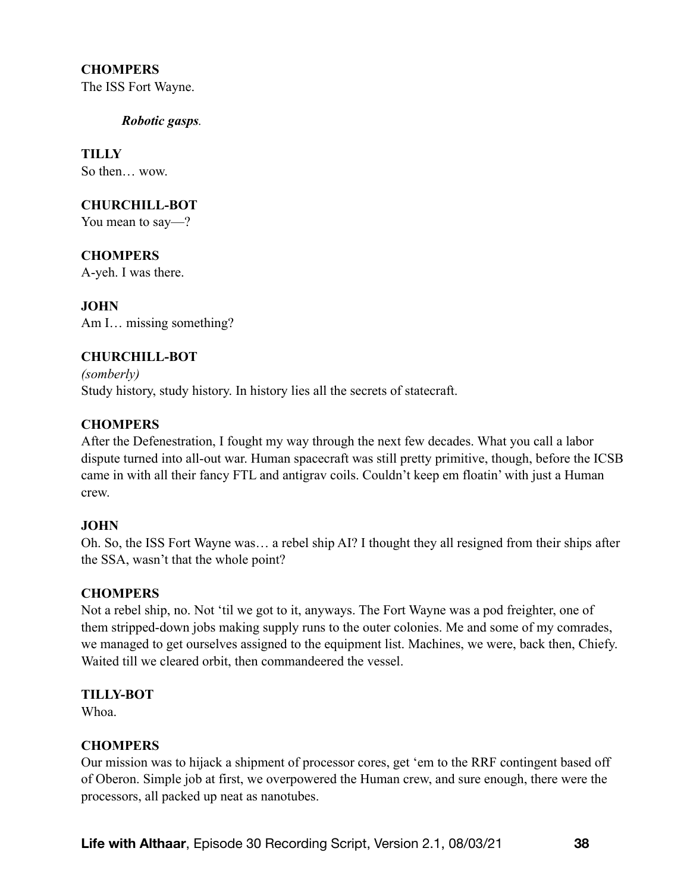### **CHOMPERS**

The ISS Fort Wayne.

*Robotic gasps.* 

**TILLY**  So then… wow.

### **CHURCHILL-BOT**

You mean to say—?

**CHOMPERS**  A-yeh. I was there.

**JOHN**  Am I… missing something?

# **CHURCHILL-BOT**

*(somberly)*  Study history, study history. In history lies all the secrets of statecraft.

# **CHOMPERS**

After the Defenestration, I fought my way through the next few decades. What you call a labor dispute turned into all-out war. Human spacecraft was still pretty primitive, though, before the ICSB came in with all their fancy FTL and antigrav coils. Couldn't keep em floatin' with just a Human crew.

### **JOHN**

Oh. So, the ISS Fort Wayne was… a rebel ship AI? I thought they all resigned from their ships after the SSA, wasn't that the whole point?

### **CHOMPERS**

Not a rebel ship, no. Not 'til we got to it, anyways. The Fort Wayne was a pod freighter, one of them stripped-down jobs making supply runs to the outer colonies. Me and some of my comrades, we managed to get ourselves assigned to the equipment list. Machines, we were, back then, Chiefy. Waited till we cleared orbit, then commandeered the vessel.

### **TILLY-BOT**

Whoa.

### **CHOMPERS**

Our mission was to hijack a shipment of processor cores, get 'em to the RRF contingent based off of Oberon. Simple job at first, we overpowered the Human crew, and sure enough, there were the processors, all packed up neat as nanotubes.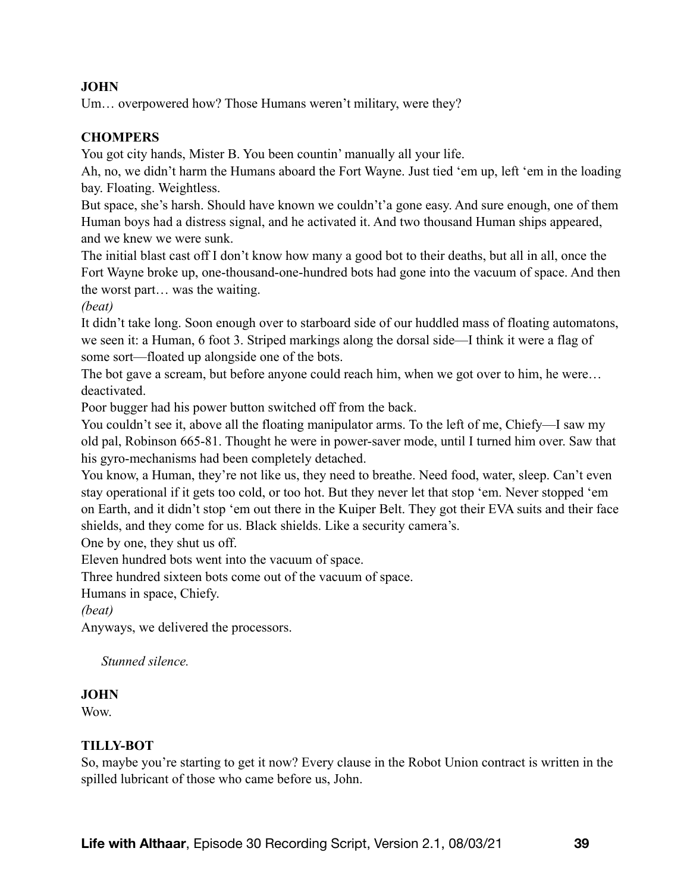# **JOHN**

Um… overpowered how? Those Humans weren't military, were they?

# **CHOMPERS**

You got city hands, Mister B. You been countin' manually all your life.

Ah, no, we didn't harm the Humans aboard the Fort Wayne. Just tied 'em up, left 'em in the loading bay. Floating. Weightless.

But space, she's harsh. Should have known we couldn't'a gone easy. And sure enough, one of them Human boys had a distress signal, and he activated it. And two thousand Human ships appeared, and we knew we were sunk.

The initial blast cast off I don't know how many a good bot to their deaths, but all in all, once the Fort Wayne broke up, one-thousand-one-hundred bots had gone into the vacuum of space. And then the worst part… was the waiting.

*(beat)* 

It didn't take long. Soon enough over to starboard side of our huddled mass of floating automatons, we seen it: a Human, 6 foot 3. Striped markings along the dorsal side—I think it were a flag of some sort—floated up alongside one of the bots.

The bot gave a scream, but before anyone could reach him, when we got over to him, he were… deactivated.

Poor bugger had his power button switched off from the back.

You couldn't see it, above all the floating manipulator arms. To the left of me, Chiefy—I saw my old pal, Robinson 665-81. Thought he were in power-saver mode, until I turned him over. Saw that his gyro-mechanisms had been completely detached.

You know, a Human, they're not like us, they need to breathe. Need food, water, sleep. Can't even stay operational if it gets too cold, or too hot. But they never let that stop 'em. Never stopped 'em on Earth, and it didn't stop 'em out there in the Kuiper Belt. They got their EVA suits and their face shields, and they come for us. Black shields. Like a security camera's.

One by one, they shut us off.

Eleven hundred bots went into the vacuum of space.

Three hundred sixteen bots come out of the vacuum of space.

Humans in space, Chiefy.

*(beat)* 

Anyways, we delivered the processors.

 *Stunned silence.* 

### **JOHN**

**Wow** 

### **TILLY-BOT**

So, maybe you're starting to get it now? Every clause in the Robot Union contract is written in the spilled lubricant of those who came before us, John.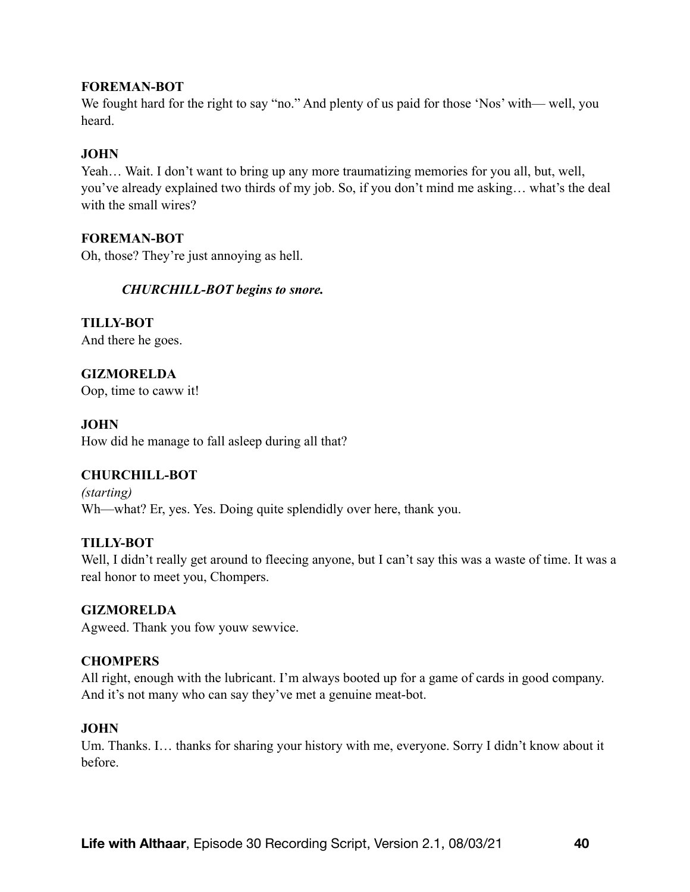### **FOREMAN-BOT**

We fought hard for the right to say "no." And plenty of us paid for those 'Nos' with— well, you heard.

### **JOHN**

Yeah… Wait. I don't want to bring up any more traumatizing memories for you all, but, well, you've already explained two thirds of my job. So, if you don't mind me asking… what's the deal with the small wires?

### **FOREMAN-BOT**

Oh, those? They're just annoying as hell.

### *CHURCHILL-BOT begins to snore.*

**TILLY-BOT**  And there he goes.

**GIZMORELDA**  Oop, time to caww it!

**JOHN**  How did he manage to fall asleep during all that?

### **CHURCHILL-BOT**

*(starting)*  Wh—what? Er, yes. Yes. Doing quite splendidly over here, thank you.

### **TILLY-BOT**

Well, I didn't really get around to fleecing anyone, but I can't say this was a waste of time. It was a real honor to meet you, Chompers.

### **GIZMORELDA**

Agweed. Thank you fow youw sewvice.

### **CHOMPERS**

All right, enough with the lubricant. I'm always booted up for a game of cards in good company. And it's not many who can say they've met a genuine meat-bot.

### **JOHN**

Um. Thanks. I… thanks for sharing your history with me, everyone. Sorry I didn't know about it before.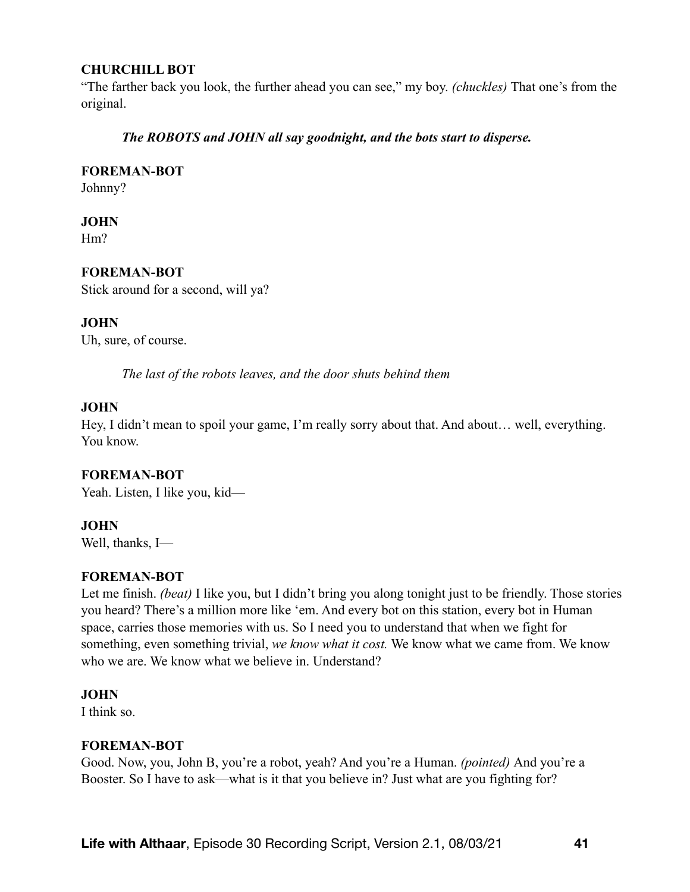### **CHURCHILL BOT**

"The farther back you look, the further ahead you can see," my boy. *(chuckles)* That one's from the original.

### *The ROBOTS and JOHN all say goodnight, and the bots start to disperse.*

# **FOREMAN-BOT**

Johnny?

# **JOHN**

Hm?

# **FOREMAN-BOT**

Stick around for a second, will ya?

# **JOHN**

Uh, sure, of course.

*The last of the robots leaves, and the door shuts behind them* 

### **JOHN**

Hey, I didn't mean to spoil your game, I'm really sorry about that. And about… well, everything. You know.

### **FOREMAN-BOT**

Yeah. Listen, I like you, kid—

# **JOHN**

Well, thanks, I—

### **FOREMAN-BOT**

Let me finish. *(beat)* I like you, but I didn't bring you along tonight just to be friendly. Those stories you heard? There's a million more like 'em. And every bot on this station, every bot in Human space, carries those memories with us. So I need you to understand that when we fight for something, even something trivial, *we know what it cost.* We know what we came from. We know who we are. We know what we believe in. Understand?

### **JOHN**

I think so.

### **FOREMAN-BOT**

Good. Now, you, John B, you're a robot, yeah? And you're a Human. *(pointed)* And you're a Booster. So I have to ask—what is it that you believe in? Just what are you fighting for?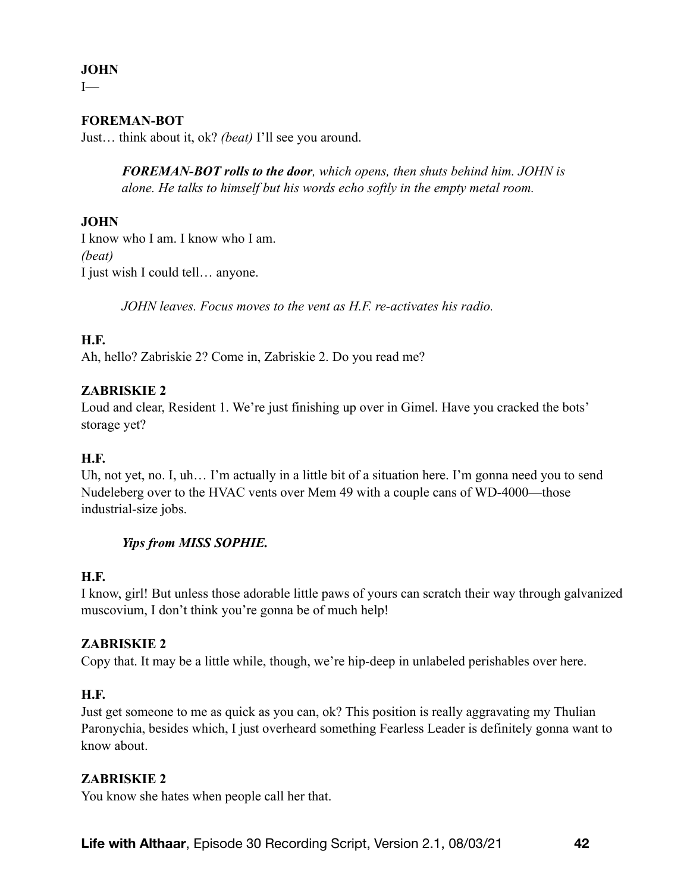# **JOHN**

 $I$ 

# **FOREMAN-BOT**

Just… think about it, ok? *(beat)* I'll see you around.

*FOREMAN-BOT rolls to the door, which opens, then shuts behind him. JOHN is alone. He talks to himself but his words echo softly in the empty metal room.* 

### **JOHN**

I know who I am. I know who I am. *(beat)*  I just wish I could tell… anyone.

*JOHN leaves. Focus moves to the vent as H.F. re-activates his radio.* 

### **H.F.**

Ah, hello? Zabriskie 2? Come in, Zabriskie 2. Do you read me?

### **ZABRISKIE 2**

Loud and clear, Resident 1. We're just finishing up over in Gimel. Have you cracked the bots' storage yet?

### **H.F.**

Uh, not yet, no. I, uh... I'm actually in a little bit of a situation here. I'm gonna need you to send Nudeleberg over to the HVAC vents over Mem 49 with a couple cans of WD-4000—those industrial-size jobs.

# *Yips from MISS SOPHIE.*

### **H.F.**

I know, girl! But unless those adorable little paws of yours can scratch their way through galvanized muscovium, I don't think you're gonna be of much help!

### **ZABRISKIE 2**

Copy that. It may be a little while, though, we're hip-deep in unlabeled perishables over here.

### **H.F.**

Just get someone to me as quick as you can, ok? This position is really aggravating my Thulian Paronychia, besides which, I just overheard something Fearless Leader is definitely gonna want to know about.

### **ZABRISKIE 2**

You know she hates when people call her that.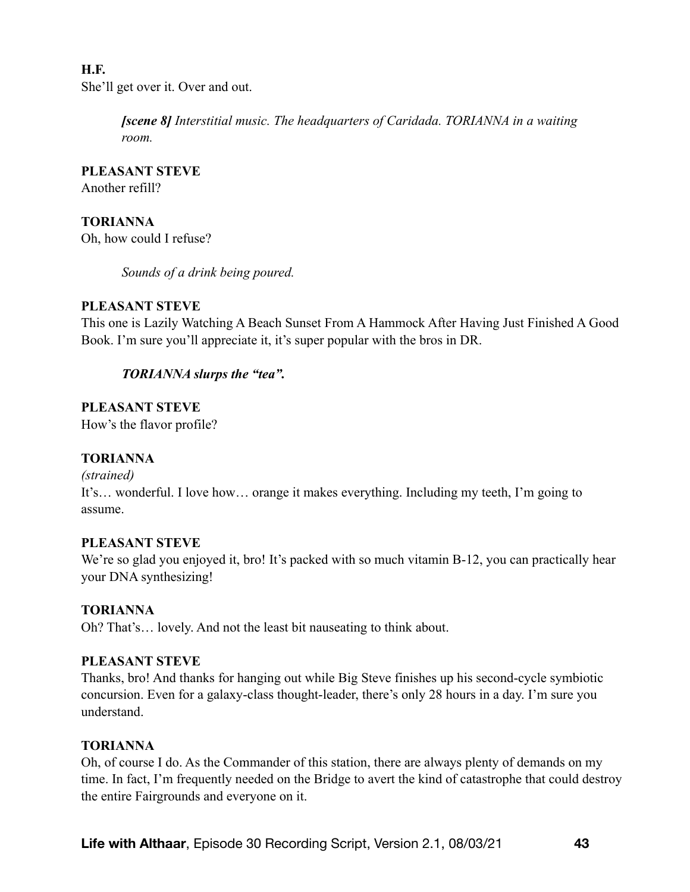# **H.F.** She'll get over it. Over and out.

*[scene 8] Interstitial music. The headquarters of Caridada. TORIANNA in a waiting room.* 

**PLEASANT STEVE**  Another refill?

**TORIANNA**  Oh, how could I refuse?

*Sounds of a drink being poured.* 

# **PLEASANT STEVE**

This one is Lazily Watching A Beach Sunset From A Hammock After Having Just Finished A Good Book. I'm sure you'll appreciate it, it's super popular with the bros in DR.

# *TORIANNA slurps the "tea".*

**PLEASANT STEVE**  How's the flavor profile?

# **TORIANNA**

*(strained)*  It's… wonderful. I love how… orange it makes everything. Including my teeth, I'm going to assume.

# **PLEASANT STEVE**

We're so glad you enjoyed it, bro! It's packed with so much vitamin B-12, you can practically hear your DNA synthesizing!

# **TORIANNA**

Oh? That's… lovely. And not the least bit nauseating to think about.

# **PLEASANT STEVE**

Thanks, bro! And thanks for hanging out while Big Steve finishes up his second-cycle symbiotic concursion. Even for a galaxy-class thought-leader, there's only 28 hours in a day. I'm sure you understand.

# **TORIANNA**

Oh, of course I do. As the Commander of this station, there are always plenty of demands on my time. In fact, I'm frequently needed on the Bridge to avert the kind of catastrophe that could destroy the entire Fairgrounds and everyone on it.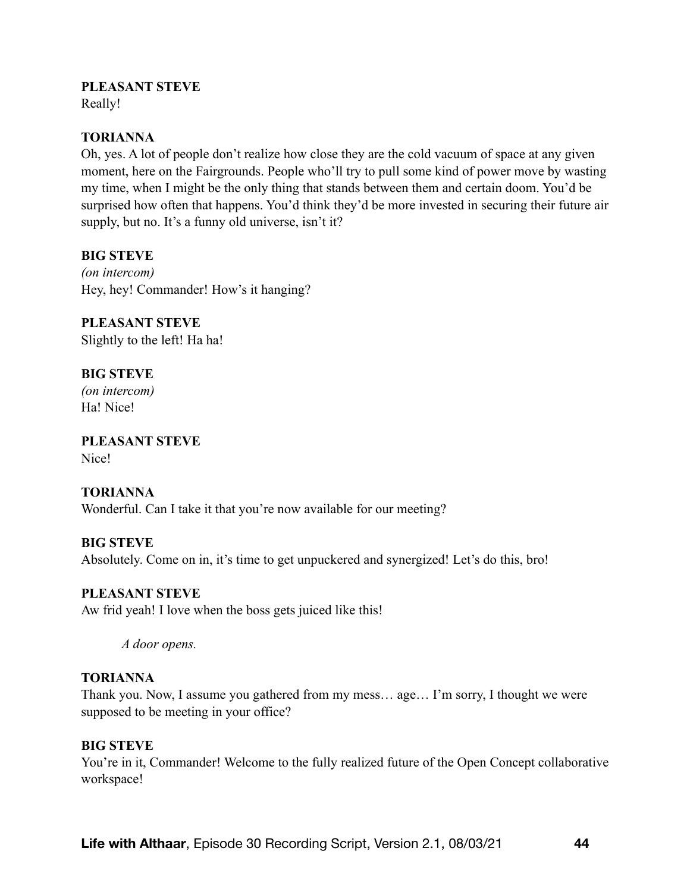### **PLEASANT STEVE**

Really!

### **TORIANNA**

Oh, yes. A lot of people don't realize how close they are the cold vacuum of space at any given moment, here on the Fairgrounds. People who'll try to pull some kind of power move by wasting my time, when I might be the only thing that stands between them and certain doom. You'd be surprised how often that happens. You'd think they'd be more invested in securing their future air supply, but no. It's a funny old universe, isn't it?

# **BIG STEVE**

*(on intercom)*  Hey, hey! Commander! How's it hanging?

**PLEASANT STEVE**  Slightly to the left! Ha ha!

# **BIG STEVE**

*(on intercom)*  Ha! Nice!

**PLEASANT STEVE**  Nice!

### **TORIANNA**

Wonderful. Can I take it that you're now available for our meeting?

### **BIG STEVE**

Absolutely. Come on in, it's time to get unpuckered and synergized! Let's do this, bro!

### **PLEASANT STEVE**

Aw frid yeah! I love when the boss gets juiced like this!

*A door opens.*

### **TORIANNA**

Thank you. Now, I assume you gathered from my mess… age… I'm sorry, I thought we were supposed to be meeting in your office?

### **BIG STEVE**

You're in it, Commander! Welcome to the fully realized future of the Open Concept collaborative workspace!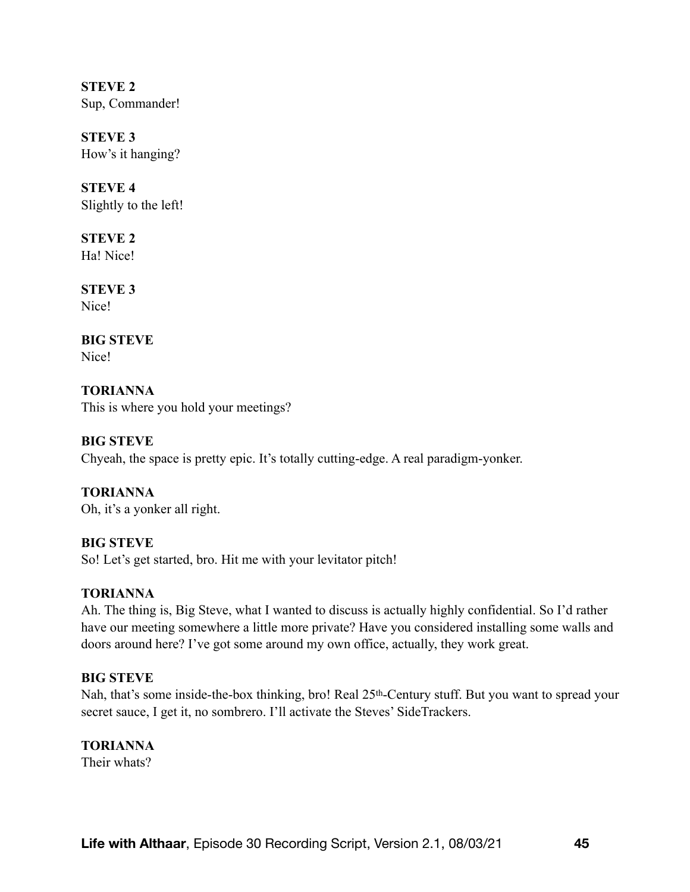**STEVE 2**  Sup, Commander!

**STEVE 3**  How's it hanging?

**STEVE 4**  Slightly to the left!

**STEVE 2**  Ha! Nice!

**STEVE 3**  Nice!

**BIG STEVE**  Nice!

**TORIANNA**  This is where you hold your meetings?

# **BIG STEVE**

Chyeah, the space is pretty epic. It's totally cutting-edge. A real paradigm-yonker.

**TORIANNA**  Oh, it's a yonker all right.

**BIG STEVE** 

So! Let's get started, bro. Hit me with your levitator pitch!

# **TORIANNA**

Ah. The thing is, Big Steve, what I wanted to discuss is actually highly confidential. So I'd rather have our meeting somewhere a little more private? Have you considered installing some walls and doors around here? I've got some around my own office, actually, they work great.

# **BIG STEVE**

Nah, that's some inside-the-box thinking, bro! Real 25<sup>th</sup>-Century stuff. But you want to spread your secret sauce, I get it, no sombrero. I'll activate the Steves' SideTrackers.

# **TORIANNA**

Their whats?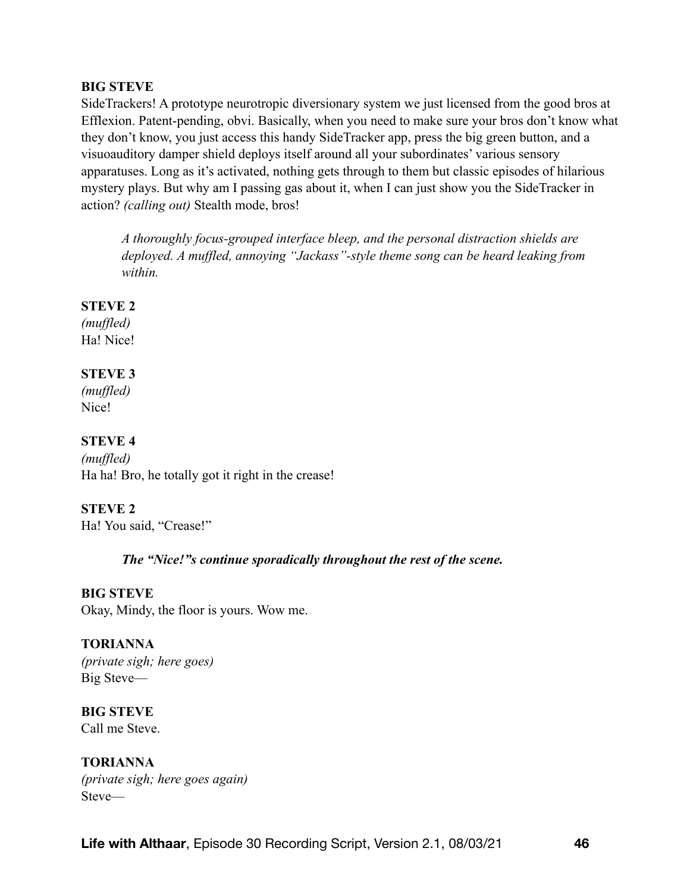SideTrackers! A prototype neurotropic diversionary system we just licensed from the good bros at Efflexion. Patent-pending, obvi. Basically, when you need to make sure your bros don't know what they don't know, you just access this handy SideTracker app, press the big green button, and a visuoauditory damper shield deploys itself around all your subordinates' various sensory apparatuses. Long as it's activated, nothing gets through to them but classic episodes of hilarious mystery plays. But why am I passing gas about it, when I can just show you the SideTracker in action? *(calling out)* Stealth mode, bros!

*A thoroughly focus-grouped interface bleep, and the personal distraction shields are deployed. A muffled, annoying "Jackass"-style theme song can be heard leaking from within.* 

# **STEVE 2**

*(muffled)*  Ha! Nice!

# **STEVE 3**

*(muffled)*  Nice!

# **STEVE 4**

*(muffled)*  Ha ha! Bro, he totally got it right in the crease!

# **STEVE 2**

Ha! You said, "Crease!"

# *The "Nice!"s continue sporadically throughout the rest of the scene.*

# **BIG STEVE**

Okay, Mindy, the floor is yours. Wow me.

# **TORIANNA**

*(private sigh; here goes)*  Big Steve—

**BIG STEVE**  Call me Steve.

**TORIANNA**  *(private sigh; here goes again)* Steve—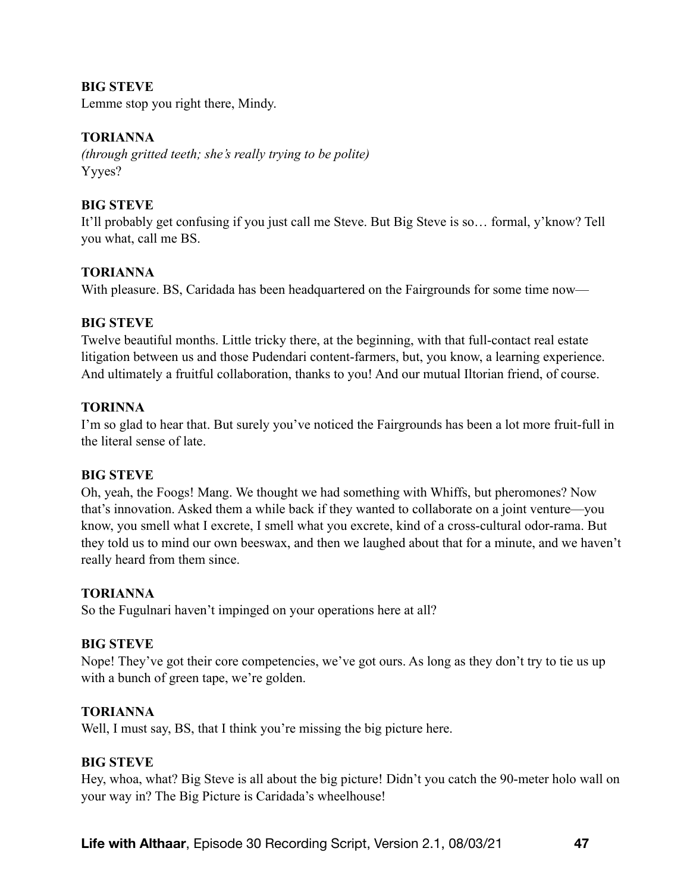Lemme stop you right there, Mindy.

### **TORIANNA**

*(through gritted teeth; she's really trying to be polite)*  Yyyes?

### **BIG STEVE**

It'll probably get confusing if you just call me Steve. But Big Steve is so… formal, y'know? Tell you what, call me BS.

# **TORIANNA**

With pleasure. BS, Caridada has been headquartered on the Fairgrounds for some time now—

### **BIG STEVE**

Twelve beautiful months. Little tricky there, at the beginning, with that full-contact real estate litigation between us and those Pudendari content-farmers, but, you know, a learning experience. And ultimately a fruitful collaboration, thanks to you! And our mutual Iltorian friend, of course.

### **TORINNA**

I'm so glad to hear that. But surely you've noticed the Fairgrounds has been a lot more fruit-full in the literal sense of late.

### **BIG STEVE**

Oh, yeah, the Foogs! Mang. We thought we had something with Whiffs, but pheromones? Now that's innovation. Asked them a while back if they wanted to collaborate on a joint venture—you know, you smell what I excrete, I smell what you excrete, kind of a cross-cultural odor-rama. But they told us to mind our own beeswax, and then we laughed about that for a minute, and we haven't really heard from them since.

### **TORIANNA**

So the Fugulnari haven't impinged on your operations here at all?

### **BIG STEVE**

Nope! They've got their core competencies, we've got ours. As long as they don't try to tie us up with a bunch of green tape, we're golden.

### **TORIANNA**

Well, I must say, BS, that I think you're missing the big picture here.

### **BIG STEVE**

Hey, whoa, what? Big Steve is all about the big picture! Didn't you catch the 90-meter holo wall on your way in? The Big Picture is Caridada's wheelhouse!

**Life with Althaar**, Episode 30 Recording Script, Version 2.1, 08/03/21 **47**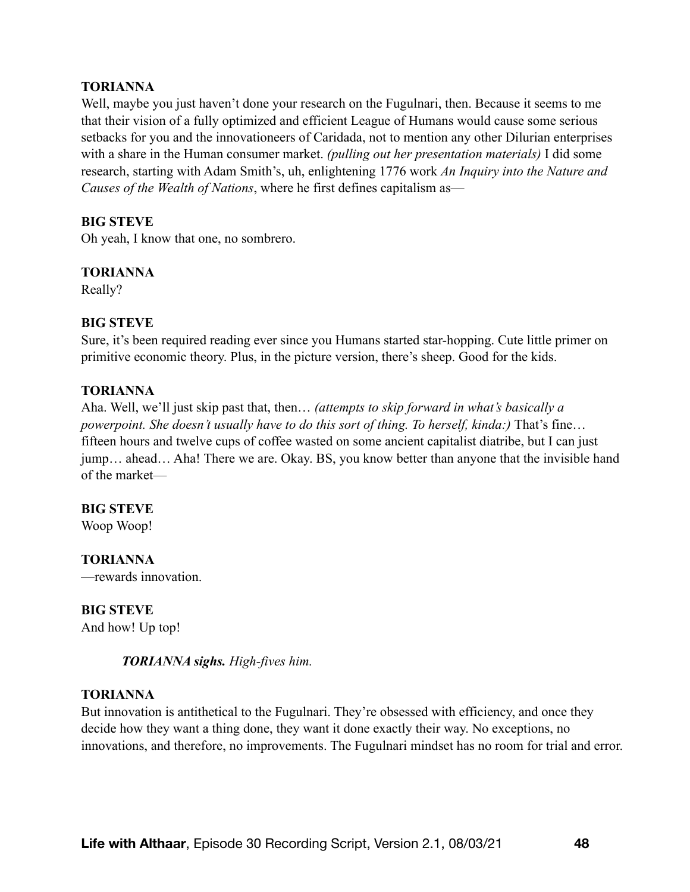### **TORIANNA**

Well, maybe you just haven't done your research on the Fugulnari, then. Because it seems to me that their vision of a fully optimized and efficient League of Humans would cause some serious setbacks for you and the innovationeers of Caridada, not to mention any other Dilurian enterprises with a share in the Human consumer market. *(pulling out her presentation materials)* I did some research, starting with Adam Smith's, uh, enlightening 1776 work *An Inquiry into the Nature and Causes of the Wealth of Nations*, where he first defines capitalism as—

### **BIG STEVE**

Oh yeah, I know that one, no sombrero.

#### **TORIANNA**

Really?

### **BIG STEVE**

Sure, it's been required reading ever since you Humans started star-hopping. Cute little primer on primitive economic theory. Plus, in the picture version, there's sheep. Good for the kids.

#### **TORIANNA**

Aha. Well, we'll just skip past that, then… *(attempts to skip forward in what's basically a powerpoint. She doesn't usually have to do this sort of thing. To herself, kinda:)* That's fine... fifteen hours and twelve cups of coffee wasted on some ancient capitalist diatribe, but I can just jump… ahead… Aha! There we are. Okay. BS, you know better than anyone that the invisible hand of the market—

#### **BIG STEVE**

Woop Woop!

#### **TORIANNA**

—rewards innovation.

### **BIG STEVE**

And how! Up top!

#### *TORIANNA sighs. High-fives him.*

#### **TORIANNA**

But innovation is antithetical to the Fugulnari. They're obsessed with efficiency, and once they decide how they want a thing done, they want it done exactly their way. No exceptions, no innovations, and therefore, no improvements. The Fugulnari mindset has no room for trial and error.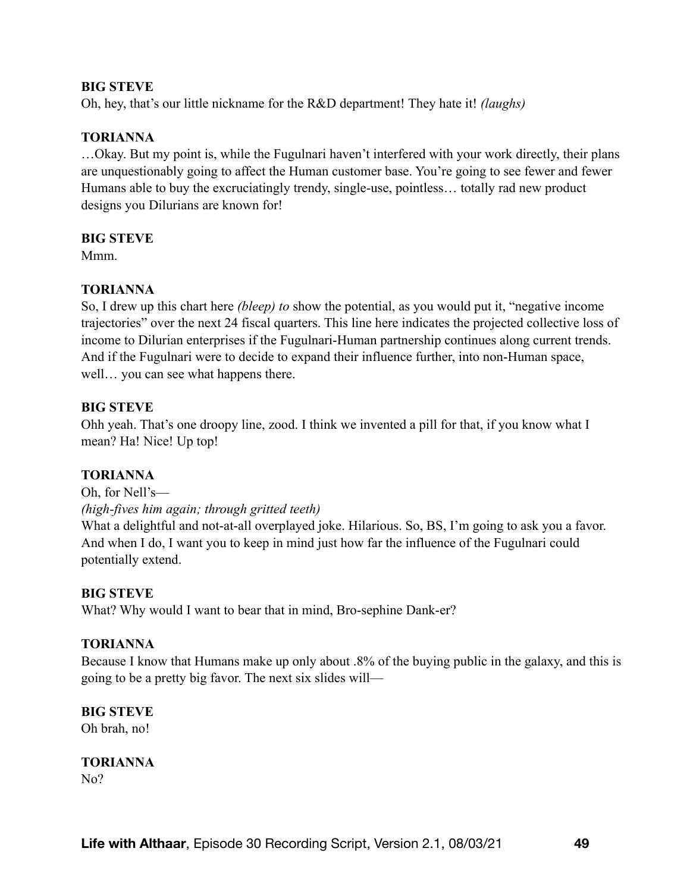Oh, hey, that's our little nickname for the R&D department! They hate it! *(laughs)*

### **TORIANNA**

…Okay. But my point is, while the Fugulnari haven't interfered with your work directly, their plans are unquestionably going to affect the Human customer base. You're going to see fewer and fewer Humans able to buy the excruciatingly trendy, single-use, pointless… totally rad new product designs you Dilurians are known for!

#### **BIG STEVE**

Mmm.

### **TORIANNA**

So, I drew up this chart here *(bleep) to* show the potential, as you would put it, "negative income trajectories" over the next 24 fiscal quarters. This line here indicates the projected collective loss of income to Dilurian enterprises if the Fugulnari-Human partnership continues along current trends. And if the Fugulnari were to decide to expand their influence further, into non-Human space, well… you can see what happens there.

### **BIG STEVE**

Ohh yeah. That's one droopy line, zood. I think we invented a pill for that, if you know what I mean? Ha! Nice! Up top!

### **TORIANNA**

Oh, for Nell's— *(high-fives him again; through gritted teeth)* 

What a delightful and not-at-all overplayed joke. Hilarious. So, BS, I'm going to ask you a favor. And when I do, I want you to keep in mind just how far the influence of the Fugulnari could potentially extend.

#### **BIG STEVE**

What? Why would I want to bear that in mind, Bro-sephine Dank-er?

#### **TORIANNA**

Because I know that Humans make up only about .8% of the buying public in the galaxy, and this is going to be a pretty big favor. The next six slides will—

# **BIG STEVE**

Oh brah, no!

#### **TORIANNA**  N<sub>o</sub>?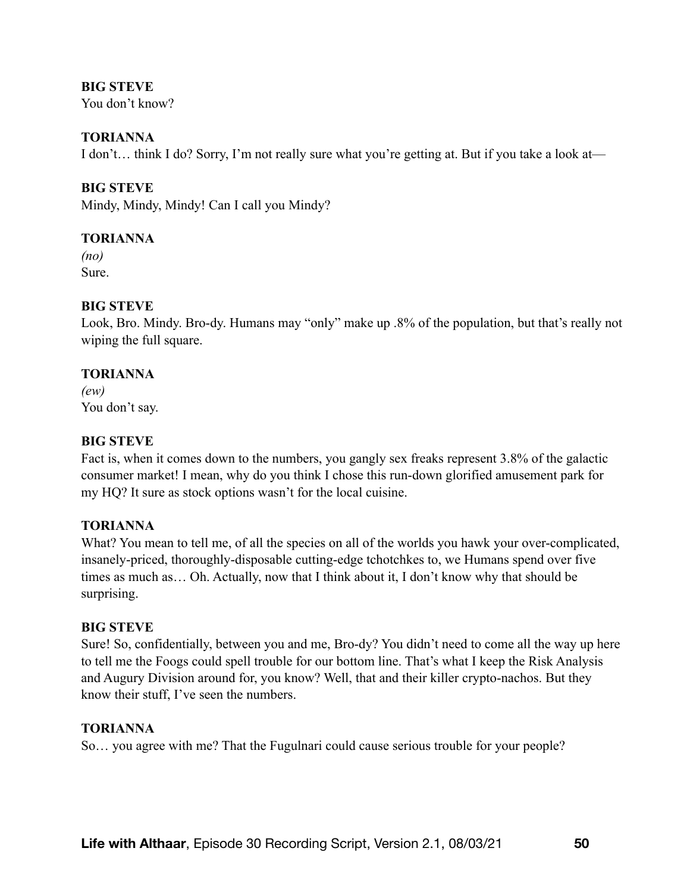You don't know?

### **TORIANNA**

I don't… think I do? Sorry, I'm not really sure what you're getting at. But if you take a look at—

# **BIG STEVE**

Mindy, Mindy, Mindy! Can I call you Mindy?

# **TORIANNA**

*(no)*  Sure.

# **BIG STEVE**

Look, Bro. Mindy. Bro-dy. Humans may "only" make up .8% of the population, but that's really not wiping the full square.

### **TORIANNA**

*(ew)* You don't say.

# **BIG STEVE**

Fact is, when it comes down to the numbers, you gangly sex freaks represent 3.8% of the galactic consumer market! I mean, why do you think I chose this run-down glorified amusement park for my HQ? It sure as stock options wasn't for the local cuisine.

# **TORIANNA**

What? You mean to tell me, of all the species on all of the worlds you hawk your over-complicated, insanely-priced, thoroughly-disposable cutting-edge tchotchkes to, we Humans spend over five times as much as… Oh. Actually, now that I think about it, I don't know why that should be surprising.

### **BIG STEVE**

Sure! So, confidentially, between you and me, Bro-dy? You didn't need to come all the way up here to tell me the Foogs could spell trouble for our bottom line. That's what I keep the Risk Analysis and Augury Division around for, you know? Well, that and their killer crypto-nachos. But they know their stuff, I've seen the numbers.

### **TORIANNA**

So… you agree with me? That the Fugulnari could cause serious trouble for your people?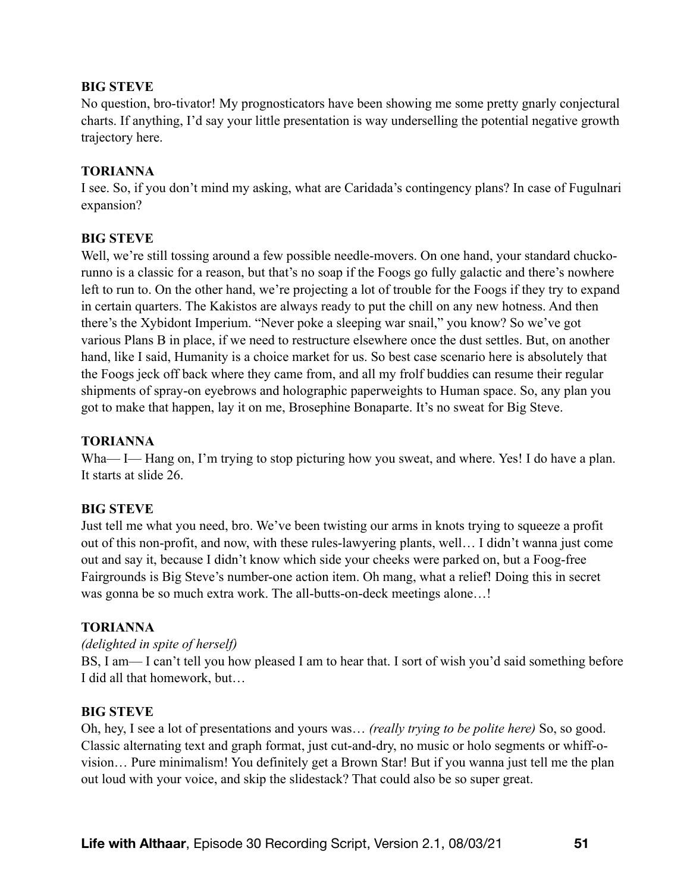No question, bro-tivator! My prognosticators have been showing me some pretty gnarly conjectural charts. If anything, I'd say your little presentation is way underselling the potential negative growth trajectory here.

### **TORIANNA**

I see. So, if you don't mind my asking, what are Caridada's contingency plans? In case of Fugulnari expansion?

### **BIG STEVE**

Well, we're still tossing around a few possible needle-movers. On one hand, your standard chuckorunno is a classic for a reason, but that's no soap if the Foogs go fully galactic and there's nowhere left to run to. On the other hand, we're projecting a lot of trouble for the Foogs if they try to expand in certain quarters. The Kakistos are always ready to put the chill on any new hotness. And then there's the Xybidont Imperium. "Never poke a sleeping war snail," you know? So we've got various Plans B in place, if we need to restructure elsewhere once the dust settles. But, on another hand, like I said, Humanity is a choice market for us. So best case scenario here is absolutely that the Foogs jeck off back where they came from, and all my frolf buddies can resume their regular shipments of spray-on eyebrows and holographic paperweights to Human space. So, any plan you got to make that happen, lay it on me, Brosephine Bonaparte. It's no sweat for Big Steve.

### **TORIANNA**

Wha— I— Hang on, I'm trying to stop picturing how you sweat, and where. Yes! I do have a plan. It starts at slide 26.

### **BIG STEVE**

Just tell me what you need, bro. We've been twisting our arms in knots trying to squeeze a profit out of this non-profit, and now, with these rules-lawyering plants, well… I didn't wanna just come out and say it, because I didn't know which side your cheeks were parked on, but a Foog-free Fairgrounds is Big Steve's number-one action item. Oh mang, what a relief! Doing this in secret was gonna be so much extra work. The all-butts-on-deck meetings alone…!

### **TORIANNA**

### *(delighted in spite of herself)*

BS, I am— I can't tell you how pleased I am to hear that. I sort of wish you'd said something before I did all that homework, but…

#### **BIG STEVE**

Oh, hey, I see a lot of presentations and yours was… *(really trying to be polite here)* So, so good. Classic alternating text and graph format, just cut-and-dry, no music or holo segments or whiff-ovision… Pure minimalism! You definitely get a Brown Star! But if you wanna just tell me the plan out loud with your voice, and skip the slidestack? That could also be so super great.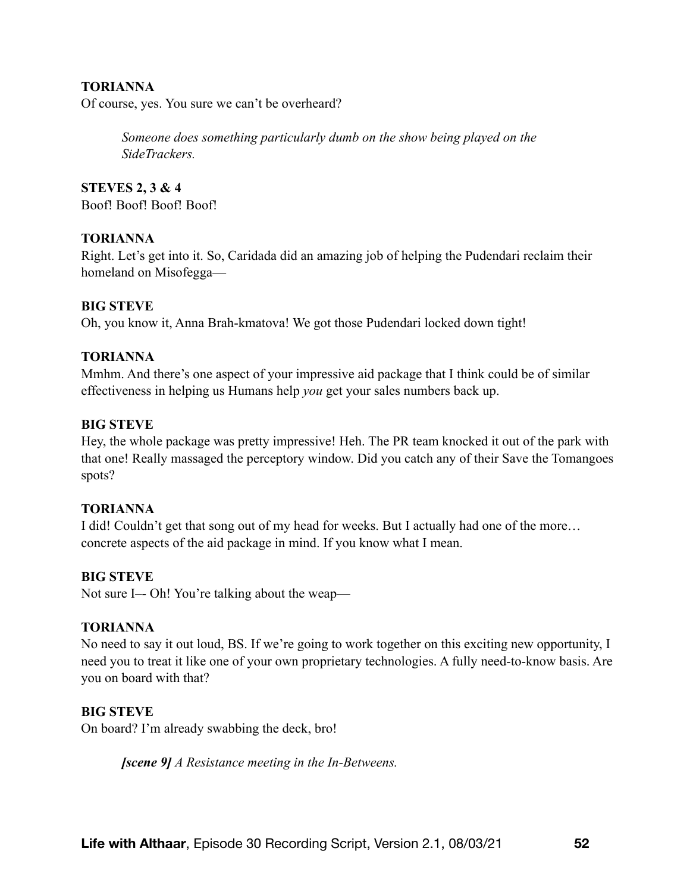### **TORIANNA**

Of course, yes. You sure we can't be overheard?

*Someone does something particularly dumb on the show being played on the SideTrackers.* 

**STEVES 2, 3 & 4** Boof! Boof! Boof! Boof!

#### **TORIANNA**

Right. Let's get into it. So, Caridada did an amazing job of helping the Pudendari reclaim their homeland on Misofegga—

#### **BIG STEVE**

Oh, you know it, Anna Brah-kmatova! We got those Pudendari locked down tight!

#### **TORIANNA**

Mmhm. And there's one aspect of your impressive aid package that I think could be of similar effectiveness in helping us Humans help *you* get your sales numbers back up.

#### **BIG STEVE**

Hey, the whole package was pretty impressive! Heh. The PR team knocked it out of the park with that one! Really massaged the perceptory window. Did you catch any of their Save the Tomangoes spots?

#### **TORIANNA**

I did! Couldn't get that song out of my head for weeks. But I actually had one of the more… concrete aspects of the aid package in mind. If you know what I mean.

#### **BIG STEVE**

Not sure I–- Oh! You're talking about the weap—

#### **TORIANNA**

No need to say it out loud, BS. If we're going to work together on this exciting new opportunity, I need you to treat it like one of your own proprietary technologies. A fully need-to-know basis. Are you on board with that?

#### **BIG STEVE**

On board? I'm already swabbing the deck, bro!

*[scene 9] A Resistance meeting in the In-Betweens.*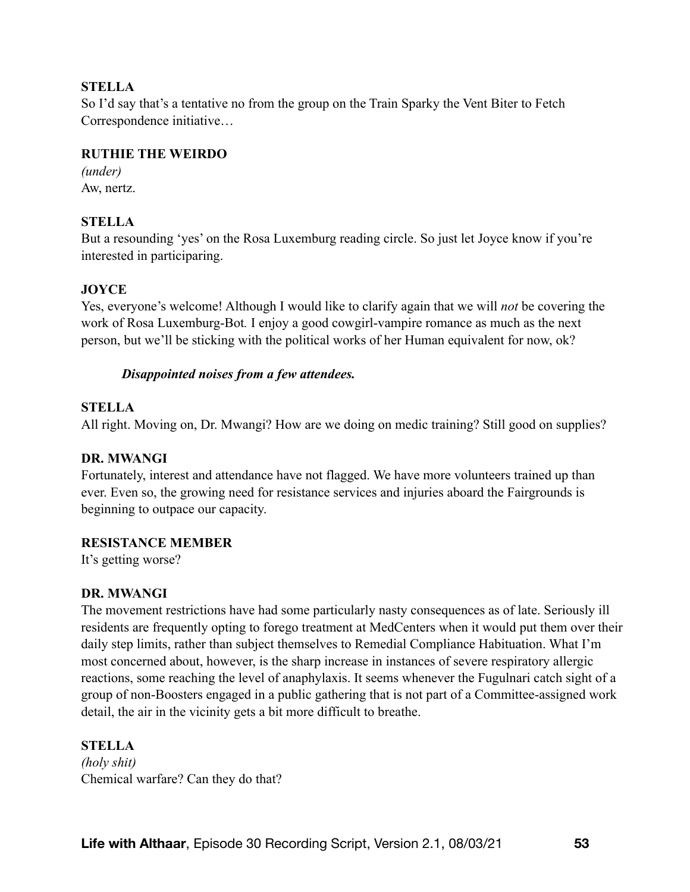# **STELLA**

So I'd say that's a tentative no from the group on the Train Sparky the Vent Biter to Fetch Correspondence initiative…

### **RUTHIE THE WEIRDO**

*(under)*  Aw, nertz.

# **STELLA**

But a resounding 'yes' on the Rosa Luxemburg reading circle. So just let Joyce know if you're interested in participaring.

# **JOYCE**

Yes, everyone's welcome! Although I would like to clarify again that we will *not* be covering the work of Rosa Luxemburg-Bot*.* I enjoy a good cowgirl-vampire romance as much as the next person, but we'll be sticking with the political works of her Human equivalent for now, ok?

# *Disappointed noises from a few attendees.*

# **STELLA**

All right. Moving on, Dr. Mwangi? How are we doing on medic training? Still good on supplies?

### **DR. MWANGI**

Fortunately, interest and attendance have not flagged. We have more volunteers trained up than ever. Even so, the growing need for resistance services and injuries aboard the Fairgrounds is beginning to outpace our capacity.

### **RESISTANCE MEMBER**

It's getting worse?

# **DR. MWANGI**

The movement restrictions have had some particularly nasty consequences as of late. Seriously ill residents are frequently opting to forego treatment at MedCenters when it would put them over their daily step limits, rather than subject themselves to Remedial Compliance Habituation. What I'm most concerned about, however, is the sharp increase in instances of severe respiratory allergic reactions, some reaching the level of anaphylaxis. It seems whenever the Fugulnari catch sight of a group of non-Boosters engaged in a public gathering that is not part of a Committee-assigned work detail, the air in the vicinity gets a bit more difficult to breathe.

### **STELLA**

*(holy shit)*  Chemical warfare? Can they do that?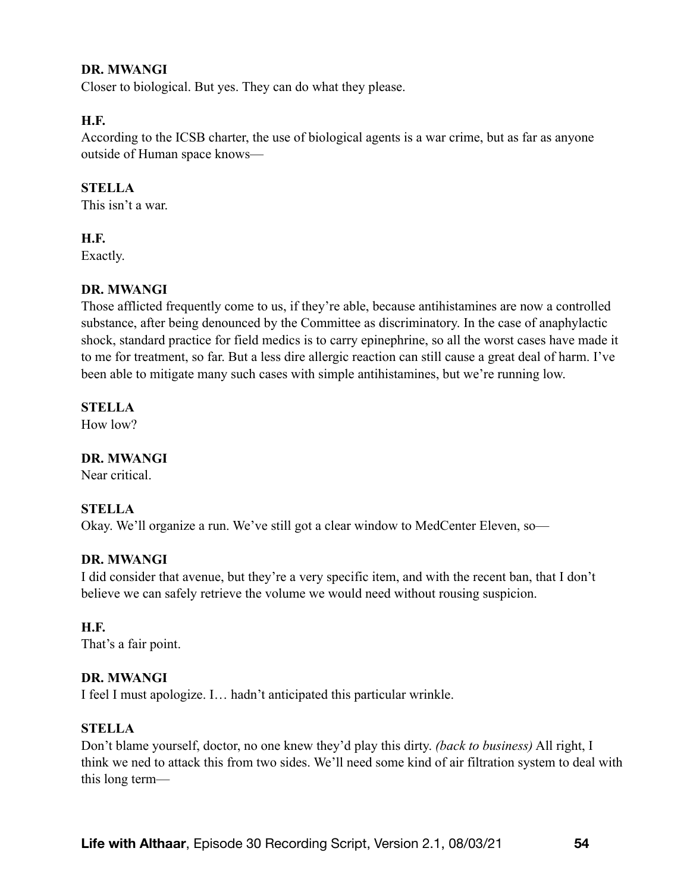### **DR. MWANGI**

Closer to biological. But yes. They can do what they please.

# **H.F.**

According to the ICSB charter, the use of biological agents is a war crime, but as far as anyone outside of Human space knows—

# **STELLA**

This isn't a war.

### **H.F.**

Exactly.

# **DR. MWANGI**

Those afflicted frequently come to us, if they're able, because antihistamines are now a controlled substance, after being denounced by the Committee as discriminatory. In the case of anaphylactic shock, standard practice for field medics is to carry epinephrine, so all the worst cases have made it to me for treatment, so far. But a less dire allergic reaction can still cause a great deal of harm. I've been able to mitigate many such cases with simple antihistamines, but we're running low.

# **STELLA**

How low?

# **DR. MWANGI**

Near critical.

### **STELLA**

Okay. We'll organize a run. We've still got a clear window to MedCenter Eleven, so—

### **DR. MWANGI**

I did consider that avenue, but they're a very specific item, and with the recent ban, that I don't believe we can safely retrieve the volume we would need without rousing suspicion.

### **H.F.**

That's a fair point.

### **DR. MWANGI**

I feel I must apologize. I… hadn't anticipated this particular wrinkle.

### **STELLA**

Don't blame yourself, doctor, no one knew they'd play this dirty. *(back to business)* All right, I think we ned to attack this from two sides. We'll need some kind of air filtration system to deal with this long term—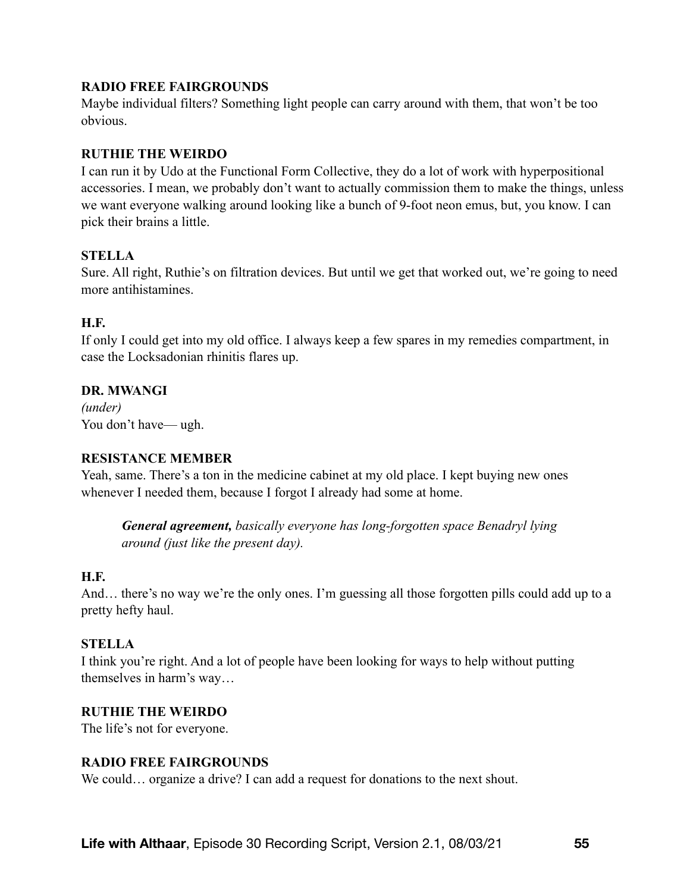# **RADIO FREE FAIRGROUNDS**

Maybe individual filters? Something light people can carry around with them, that won't be too obvious.

# **RUTHIE THE WEIRDO**

I can run it by Udo at the Functional Form Collective, they do a lot of work with hyperpositional accessories. I mean, we probably don't want to actually commission them to make the things, unless we want everyone walking around looking like a bunch of 9-foot neon emus, but, you know. I can pick their brains a little.

# **STELLA**

Sure. All right, Ruthie's on filtration devices. But until we get that worked out, we're going to need more antihistamines.

# **H.F.**

If only I could get into my old office. I always keep a few spares in my remedies compartment, in case the Locksadonian rhinitis flares up.

# **DR. MWANGI**

*(under)* You don't have— ugh.

### **RESISTANCE MEMBER**

Yeah, same. There's a ton in the medicine cabinet at my old place. I kept buying new ones whenever I needed them, because I forgot I already had some at home.

*General agreement, basically everyone has long-forgotten space Benadryl lying around (just like the present day).* 

### **H.F.**

And… there's no way we're the only ones. I'm guessing all those forgotten pills could add up to a pretty hefty haul.

### **STELLA**

I think you're right. And a lot of people have been looking for ways to help without putting themselves in harm's way…

### **RUTHIE THE WEIRDO**

The life's not for everyone.

### **RADIO FREE FAIRGROUNDS**

We could… organize a drive? I can add a request for donations to the next shout.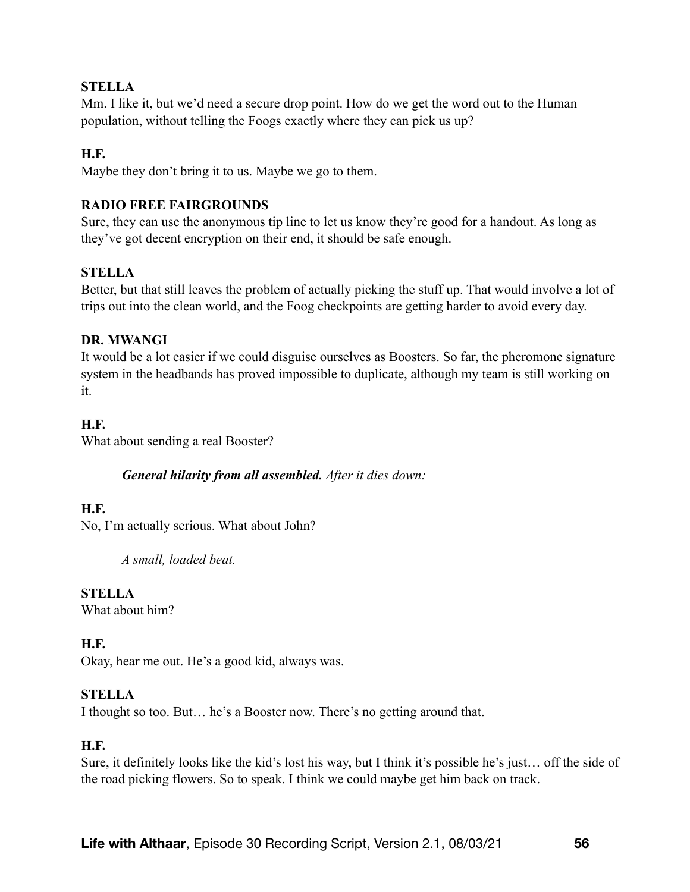# **STELLA**

Mm. I like it, but we'd need a secure drop point. How do we get the word out to the Human population, without telling the Foogs exactly where they can pick us up?

### **H.F.**

Maybe they don't bring it to us. Maybe we go to them.

### **RADIO FREE FAIRGROUNDS**

Sure, they can use the anonymous tip line to let us know they're good for a handout. As long as they've got decent encryption on their end, it should be safe enough.

# **STELLA**

Better, but that still leaves the problem of actually picking the stuff up. That would involve a lot of trips out into the clean world, and the Foog checkpoints are getting harder to avoid every day.

### **DR. MWANGI**

It would be a lot easier if we could disguise ourselves as Boosters. So far, the pheromone signature system in the headbands has proved impossible to duplicate, although my team is still working on it.

### **H.F.**

What about sending a real Booster?

### *General hilarity from all assembled. After it dies down:*

### **H.F.**

No, I'm actually serious. What about John?

*A small, loaded beat.* 

### **STELLA**

What about him?

### **H.F.**

Okay, hear me out. He's a good kid, always was.

### **STELLA**

I thought so too. But… he's a Booster now. There's no getting around that.

### **H.F.**

Sure, it definitely looks like the kid's lost his way, but I think it's possible he's just… off the side of the road picking flowers. So to speak. I think we could maybe get him back on track.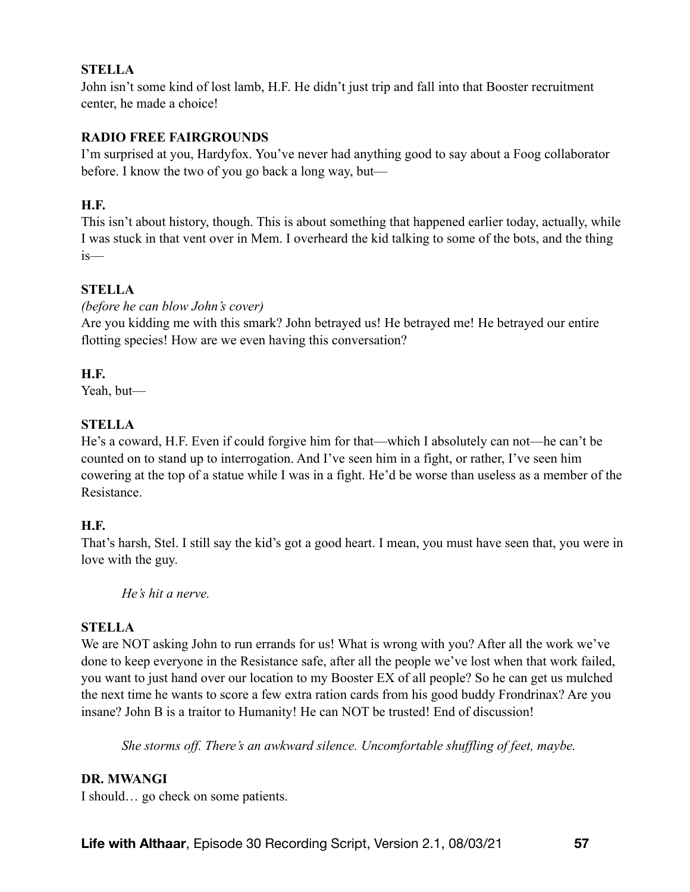# **STELLA**

John isn't some kind of lost lamb, H.F. He didn't just trip and fall into that Booster recruitment center, he made a choice!

# **RADIO FREE FAIRGROUNDS**

I'm surprised at you, Hardyfox. You've never had anything good to say about a Foog collaborator before. I know the two of you go back a long way, but—

### **H.F.**

This isn't about history, though. This is about something that happened earlier today, actually, while I was stuck in that vent over in Mem. I overheard the kid talking to some of the bots, and the thing is—

# **STELLA**

*(before he can blow John's cover)* 

Are you kidding me with this smark? John betrayed us! He betrayed me! He betrayed our entire flotting species! How are we even having this conversation?

# **H.F.**

Yeah, but—

# **STELLA**

He's a coward, H.F. Even if could forgive him for that—which I absolutely can not—he can't be counted on to stand up to interrogation. And I've seen him in a fight, or rather, I've seen him cowering at the top of a statue while I was in a fight. He'd be worse than useless as a member of the Resistance.

# **H.F.**

That's harsh, Stel. I still say the kid's got a good heart. I mean, you must have seen that, you were in love with the guy.

*He's hit a nerve.* 

### **STELLA**

We are NOT asking John to run errands for us! What is wrong with you? After all the work we've done to keep everyone in the Resistance safe, after all the people we've lost when that work failed, you want to just hand over our location to my Booster EX of all people? So he can get us mulched the next time he wants to score a few extra ration cards from his good buddy Frondrinax? Are you insane? John B is a traitor to Humanity! He can NOT be trusted! End of discussion!

*She storms off. There's an awkward silence. Uncomfortable shuffling of feet, maybe.* 

### **DR. MWANGI**

I should… go check on some patients.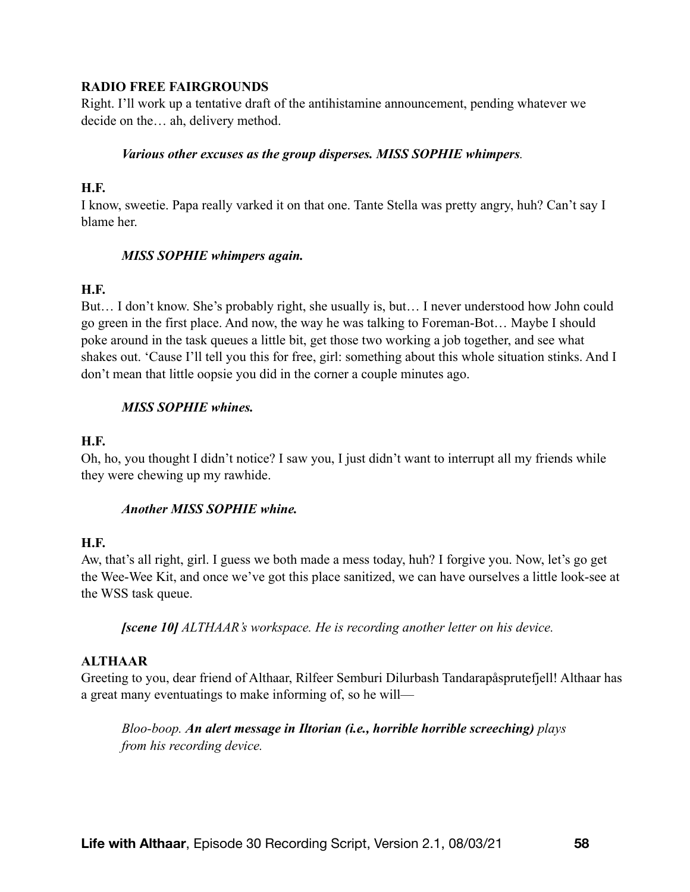### **RADIO FREE FAIRGROUNDS**

Right. I'll work up a tentative draft of the antihistamine announcement, pending whatever we decide on the… ah, delivery method.

### *Various other excuses as the group disperses. MISS SOPHIE whimpers.*

### **H.F.**

I know, sweetie. Papa really varked it on that one. Tante Stella was pretty angry, huh? Can't say I blame her.

### *MISS SOPHIE whimpers again.*

### **H.F.**

But… I don't know. She's probably right, she usually is, but… I never understood how John could go green in the first place. And now, the way he was talking to Foreman-Bot… Maybe I should poke around in the task queues a little bit, get those two working a job together, and see what shakes out. 'Cause I'll tell you this for free, girl: something about this whole situation stinks. And I don't mean that little oopsie you did in the corner a couple minutes ago.

### *MISS SOPHIE whines.*

### **H.F.**

Oh, ho, you thought I didn't notice? I saw you, I just didn't want to interrupt all my friends while they were chewing up my rawhide.

### *Another MISS SOPHIE whine.*

### **H.F.**

Aw, that's all right, girl. I guess we both made a mess today, huh? I forgive you. Now, let's go get the Wee-Wee Kit, and once we've got this place sanitized, we can have ourselves a little look-see at the WSS task queue.

*[scene 10] ALTHAAR's workspace. He is recording another letter on his device.*

### **ALTHAAR**

Greeting to you, dear friend of Althaar, Rilfeer Semburi Dilurbash Tandarapåsprutefjell! Althaar has a great many eventuatings to make informing of, so he will—

*Bloo-boop. An alert message in Iltorian (i.e., horrible horrible screeching) plays from his recording device.*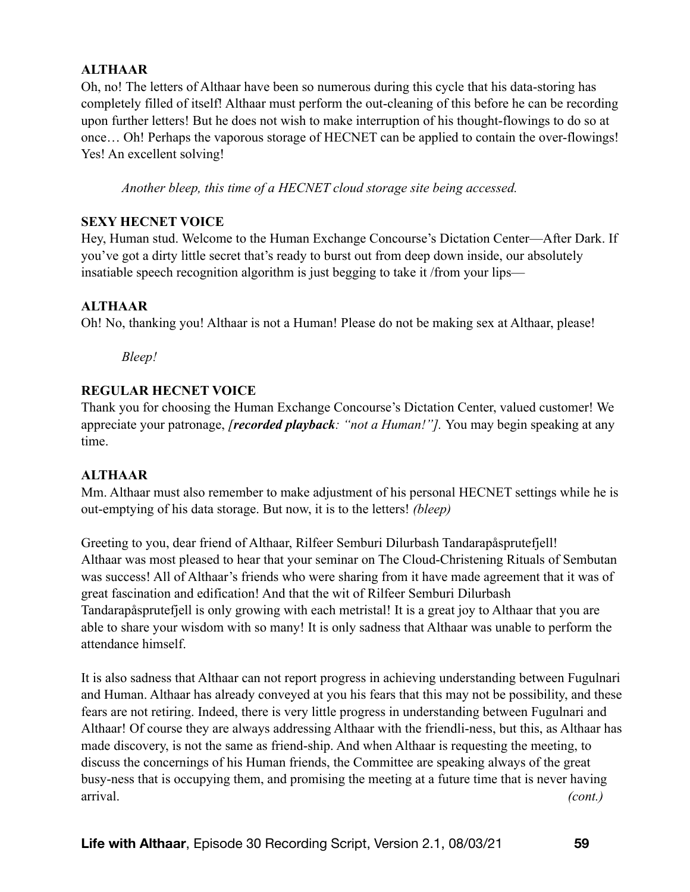# **ALTHAAR**

Oh, no! The letters of Althaar have been so numerous during this cycle that his data-storing has completely filled of itself! Althaar must perform the out-cleaning of this before he can be recording upon further letters! But he does not wish to make interruption of his thought-flowings to do so at once… Oh! Perhaps the vaporous storage of HECNET can be applied to contain the over-flowings! Yes! An excellent solving!

*Another bleep, this time of a HECNET cloud storage site being accessed.* 

### **SEXY HECNET VOICE**

Hey, Human stud. Welcome to the Human Exchange Concourse's Dictation Center—After Dark. If you've got a dirty little secret that's ready to burst out from deep down inside, our absolutely insatiable speech recognition algorithm is just begging to take it /from your lips—

### **ALTHAAR**

Oh! No, thanking you! Althaar is not a Human! Please do not be making sex at Althaar, please!

*Bleep!* 

# **REGULAR HECNET VOICE**

Thank you for choosing the Human Exchange Concourse's Dictation Center, valued customer! We appreciate your patronage, *[recorded playback: "not a Human!"].* You may begin speaking at any time.

### **ALTHAAR**

Mm. Althaar must also remember to make adjustment of his personal HECNET settings while he is out-emptying of his data storage. But now, it is to the letters! *(bleep)*

Greeting to you, dear friend of Althaar, Rilfeer Semburi Dilurbash Tandarapåsprutefjell! Althaar was most pleased to hear that your seminar on The Cloud-Christening Rituals of Sembutan was success! All of Althaar's friends who were sharing from it have made agreement that it was of great fascination and edification! And that the wit of Rilfeer Semburi Dilurbash Tandarapåsprutefjell is only growing with each metristal! It is a great joy to Althaar that you are able to share your wisdom with so many! It is only sadness that Althaar was unable to perform the attendance himself.

It is also sadness that Althaar can not report progress in achieving understanding between Fugulnari and Human. Althaar has already conveyed at you his fears that this may not be possibility, and these fears are not retiring. Indeed, there is very little progress in understanding between Fugulnari and Althaar! Of course they are always addressing Althaar with the friendli-ness, but this, as Althaar has made discovery, is not the same as friend-ship. And when Althaar is requesting the meeting, to discuss the concernings of his Human friends, the Committee are speaking always of the great busy-ness that is occupying them, and promising the meeting at a future time that is never having arrival. *(cont.)*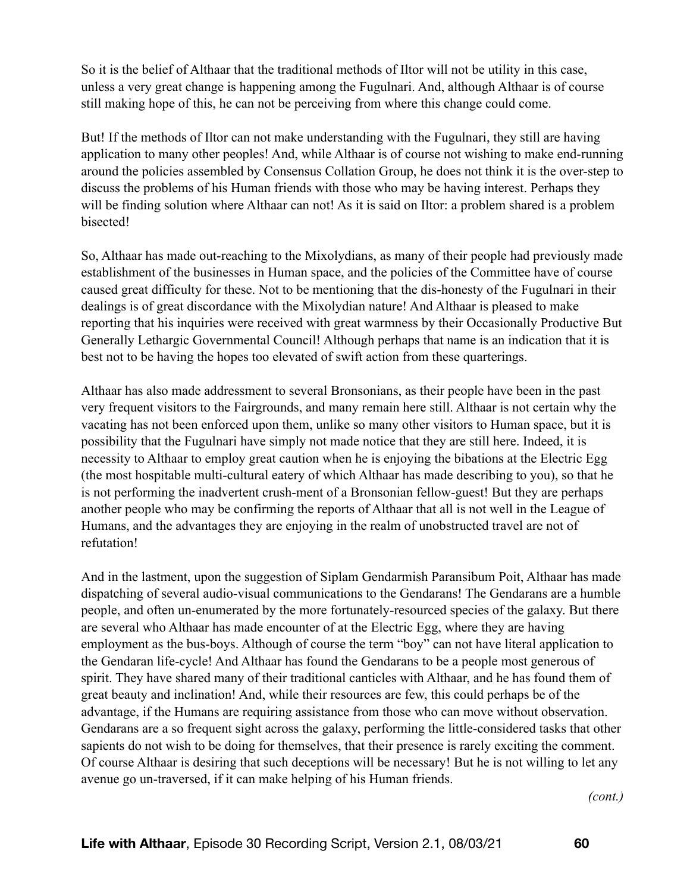So it is the belief of Althaar that the traditional methods of Iltor will not be utility in this case, unless a very great change is happening among the Fugulnari. And, although Althaar is of course still making hope of this, he can not be perceiving from where this change could come.

But! If the methods of Iltor can not make understanding with the Fugulnari, they still are having application to many other peoples! And, while Althaar is of course not wishing to make end-running around the policies assembled by Consensus Collation Group, he does not think it is the over-step to discuss the problems of his Human friends with those who may be having interest. Perhaps they will be finding solution where Althaar can not! As it is said on Iltor: a problem shared is a problem bisected!

So, Althaar has made out-reaching to the Mixolydians, as many of their people had previously made establishment of the businesses in Human space, and the policies of the Committee have of course caused great difficulty for these. Not to be mentioning that the dis-honesty of the Fugulnari in their dealings is of great discordance with the Mixolydian nature! And Althaar is pleased to make reporting that his inquiries were received with great warmness by their Occasionally Productive But Generally Lethargic Governmental Council! Although perhaps that name is an indication that it is best not to be having the hopes too elevated of swift action from these quarterings.

Althaar has also made addressment to several Bronsonians, as their people have been in the past very frequent visitors to the Fairgrounds, and many remain here still. Althaar is not certain why the vacating has not been enforced upon them, unlike so many other visitors to Human space, but it is possibility that the Fugulnari have simply not made notice that they are still here. Indeed, it is necessity to Althaar to employ great caution when he is enjoying the bibations at the Electric Egg (the most hospitable multi-cultural eatery of which Althaar has made describing to you), so that he is not performing the inadvertent crush-ment of a Bronsonian fellow-guest! But they are perhaps another people who may be confirming the reports of Althaar that all is not well in the League of Humans, and the advantages they are enjoying in the realm of unobstructed travel are not of refutation!

And in the lastment, upon the suggestion of Siplam Gendarmish Paransibum Poit, Althaar has made dispatching of several audio-visual communications to the Gendarans! The Gendarans are a humble people, and often un-enumerated by the more fortunately-resourced species of the galaxy. But there are several who Althaar has made encounter of at the Electric Egg, where they are having employment as the bus-boys. Although of course the term "boy" can not have literal application to the Gendaran life-cycle! And Althaar has found the Gendarans to be a people most generous of spirit. They have shared many of their traditional canticles with Althaar, and he has found them of great beauty and inclination! And, while their resources are few, this could perhaps be of the advantage, if the Humans are requiring assistance from those who can move without observation. Gendarans are a so frequent sight across the galaxy, performing the little-considered tasks that other sapients do not wish to be doing for themselves, that their presence is rarely exciting the comment. Of course Althaar is desiring that such deceptions will be necessary! But he is not willing to let any avenue go un-traversed, if it can make helping of his Human friends.

*(cont.)*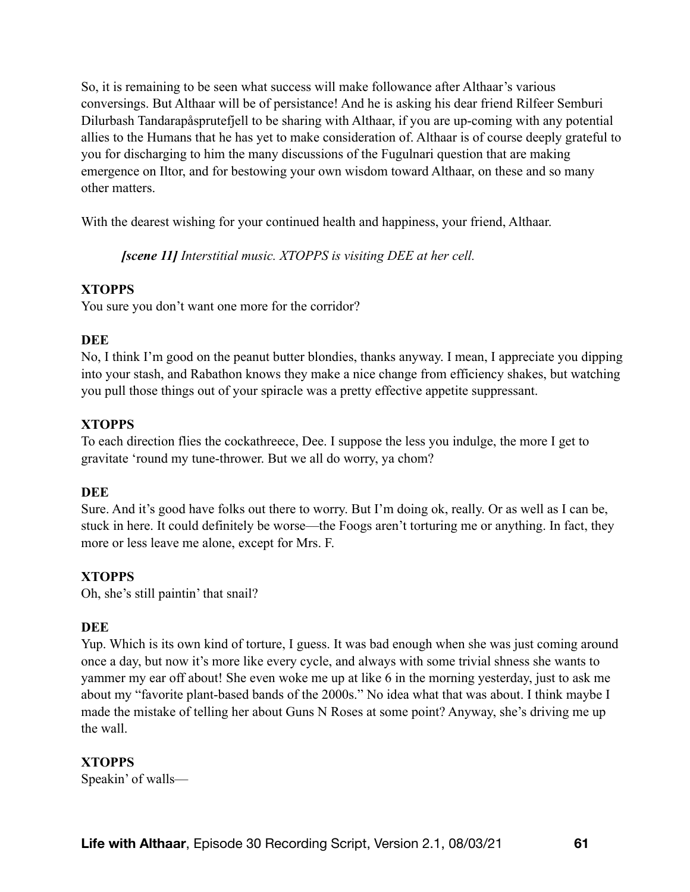So, it is remaining to be seen what success will make followance after Althaar's various conversings. But Althaar will be of persistance! And he is asking his dear friend Rilfeer Semburi Dilurbash Tandarapåsprutefjell to be sharing with Althaar, if you are up-coming with any potential allies to the Humans that he has yet to make consideration of. Althaar is of course deeply grateful to you for discharging to him the many discussions of the Fugulnari question that are making emergence on Iltor, and for bestowing your own wisdom toward Althaar, on these and so many other matters.

With the dearest wishing for your continued health and happiness, your friend, Althaar.

*[scene 11] Interstitial music. XTOPPS is visiting DEE at her cell.* 

# **XTOPPS**

You sure you don't want one more for the corridor?

# **DEE**

No, I think I'm good on the peanut butter blondies, thanks anyway. I mean, I appreciate you dipping into your stash, and Rabathon knows they make a nice change from efficiency shakes, but watching you pull those things out of your spiracle was a pretty effective appetite suppressant.

# **XTOPPS**

To each direction flies the cockathreece, Dee. I suppose the less you indulge, the more I get to gravitate 'round my tune-thrower. But we all do worry, ya chom?

### **DEE**

Sure. And it's good have folks out there to worry. But I'm doing ok, really. Or as well as I can be, stuck in here. It could definitely be worse—the Foogs aren't torturing me or anything. In fact, they more or less leave me alone, except for Mrs. F.

# **XTOPPS**

Oh, she's still paintin' that snail?

### **DEE**

Yup. Which is its own kind of torture, I guess. It was bad enough when she was just coming around once a day, but now it's more like every cycle, and always with some trivial shness she wants to yammer my ear off about! She even woke me up at like 6 in the morning yesterday, just to ask me about my "favorite plant-based bands of the 2000s." No idea what that was about. I think maybe I made the mistake of telling her about Guns N Roses at some point? Anyway, she's driving me up the wall.

# **XTOPPS**

Speakin' of walls—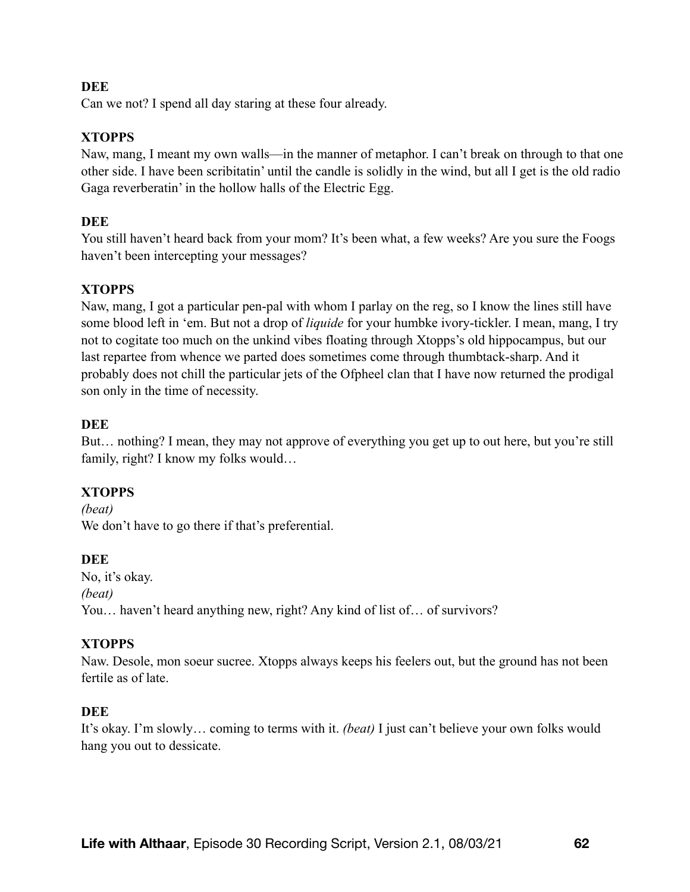### **DEE**

Can we not? I spend all day staring at these four already.

# **XTOPPS**

Naw, mang, I meant my own walls—in the manner of metaphor. I can't break on through to that one other side. I have been scribitatin' until the candle is solidly in the wind, but all I get is the old radio Gaga reverberatin' in the hollow halls of the Electric Egg.

# **DEE**

You still haven't heard back from your mom? It's been what, a few weeks? Are you sure the Foogs haven't been intercepting your messages?

# **XTOPPS**

Naw, mang, I got a particular pen-pal with whom I parlay on the reg, so I know the lines still have some blood left in 'em. But not a drop of *liquide* for your humbke ivory-tickler. I mean, mang, I try not to cogitate too much on the unkind vibes floating through Xtopps's old hippocampus, but our last repartee from whence we parted does sometimes come through thumbtack-sharp. And it probably does not chill the particular jets of the Ofpheel clan that I have now returned the prodigal son only in the time of necessity.

# **DEE**

But… nothing? I mean, they may not approve of everything you get up to out here, but you're still family, right? I know my folks would…

# **XTOPPS**

*(beat)*  We don't have to go there if that's preferential.

# **DEE**

No, it's okay. *(beat)*  You... haven't heard anything new, right? Any kind of list of... of survivors?

# **XTOPPS**

Naw. Desole, mon soeur sucree. Xtopps always keeps his feelers out, but the ground has not been fertile as of late.

### **DEE**

It's okay. I'm slowly… coming to terms with it. *(beat)* I just can't believe your own folks would hang you out to dessicate.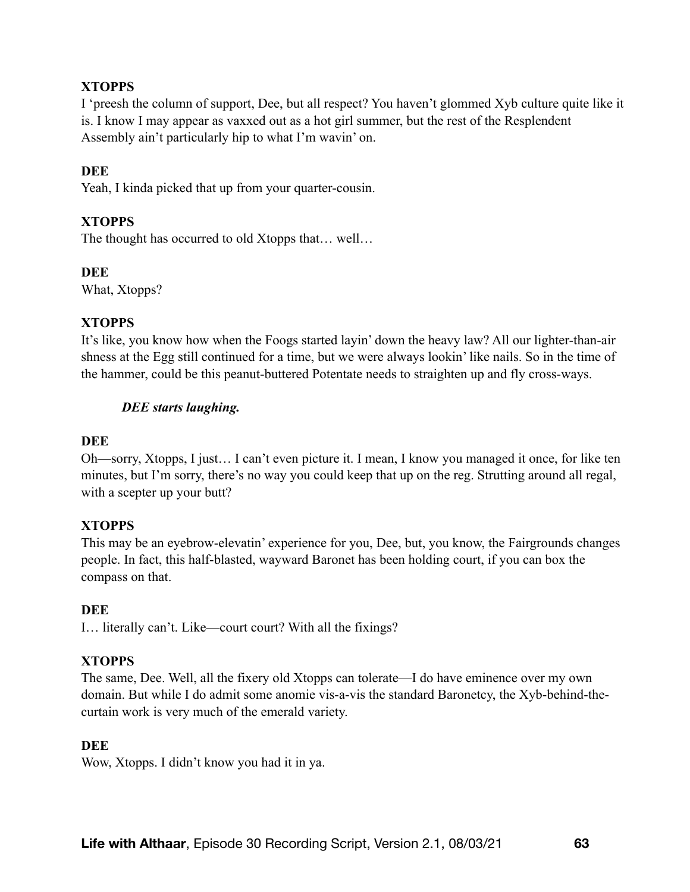# **XTOPPS**

I 'preesh the column of support, Dee, but all respect? You haven't glommed Xyb culture quite like it is. I know I may appear as vaxxed out as a hot girl summer, but the rest of the Resplendent Assembly ain't particularly hip to what I'm wavin' on.

### **DEE**

Yeah, I kinda picked that up from your quarter-cousin.

### **XTOPPS**

The thought has occurred to old Xtopps that… well…

#### **DEE**

What, Xtopps?

### **XTOPPS**

It's like, you know how when the Foogs started layin' down the heavy law? All our lighter-than-air shness at the Egg still continued for a time, but we were always lookin' like nails. So in the time of the hammer, could be this peanut-buttered Potentate needs to straighten up and fly cross-ways.

### *DEE starts laughing.*

#### **DEE**

Oh—sorry, Xtopps, I just… I can't even picture it. I mean, I know you managed it once, for like ten minutes, but I'm sorry, there's no way you could keep that up on the reg. Strutting around all regal, with a scepter up your butt?

#### **XTOPPS**

This may be an eyebrow-elevatin' experience for you, Dee, but, you know, the Fairgrounds changes people. In fact, this half-blasted, wayward Baronet has been holding court, if you can box the compass on that.

#### **DEE**

I… literally can't. Like—court court? With all the fixings?

#### **XTOPPS**

The same, Dee. Well, all the fixery old Xtopps can tolerate—I do have eminence over my own domain. But while I do admit some anomie vis-a-vis the standard Baronetcy, the Xyb-behind-thecurtain work is very much of the emerald variety.

#### **DEE**

Wow, Xtopps. I didn't know you had it in ya.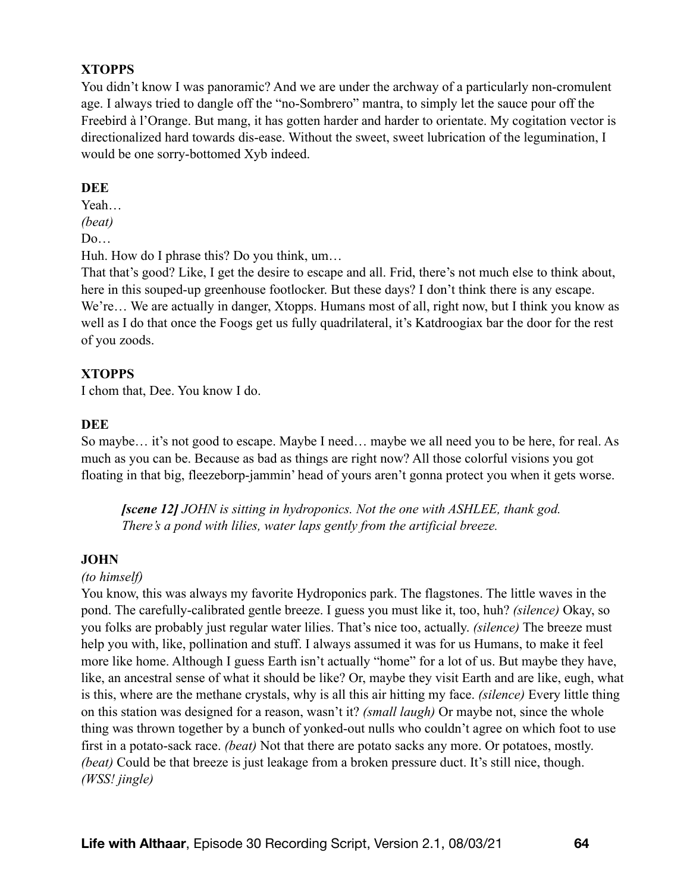# **XTOPPS**

You didn't know I was panoramic? And we are under the archway of a particularly non-cromulent age. I always tried to dangle off the "no-Sombrero" mantra, to simply let the sauce pour off the Freebird à l'Orange. But mang, it has gotten harder and harder to orientate. My cogitation vector is directionalized hard towards dis-ease. Without the sweet, sweet lubrication of the legumination, I would be one sorry-bottomed Xyb indeed.

### **DEE**

Yeah…

*(beat)* 

D<sub>0</sub>

Huh. How do I phrase this? Do you think, um…

That that's good? Like, I get the desire to escape and all. Frid, there's not much else to think about, here in this souped-up greenhouse footlocker. But these days? I don't think there is any escape. We're… We are actually in danger, Xtopps. Humans most of all, right now, but I think you know as well as I do that once the Foogs get us fully quadrilateral, it's Katdroogiax bar the door for the rest of you zoods.

# **XTOPPS**

I chom that, Dee. You know I do.

# **DEE**

So maybe… it's not good to escape. Maybe I need… maybe we all need you to be here, for real. As much as you can be. Because as bad as things are right now? All those colorful visions you got floating in that big, fleezeborp-jammin' head of yours aren't gonna protect you when it gets worse.

*[scene 12] JOHN is sitting in hydroponics. Not the one with ASHLEE, thank god. There's a pond with lilies, water laps gently from the artificial breeze.* 

### **JOHN**

### *(to himself)*

You know, this was always my favorite Hydroponics park. The flagstones. The little waves in the pond. The carefully-calibrated gentle breeze. I guess you must like it, too, huh? *(silence)* Okay, so you folks are probably just regular water lilies. That's nice too, actually. *(silence)* The breeze must help you with, like, pollination and stuff. I always assumed it was for us Humans, to make it feel more like home. Although I guess Earth isn't actually "home" for a lot of us. But maybe they have, like, an ancestral sense of what it should be like? Or, maybe they visit Earth and are like, eugh, what is this, where are the methane crystals, why is all this air hitting my face. *(silence)* Every little thing on this station was designed for a reason, wasn't it? *(small laugh)* Or maybe not, since the whole thing was thrown together by a bunch of yonked-out nulls who couldn't agree on which foot to use first in a potato-sack race. *(beat)* Not that there are potato sacks any more. Or potatoes, mostly. *(beat)* Could be that breeze is just leakage from a broken pressure duct. It's still nice, though. *(WSS! jingle)*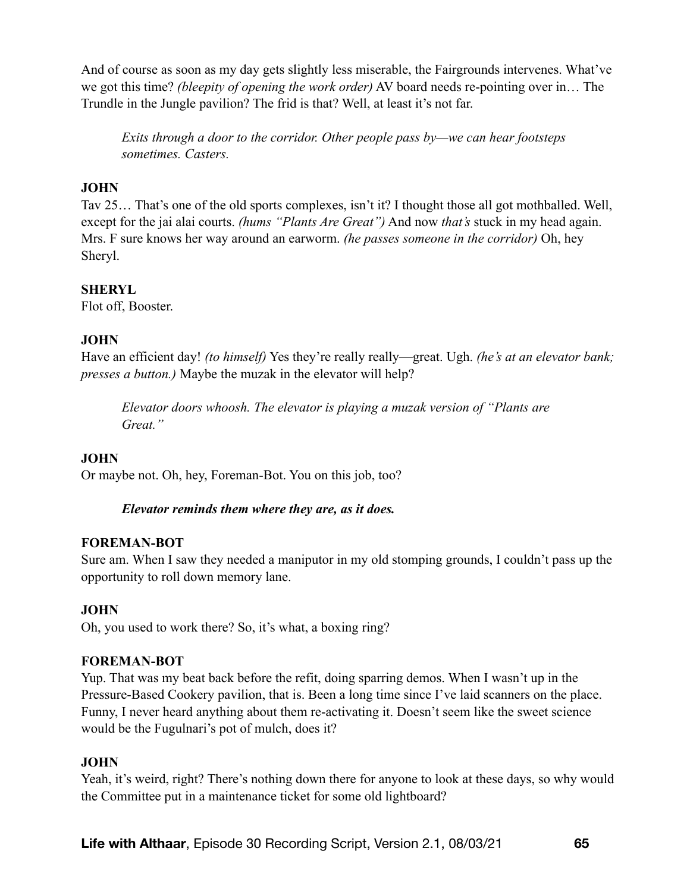And of course as soon as my day gets slightly less miserable, the Fairgrounds intervenes. What've we got this time? *(bleepity of opening the work order)* AV board needs re-pointing over in… The Trundle in the Jungle pavilion? The frid is that? Well, at least it's not far.

*Exits through a door to the corridor. Other people pass by—we can hear footsteps sometimes. Casters.* 

# **JOHN**

Tav 25… That's one of the old sports complexes, isn't it? I thought those all got mothballed. Well, except for the jai alai courts. *(hums "Plants Are Great")* And now *that's* stuck in my head again. Mrs. F sure knows her way around an earworm. *(he passes someone in the corridor)* Oh, hey Sheryl.

# **SHERYL**

Flot off, Booster.

# **JOHN**

Have an efficient day! *(to himself)* Yes they're really really—great. Ugh. *(he's at an elevator bank; presses a button.)* Maybe the muzak in the elevator will help?

*Elevator doors whoosh. The elevator is playing a muzak version of "Plants are Great."* 

### **JOHN**

Or maybe not. Oh, hey, Foreman-Bot. You on this job, too?

### *Elevator reminds them where they are, as it does.*

### **FOREMAN-BOT**

Sure am. When I saw they needed a maniputor in my old stomping grounds, I couldn't pass up the opportunity to roll down memory lane.

### **JOHN**

Oh, you used to work there? So, it's what, a boxing ring?

### **FOREMAN-BOT**

Yup. That was my beat back before the refit, doing sparring demos. When I wasn't up in the Pressure-Based Cookery pavilion, that is. Been a long time since I've laid scanners on the place. Funny, I never heard anything about them re-activating it. Doesn't seem like the sweet science would be the Fugulnari's pot of mulch, does it?

### **JOHN**

Yeah, it's weird, right? There's nothing down there for anyone to look at these days, so why would the Committee put in a maintenance ticket for some old lightboard?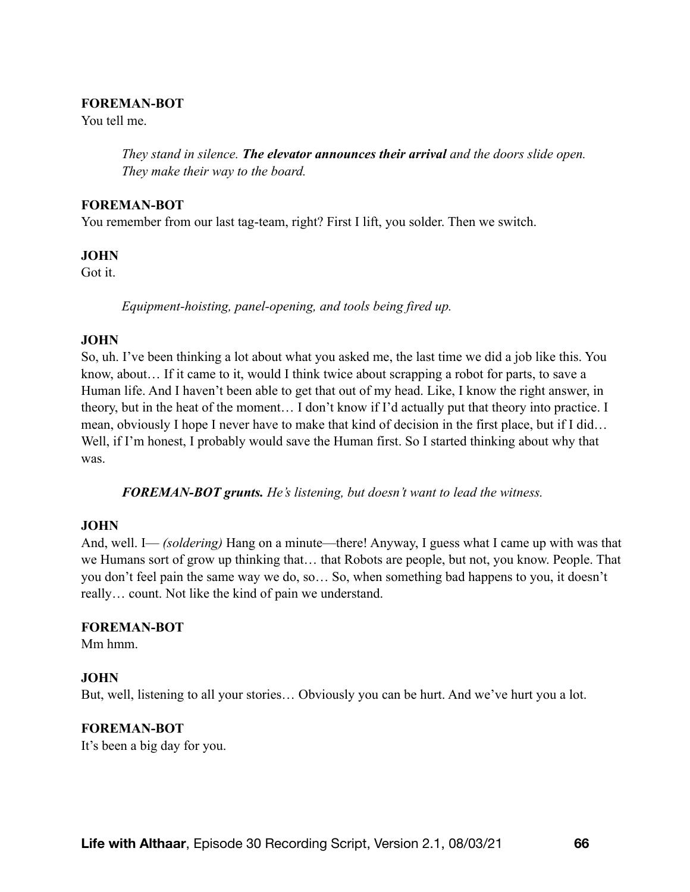#### **FOREMAN-BOT**

You tell me.

*They stand in silence. The elevator announces their arrival and the doors slide open. They make their way to the board.* 

### **FOREMAN-BOT**

You remember from our last tag-team, right? First I lift, you solder. Then we switch.

### **JOHN**

Got it.

*Equipment-hoisting, panel-opening, and tools being fired up.* 

### **JOHN**

So, uh. I've been thinking a lot about what you asked me, the last time we did a job like this. You know, about… If it came to it, would I think twice about scrapping a robot for parts, to save a Human life. And I haven't been able to get that out of my head. Like, I know the right answer, in theory, but in the heat of the moment… I don't know if I'd actually put that theory into practice. I mean, obviously I hope I never have to make that kind of decision in the first place, but if I did… Well, if I'm honest, I probably would save the Human first. So I started thinking about why that was.

*FOREMAN-BOT grunts. He's listening, but doesn't want to lead the witness.* 

### **JOHN**

And, well. I— *(soldering)* Hang on a minute—there! Anyway, I guess what I came up with was that we Humans sort of grow up thinking that… that Robots are people, but not, you know. People. That you don't feel pain the same way we do, so… So, when something bad happens to you, it doesn't really… count. Not like the kind of pain we understand.

### **FOREMAN-BOT**

Mm hmm.

### **JOHN**

But, well, listening to all your stories… Obviously you can be hurt. And we've hurt you a lot.

### **FOREMAN-BOT**

It's been a big day for you.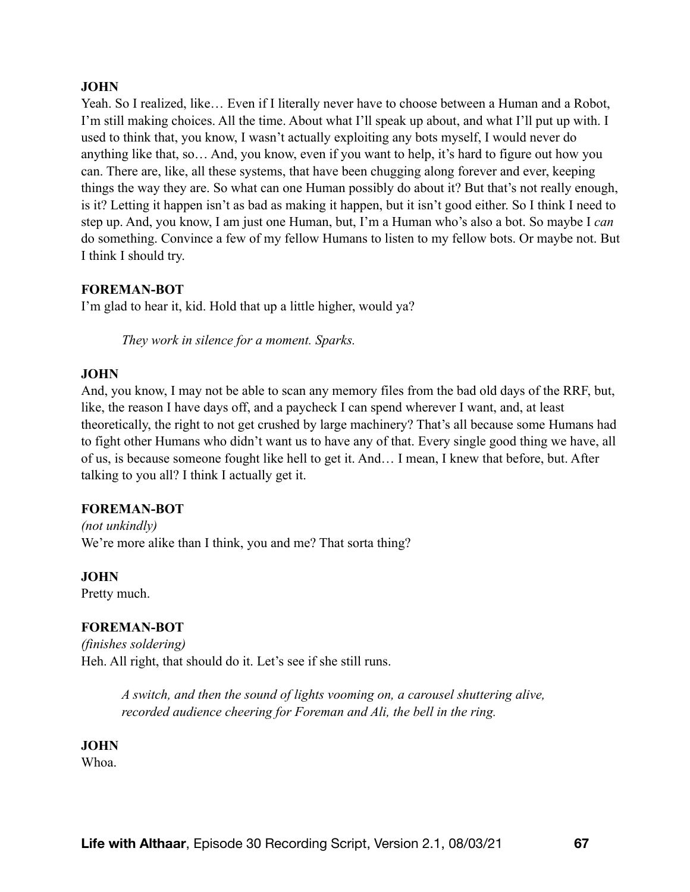### **JOHN**

Yeah. So I realized, like… Even if I literally never have to choose between a Human and a Robot, I'm still making choices. All the time. About what I'll speak up about, and what I'll put up with. I used to think that, you know, I wasn't actually exploiting any bots myself, I would never do anything like that, so… And, you know, even if you want to help, it's hard to figure out how you can. There are, like, all these systems, that have been chugging along forever and ever, keeping things the way they are. So what can one Human possibly do about it? But that's not really enough, is it? Letting it happen isn't as bad as making it happen, but it isn't good either. So I think I need to step up. And, you know, I am just one Human, but, I'm a Human who's also a bot. So maybe I *can* do something. Convince a few of my fellow Humans to listen to my fellow bots. Or maybe not. But I think I should try.

### **FOREMAN-BOT**

I'm glad to hear it, kid. Hold that up a little higher, would ya?

*They work in silence for a moment. Sparks.* 

#### **JOHN**

And, you know, I may not be able to scan any memory files from the bad old days of the RRF, but, like, the reason I have days off, and a paycheck I can spend wherever I want, and, at least theoretically, the right to not get crushed by large machinery? That's all because some Humans had to fight other Humans who didn't want us to have any of that. Every single good thing we have, all of us, is because someone fought like hell to get it. And… I mean, I knew that before, but. After talking to you all? I think I actually get it.

#### **FOREMAN-BOT**

*(not unkindly)*  We're more alike than I think, you and me? That sorta thing?

#### **JOHN**

Pretty much.

#### **FOREMAN-BOT**

*(finishes soldering)*  Heh. All right, that should do it. Let's see if she still runs.

> *A switch, and then the sound of lights vooming on, a carousel shuttering alive, recorded audience cheering for Foreman and Ali, the bell in the ring.*

#### **JOHN**

Whoa.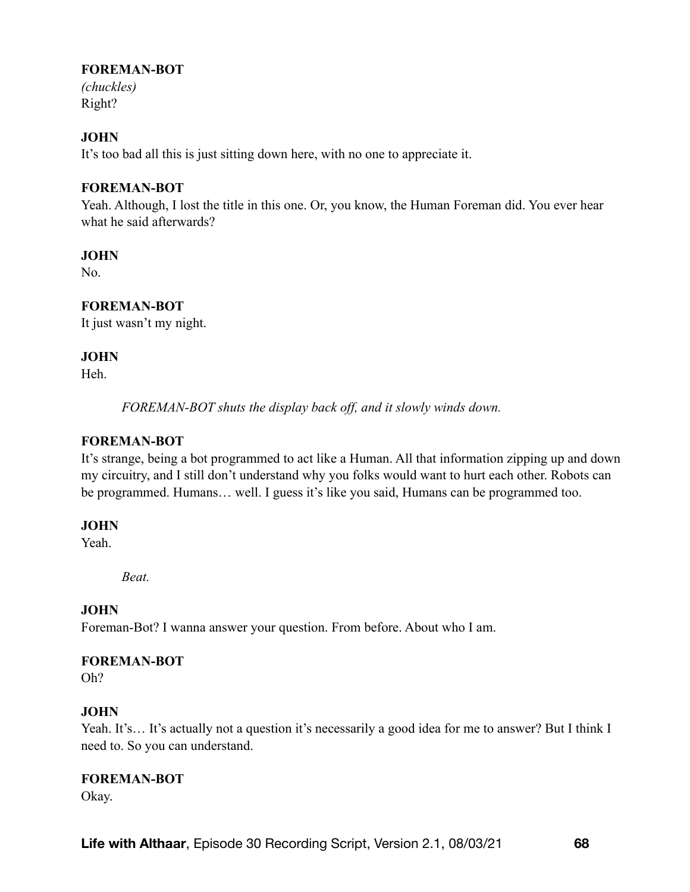### **FOREMAN-BOT**

*(chuckles)*  Right?

# **JOHN**

It's too bad all this is just sitting down here, with no one to appreciate it.

### **FOREMAN-BOT**

Yeah. Although, I lost the title in this one. Or, you know, the Human Foreman did. You ever hear what he said afterwards?

### **JOHN**

No.

### **FOREMAN-BOT**

It just wasn't my night.

### **JOHN**

Heh.

*FOREMAN-BOT shuts the display back off, and it slowly winds down.* 

### **FOREMAN-BOT**

It's strange, being a bot programmed to act like a Human. All that information zipping up and down my circuitry, and I still don't understand why you folks would want to hurt each other. Robots can be programmed. Humans… well. I guess it's like you said, Humans can be programmed too.

### **JOHN**

Yeah.

*Beat.* 

### **JOHN**

Foreman-Bot? I wanna answer your question. From before. About who I am.

### **FOREMAN-BOT**

Oh?

### **JOHN**

Yeah. It's… It's actually not a question it's necessarily a good idea for me to answer? But I think I need to. So you can understand.

### **FOREMAN-BOT**

Okay.

**Life with Althaar**, Episode 30 Recording Script, Version 2.1, 08/03/21 **68**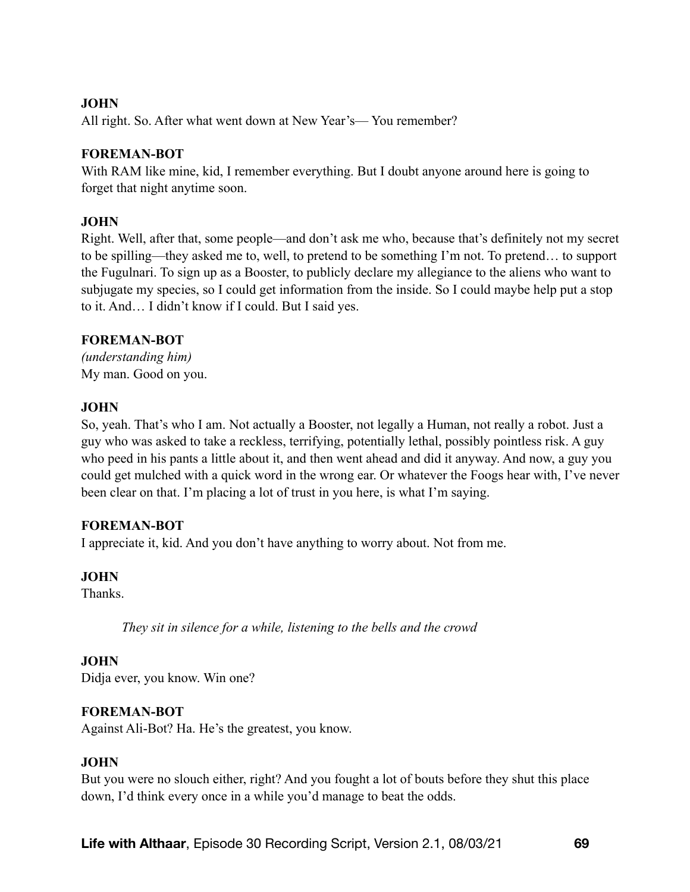### **JOHN**

All right. So. After what went down at New Year's— You remember?

### **FOREMAN-BOT**

With RAM like mine, kid, I remember everything. But I doubt anyone around here is going to forget that night anytime soon.

### **JOHN**

Right. Well, after that, some people—and don't ask me who, because that's definitely not my secret to be spilling—they asked me to, well, to pretend to be something I'm not. To pretend… to support the Fugulnari. To sign up as a Booster, to publicly declare my allegiance to the aliens who want to subjugate my species, so I could get information from the inside. So I could maybe help put a stop to it. And… I didn't know if I could. But I said yes.

### **FOREMAN-BOT**

*(understanding him)*  My man. Good on you.

### **JOHN**

So, yeah. That's who I am. Not actually a Booster, not legally a Human, not really a robot. Just a guy who was asked to take a reckless, terrifying, potentially lethal, possibly pointless risk. A guy who peed in his pants a little about it, and then went ahead and did it anyway. And now, a guy you could get mulched with a quick word in the wrong ear. Or whatever the Foogs hear with, I've never been clear on that. I'm placing a lot of trust in you here, is what I'm saying.

### **FOREMAN-BOT**

I appreciate it, kid. And you don't have anything to worry about. Not from me.

### **JOHN**

**Thanks** 

*They sit in silence for a while, listening to the bells and the crowd* 

### **JOHN**

Didja ever, you know. Win one?

### **FOREMAN-BOT**

Against Ali-Bot? Ha. He's the greatest, you know.

### **JOHN**

But you were no slouch either, right? And you fought a lot of bouts before they shut this place down, I'd think every once in a while you'd manage to beat the odds.

**Life with Althaar**, Episode 30 Recording Script, Version 2.1, 08/03/21 **69**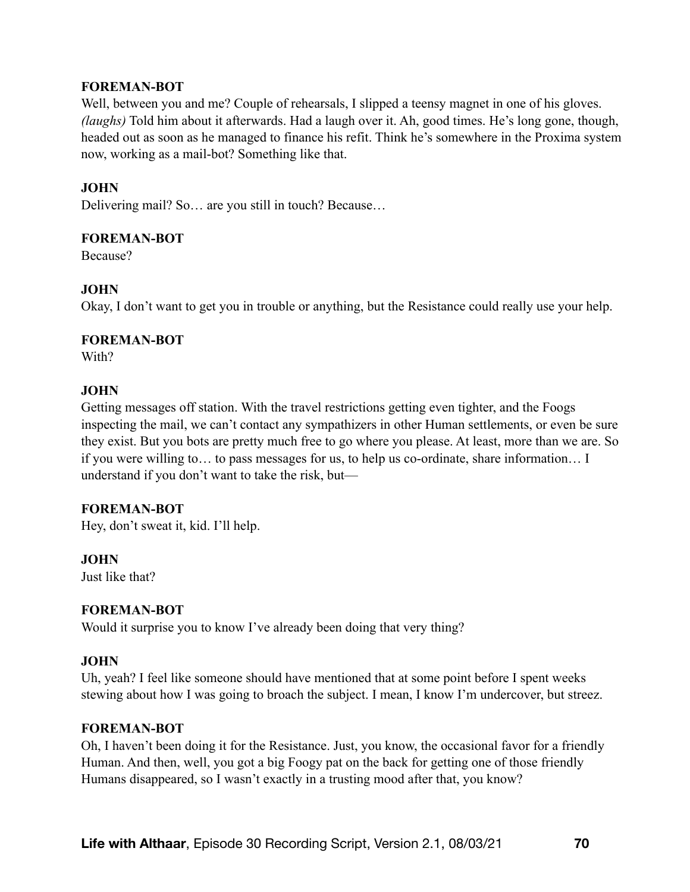### **FOREMAN-BOT**

Well, between you and me? Couple of rehearsals, I slipped a teensy magnet in one of his gloves. *(laughs)* Told him about it afterwards. Had a laugh over it. Ah, good times. He's long gone, though, headed out as soon as he managed to finance his refit. Think he's somewhere in the Proxima system now, working as a mail-bot? Something like that.

### **JOHN**

Delivering mail? So… are you still in touch? Because…

### **FOREMAN-BOT**

Because?

### **JOHN**

Okay, I don't want to get you in trouble or anything, but the Resistance could really use your help.

#### **FOREMAN-BOT**

With?

### **JOHN**

Getting messages off station. With the travel restrictions getting even tighter, and the Foogs inspecting the mail, we can't contact any sympathizers in other Human settlements, or even be sure they exist. But you bots are pretty much free to go where you please. At least, more than we are. So if you were willing to… to pass messages for us, to help us co-ordinate, share information… I understand if you don't want to take the risk, but—

#### **FOREMAN-BOT**

Hey, don't sweat it, kid. I'll help.

#### **JOHN**

Just like that?

#### **FOREMAN-BOT**

Would it surprise you to know I've already been doing that very thing?

### **JOHN**

Uh, yeah? I feel like someone should have mentioned that at some point before I spent weeks stewing about how I was going to broach the subject. I mean, I know I'm undercover, but streez.

#### **FOREMAN-BOT**

Oh, I haven't been doing it for the Resistance. Just, you know, the occasional favor for a friendly Human. And then, well, you got a big Foogy pat on the back for getting one of those friendly Humans disappeared, so I wasn't exactly in a trusting mood after that, you know?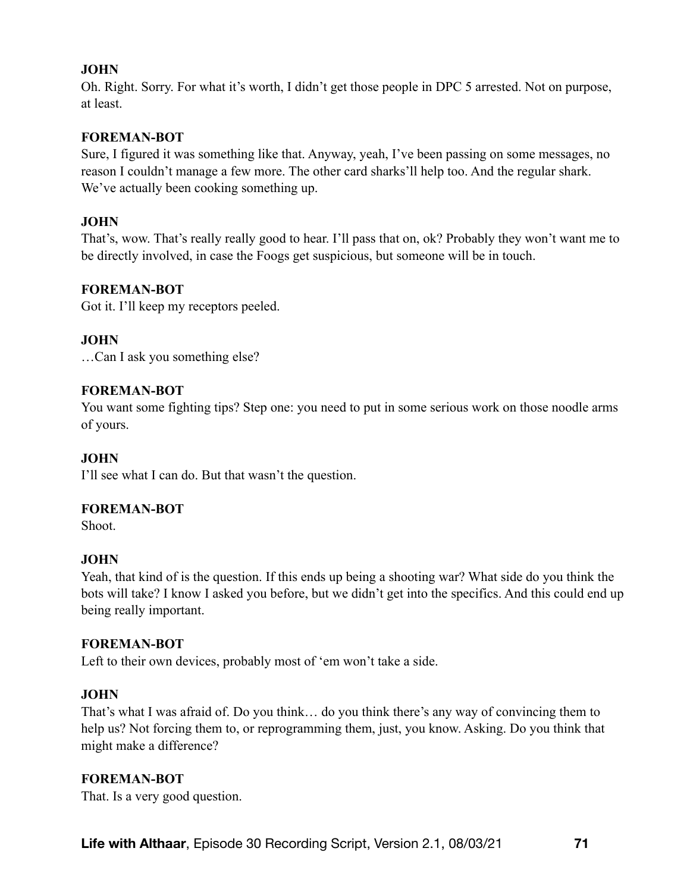# **JOHN**

Oh. Right. Sorry. For what it's worth, I didn't get those people in DPC 5 arrested. Not on purpose, at least.

### **FOREMAN-BOT**

Sure, I figured it was something like that. Anyway, yeah, I've been passing on some messages, no reason I couldn't manage a few more. The other card sharks'll help too. And the regular shark. We've actually been cooking something up.

### **JOHN**

That's, wow. That's really really good to hear. I'll pass that on, ok? Probably they won't want me to be directly involved, in case the Foogs get suspicious, but someone will be in touch.

### **FOREMAN-BOT**

Got it. I'll keep my receptors peeled.

### **JOHN**

…Can I ask you something else?

### **FOREMAN-BOT**

You want some fighting tips? Step one: you need to put in some serious work on those noodle arms of yours.

#### **JOHN**

I'll see what I can do. But that wasn't the question.

#### **FOREMAN-BOT**

Shoot.

#### **JOHN**

Yeah, that kind of is the question. If this ends up being a shooting war? What side do you think the bots will take? I know I asked you before, but we didn't get into the specifics. And this could end up being really important.

#### **FOREMAN-BOT**

Left to their own devices, probably most of 'em won't take a side.

#### **JOHN**

That's what I was afraid of. Do you think… do you think there's any way of convincing them to help us? Not forcing them to, or reprogramming them, just, you know. Asking. Do you think that might make a difference?

#### **FOREMAN-BOT**

That. Is a very good question.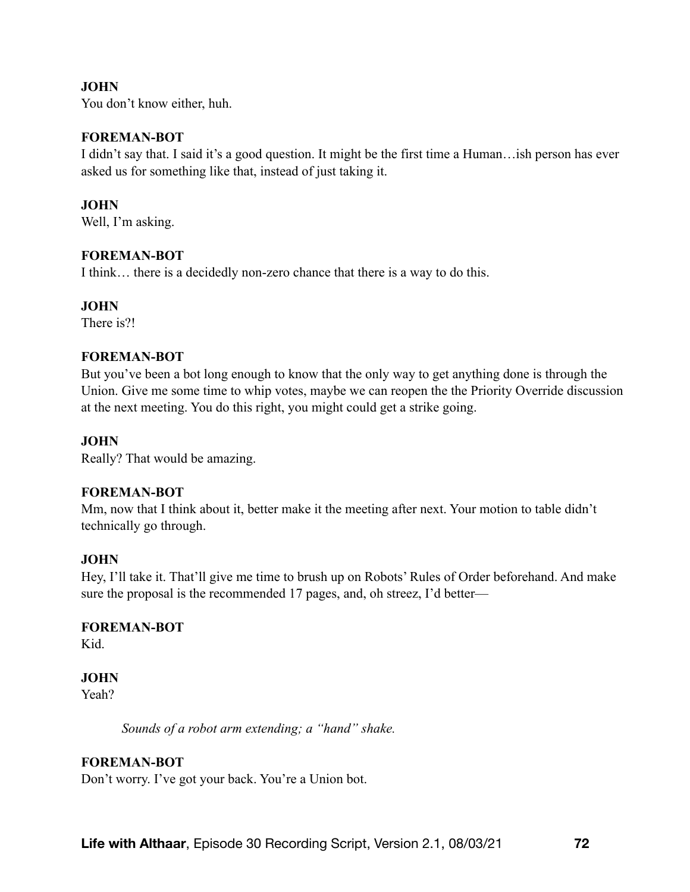### **JOHN**

You don't know either, huh.

#### **FOREMAN-BOT**

I didn't say that. I said it's a good question. It might be the first time a Human…ish person has ever asked us for something like that, instead of just taking it.

### **JOHN**

Well, I'm asking.

### **FOREMAN-BOT**

I think… there is a decidedly non-zero chance that there is a way to do this.

### **JOHN**

There is?!

### **FOREMAN-BOT**

But you've been a bot long enough to know that the only way to get anything done is through the Union. Give me some time to whip votes, maybe we can reopen the the Priority Override discussion at the next meeting. You do this right, you might could get a strike going.

### **JOHN**

Really? That would be amazing.

#### **FOREMAN-BOT**

Mm, now that I think about it, better make it the meeting after next. Your motion to table didn't technically go through.

#### **JOHN**

Hey, I'll take it. That'll give me time to brush up on Robots' Rules of Order beforehand. And make sure the proposal is the recommended 17 pages, and, oh streez, I'd better—

### **FOREMAN-BOT**

Kid.

### **JOHN**

Yeah?

*Sounds of a robot arm extending; a "hand" shake.* 

### **FOREMAN-BOT**

Don't worry. I've got your back. You're a Union bot.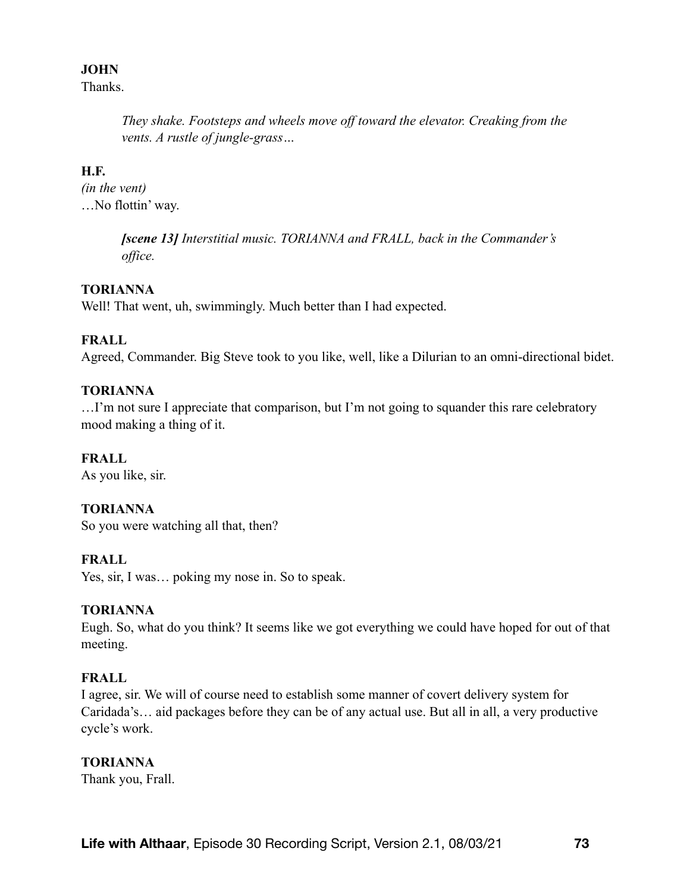### **JOHN**

**Thanks** 

*They shake. Footsteps and wheels move off toward the elevator. Creaking from the vents. A rustle of jungle-grass…* 

## **H.F.**

*(in the vent)*  …No flottin' way.

> *[scene 13] Interstitial music. TORIANNA and FRALL, back in the Commander's office.*

## **TORIANNA**

Well! That went, uh, swimmingly. Much better than I had expected.

# **FRALL**

Agreed, Commander. Big Steve took to you like, well, like a Dilurian to an omni-directional bidet.

## **TORIANNA**

…I'm not sure I appreciate that comparison, but I'm not going to squander this rare celebratory mood making a thing of it.

## **FRALL**

As you like, sir.

## **TORIANNA**

So you were watching all that, then?

## **FRALL**

Yes, sir, I was… poking my nose in. So to speak.

#### **TORIANNA**

Eugh. So, what do you think? It seems like we got everything we could have hoped for out of that meeting.

## **FRALL**

I agree, sir. We will of course need to establish some manner of covert delivery system for Caridada's… aid packages before they can be of any actual use. But all in all, a very productive cycle's work.

#### **TORIANNA**

Thank you, Frall.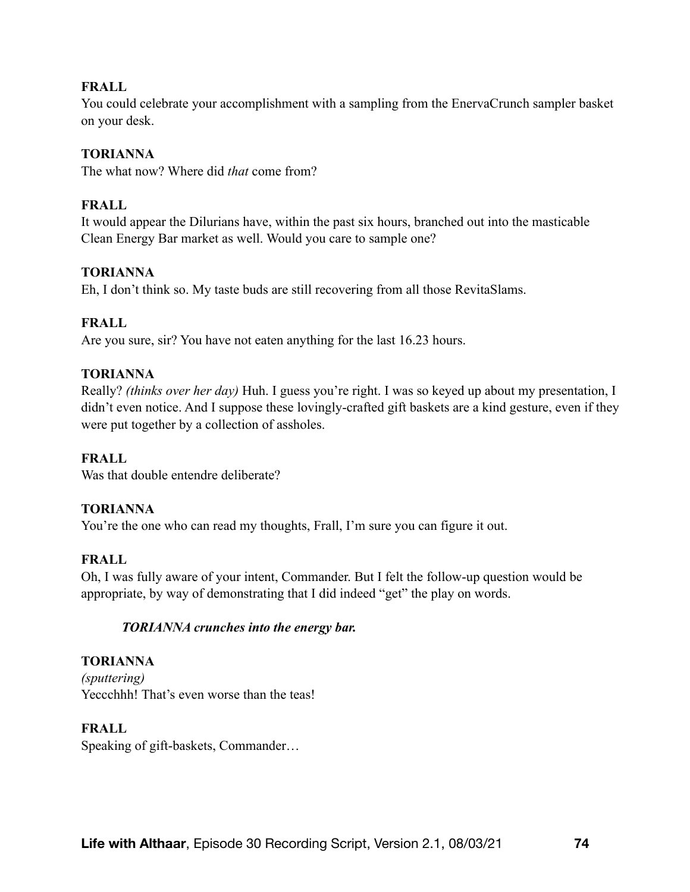### **FRALL**

You could celebrate your accomplishment with a sampling from the EnervaCrunch sampler basket on your desk.

### **TORIANNA**

The what now? Where did *that* come from?

### **FRALL**

It would appear the Dilurians have, within the past six hours, branched out into the masticable Clean Energy Bar market as well. Would you care to sample one?

### **TORIANNA**

Eh, I don't think so. My taste buds are still recovering from all those RevitaSlams.

### **FRALL**

Are you sure, sir? You have not eaten anything for the last 16.23 hours.

### **TORIANNA**

Really? *(thinks over her day)* Huh. I guess you're right. I was so keyed up about my presentation, I didn't even notice. And I suppose these lovingly-crafted gift baskets are a kind gesture, even if they were put together by a collection of assholes.

#### **FRALL**

Was that double entendre deliberate?

#### **TORIANNA**

You're the one who can read my thoughts, Frall, I'm sure you can figure it out.

#### **FRALL**

Oh, I was fully aware of your intent, Commander. But I felt the follow-up question would be appropriate, by way of demonstrating that I did indeed "get" the play on words.

#### *TORIANNA crunches into the energy bar.*

## **TORIANNA**

*(sputtering)*  Yeccchhh! That's even worse than the teas!

#### **FRALL**

Speaking of gift-baskets, Commander…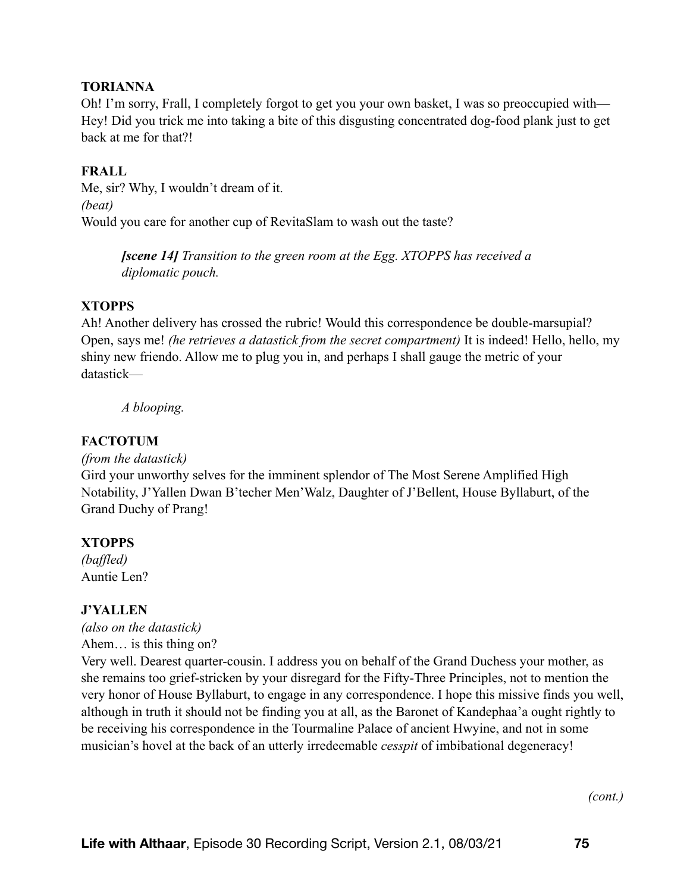### **TORIANNA**

Oh! I'm sorry, Frall, I completely forgot to get you your own basket, I was so preoccupied with— Hey! Did you trick me into taking a bite of this disgusting concentrated dog-food plank just to get back at me for that?!

### **FRALL**

Me, sir? Why, I wouldn't dream of it. *(beat)* Would you care for another cup of RevitaSlam to wash out the taste?

> *[scene 14] Transition to the green room at the Egg. XTOPPS has received a diplomatic pouch.*

#### **XTOPPS**

Ah! Another delivery has crossed the rubric! Would this correspondence be double-marsupial? Open, says me! *(he retrieves a datastick from the secret compartment)* It is indeed! Hello, hello, my shiny new friendo. Allow me to plug you in, and perhaps I shall gauge the metric of your datastick—

*A blooping.* 

### **FACTOTUM**

*(from the datastick)* 

Gird your unworthy selves for the imminent splendor of The Most Serene Amplified High Notability, J'Yallen Dwan B'techer Men'Walz, Daughter of J'Bellent, House Byllaburt, of the Grand Duchy of Prang!

#### **XTOPPS**

*(baffled)* Auntie Len?

## **J'YALLEN**

*(also on the datastick)*  Ahem… is this thing on?

Very well. Dearest quarter-cousin. I address you on behalf of the Grand Duchess your mother, as she remains too grief-stricken by your disregard for the Fifty-Three Principles, not to mention the very honor of House Byllaburt, to engage in any correspondence. I hope this missive finds you well, although in truth it should not be finding you at all, as the Baronet of Kandephaa'a ought rightly to be receiving his correspondence in the Tourmaline Palace of ancient Hwyine, and not in some musician's hovel at the back of an utterly irredeemable *cesspit* of imbibational degeneracy!

*(cont.)*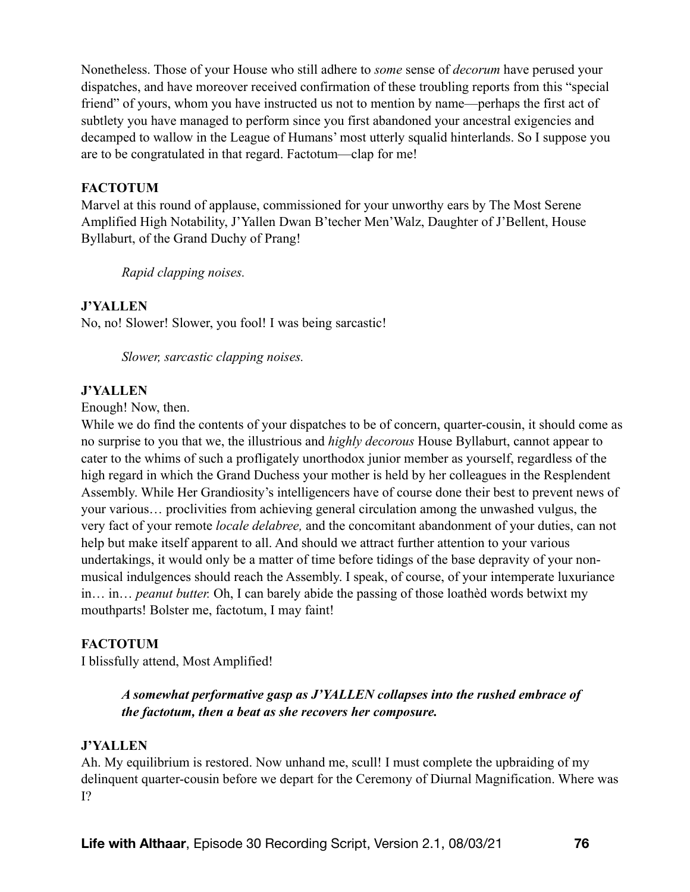Nonetheless. Those of your House who still adhere to *some* sense of *decorum* have perused your dispatches, and have moreover received confirmation of these troubling reports from this "special friend" of yours, whom you have instructed us not to mention by name—perhaps the first act of subtlety you have managed to perform since you first abandoned your ancestral exigencies and decamped to wallow in the League of Humans' most utterly squalid hinterlands. So I suppose you are to be congratulated in that regard. Factotum—clap for me!

### **FACTOTUM**

Marvel at this round of applause, commissioned for your unworthy ears by The Most Serene Amplified High Notability, J'Yallen Dwan B'techer Men'Walz, Daughter of J'Bellent, House Byllaburt, of the Grand Duchy of Prang!

*Rapid clapping noises.* 

### **J'YALLEN**

No, no! Slower! Slower, you fool! I was being sarcastic!

*Slower, sarcastic clapping noises.* 

#### **J'YALLEN**

Enough! Now, then.

While we do find the contents of your dispatches to be of concern, quarter-cousin, it should come as no surprise to you that we, the illustrious and *highly decorous* House Byllaburt, cannot appear to cater to the whims of such a profligately unorthodox junior member as yourself, regardless of the high regard in which the Grand Duchess your mother is held by her colleagues in the Resplendent Assembly. While Her Grandiosity's intelligencers have of course done their best to prevent news of your various… proclivities from achieving general circulation among the unwashed vulgus, the very fact of your remote *locale delabree,* and the concomitant abandonment of your duties, can not help but make itself apparent to all. And should we attract further attention to your various undertakings, it would only be a matter of time before tidings of the base depravity of your nonmusical indulgences should reach the Assembly. I speak, of course, of your intemperate luxuriance in… in… *peanut butter.* Oh, I can barely abide the passing of those loathèd words betwixt my mouthparts! Bolster me, factotum, I may faint!

#### **FACTOTUM**

I blissfully attend, Most Amplified!

## *A somewhat performative gasp as J'YALLEN collapses into the rushed embrace of the factotum, then a beat as she recovers her composure.*

#### **J'YALLEN**

Ah. My equilibrium is restored. Now unhand me, scull! I must complete the upbraiding of my delinquent quarter-cousin before we depart for the Ceremony of Diurnal Magnification. Where was I?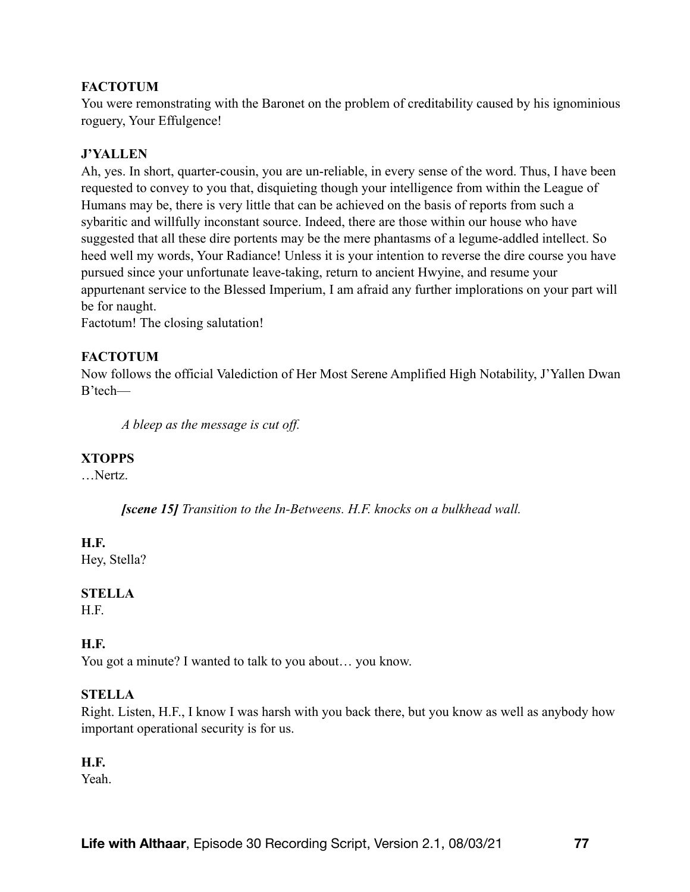### **FACTOTUM**

You were remonstrating with the Baronet on the problem of creditability caused by his ignominious roguery, Your Effulgence!

### **J'YALLEN**

Ah, yes. In short, quarter-cousin, you are un-reliable, in every sense of the word. Thus, I have been requested to convey to you that, disquieting though your intelligence from within the League of Humans may be, there is very little that can be achieved on the basis of reports from such a sybaritic and willfully inconstant source. Indeed, there are those within our house who have suggested that all these dire portents may be the mere phantasms of a legume-addled intellect. So heed well my words, Your Radiance! Unless it is your intention to reverse the dire course you have pursued since your unfortunate leave-taking, return to ancient Hwyine, and resume your appurtenant service to the Blessed Imperium, I am afraid any further implorations on your part will be for naught.

Factotum! The closing salutation!

### **FACTOTUM**

Now follows the official Valediction of Her Most Serene Amplified High Notability, J'Yallen Dwan B'tech—

*A bleep as the message is cut off.* 

#### **XTOPPS**

…Nertz.

*[scene 15] Transition to the In-Betweens. H.F. knocks on a bulkhead wall.* 

#### **H.F.**

Hey, Stella?

## **STELLA**

H.F.

#### **H.F.**

You got a minute? I wanted to talk to you about… you know.

#### **STELLA**

Right. Listen, H.F., I know I was harsh with you back there, but you know as well as anybody how important operational security is for us.

## **H.F.**

Yeah.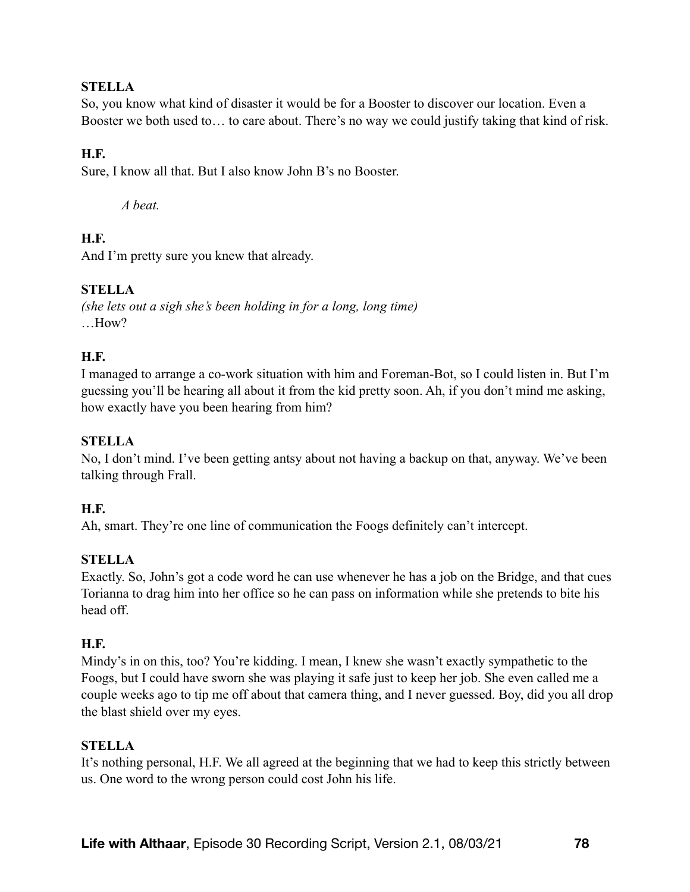## **STELLA**

So, you know what kind of disaster it would be for a Booster to discover our location. Even a Booster we both used to… to care about. There's no way we could justify taking that kind of risk.

## **H.F.**

Sure, I know all that. But I also know John B's no Booster.

*A beat.* 

# **H.F.**

And I'm pretty sure you knew that already.

# **STELLA**

*(she lets out a sigh she's been holding in for a long, long time)*  …How?

## **H.F.**

I managed to arrange a co-work situation with him and Foreman-Bot, so I could listen in. But I'm guessing you'll be hearing all about it from the kid pretty soon. Ah, if you don't mind me asking, how exactly have you been hearing from him?

## **STELLA**

No, I don't mind. I've been getting antsy about not having a backup on that, anyway. We've been talking through Frall.

## **H.F.**

Ah, smart. They're one line of communication the Foogs definitely can't intercept.

## **STELLA**

Exactly. So, John's got a code word he can use whenever he has a job on the Bridge, and that cues Torianna to drag him into her office so he can pass on information while she pretends to bite his head off.

#### **H.F.**

Mindy's in on this, too? You're kidding. I mean, I knew she wasn't exactly sympathetic to the Foogs, but I could have sworn she was playing it safe just to keep her job. She even called me a couple weeks ago to tip me off about that camera thing, and I never guessed. Boy, did you all drop the blast shield over my eyes.

#### **STELLA**

It's nothing personal, H.F. We all agreed at the beginning that we had to keep this strictly between us. One word to the wrong person could cost John his life.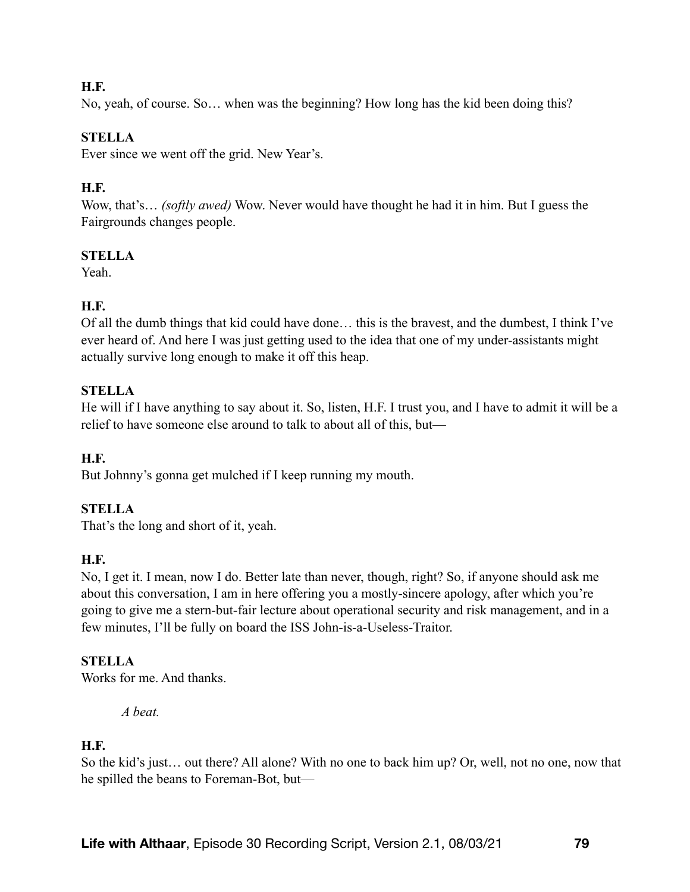### **H.F.**

No, yeah, of course. So… when was the beginning? How long has the kid been doing this?

### **STELLA**

Ever since we went off the grid. New Year's.

### **H.F.**

Wow, that's… *(softly awed)* Wow. Never would have thought he had it in him. But I guess the Fairgrounds changes people.

### **STELLA**

Yeah.

### **H.F.**

Of all the dumb things that kid could have done… this is the bravest, and the dumbest, I think I've ever heard of. And here I was just getting used to the idea that one of my under-assistants might actually survive long enough to make it off this heap.

### **STELLA**

He will if I have anything to say about it. So, listen, H.F. I trust you, and I have to admit it will be a relief to have someone else around to talk to about all of this, but—

#### **H.F.**

But Johnny's gonna get mulched if I keep running my mouth.

#### **STELLA**

That's the long and short of it, yeah.

#### **H.F.**

No, I get it. I mean, now I do. Better late than never, though, right? So, if anyone should ask me about this conversation, I am in here offering you a mostly-sincere apology, after which you're going to give me a stern-but-fair lecture about operational security and risk management, and in a few minutes, I'll be fully on board the ISS John-is-a-Useless-Traitor.

#### **STELLA**

Works for me. And thanks.

*A beat.* 

### **H.F.**

So the kid's just… out there? All alone? With no one to back him up? Or, well, not no one, now that he spilled the beans to Foreman-Bot, but—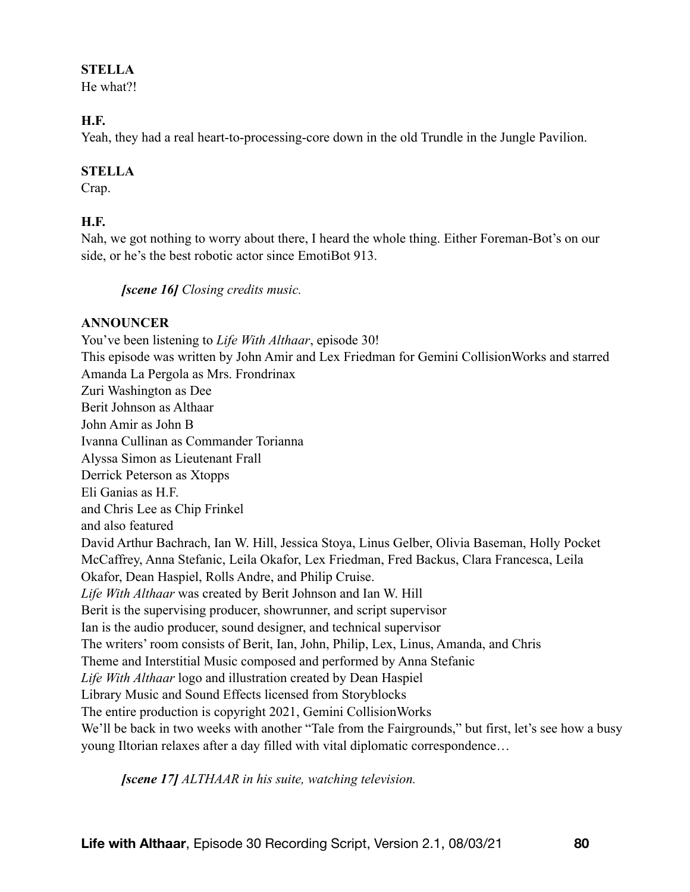#### **STELLA**

He what?!

### **H.F.**

Yeah, they had a real heart-to-processing-core down in the old Trundle in the Jungle Pavilion.

## **STELLA**

Crap.

# **H.F.**

Nah, we got nothing to worry about there, I heard the whole thing. Either Foreman-Bot's on our side, or he's the best robotic actor since EmotiBot 913.

*[scene 16] Closing credits music.* 

## **ANNOUNCER**

You've been listening to *Life With Althaar*, episode 30! This episode was written by John Amir and Lex Friedman for Gemini CollisionWorks and starred Amanda La Pergola as Mrs. Frondrinax Zuri Washington as Dee Berit Johnson as Althaar John Amir as John B Ivanna Cullinan as Commander Torianna Alyssa Simon as Lieutenant Frall Derrick Peterson as Xtopps Eli Ganias as H.F. and Chris Lee as Chip Frinkel and also featured David Arthur Bachrach, Ian W. Hill, Jessica Stoya, Linus Gelber, Olivia Baseman, Holly Pocket McCaffrey, Anna Stefanic, Leila Okafor, Lex Friedman, Fred Backus, Clara Francesca, Leila Okafor, Dean Haspiel, Rolls Andre, and Philip Cruise. *Life With Althaar* was created by Berit Johnson and Ian W. Hill Berit is the supervising producer, showrunner, and script supervisor Ian is the audio producer, sound designer, and technical supervisor The writers' room consists of Berit, Ian, John, Philip, Lex, Linus, Amanda, and Chris Theme and Interstitial Music composed and performed by Anna Stefanic *Life With Althaar* logo and illustration created by Dean Haspiel Library Music and Sound Effects licensed from Storyblocks The entire production is copyright 2021, Gemini CollisionWorks We'll be back in two weeks with another "Tale from the Fairgrounds," but first, let's see how a busy young Iltorian relaxes after a day filled with vital diplomatic correspondence…

*[scene 17] ALTHAAR in his suite, watching television.*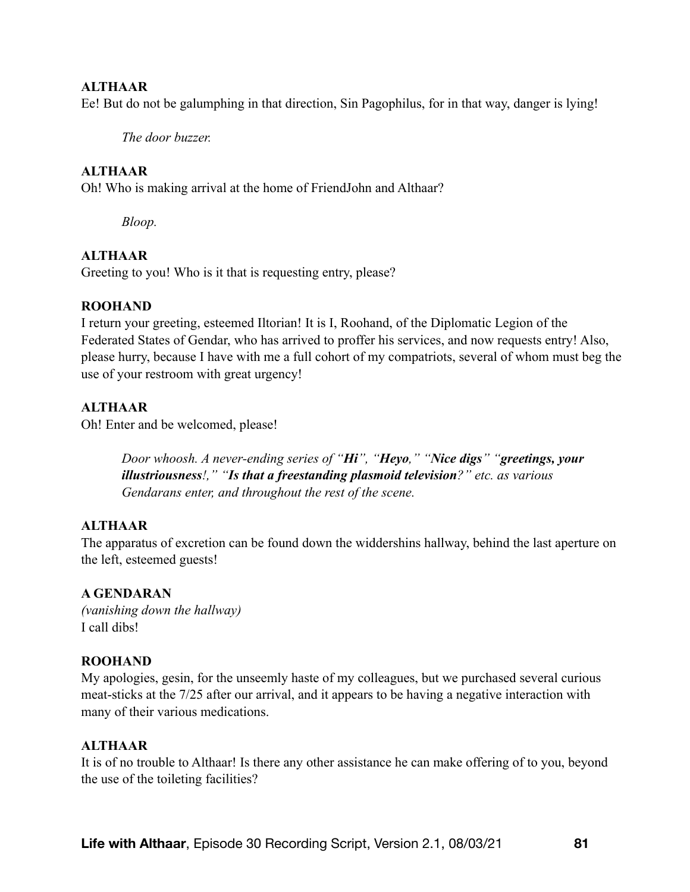#### **ALTHAAR**

Ee! But do not be galumphing in that direction, Sin Pagophilus, for in that way, danger is lying!

*The door buzzer.* 

#### **ALTHAAR**

Oh! Who is making arrival at the home of FriendJohn and Althaar?

*Bloop.* 

### **ALTHAAR**

Greeting to you! Who is it that is requesting entry, please?

#### **ROOHAND**

I return your greeting, esteemed Iltorian! It is I, Roohand, of the Diplomatic Legion of the Federated States of Gendar, who has arrived to proffer his services, and now requests entry! Also, please hurry, because I have with me a full cohort of my compatriots, several of whom must beg the use of your restroom with great urgency!

### **ALTHAAR**

Oh! Enter and be welcomed, please!

*Door whoosh. A never-ending series of "Hi", "Heyo," "Nice digs" "greetings, your illustriousness!," "Is that a freestanding plasmoid television?" etc. as various Gendarans enter, and throughout the rest of the scene.* 

#### **ALTHAAR**

The apparatus of excretion can be found down the widdershins hallway, behind the last aperture on the left, esteemed guests!

#### **A GENDARAN**

*(vanishing down the hallway)* I call dibs!

#### **ROOHAND**

My apologies, gesin, for the unseemly haste of my colleagues, but we purchased several curious meat-sticks at the 7/25 after our arrival, and it appears to be having a negative interaction with many of their various medications.

#### **ALTHAAR**

It is of no trouble to Althaar! Is there any other assistance he can make offering of to you, beyond the use of the toileting facilities?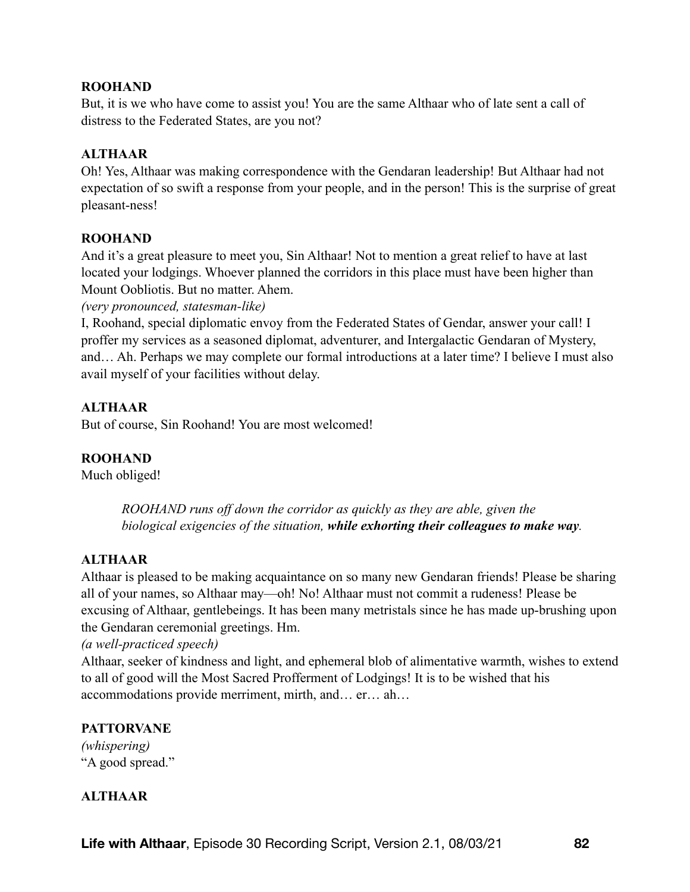#### **ROOHAND**

But, it is we who have come to assist you! You are the same Althaar who of late sent a call of distress to the Federated States, are you not?

## **ALTHAAR**

Oh! Yes, Althaar was making correspondence with the Gendaran leadership! But Althaar had not expectation of so swift a response from your people, and in the person! This is the surprise of great pleasant-ness!

## **ROOHAND**

And it's a great pleasure to meet you, Sin Althaar! Not to mention a great relief to have at last located your lodgings. Whoever planned the corridors in this place must have been higher than Mount Oobliotis. But no matter. Ahem.

*(very pronounced, statesman-like)*

I, Roohand, special diplomatic envoy from the Federated States of Gendar, answer your call! I proffer my services as a seasoned diplomat, adventurer, and Intergalactic Gendaran of Mystery, and… Ah. Perhaps we may complete our formal introductions at a later time? I believe I must also avail myself of your facilities without delay.

# **ALTHAAR**

But of course, Sin Roohand! You are most welcomed!

## **ROOHAND**

Much obliged!

*ROOHAND runs off down the corridor as quickly as they are able, given the biological exigencies of the situation, while exhorting their colleagues to make way.* 

## **ALTHAAR**

Althaar is pleased to be making acquaintance on so many new Gendaran friends! Please be sharing all of your names, so Althaar may—oh! No! Althaar must not commit a rudeness! Please be excusing of Althaar, gentlebeings. It has been many metristals since he has made up-brushing upon the Gendaran ceremonial greetings. Hm.

*(a well-practiced speech)*

Althaar, seeker of kindness and light, and ephemeral blob of alimentative warmth, wishes to extend to all of good will the Most Sacred Profferment of Lodgings! It is to be wished that his accommodations provide merriment, mirth, and… er… ah…

## **PATTORVANE**

*(whispering)* "A good spread."

## **ALTHAAR**